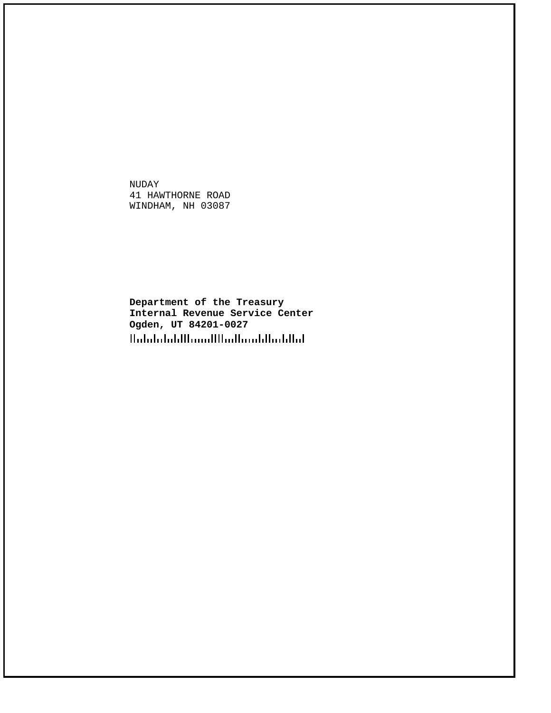NUDAY 41 HAWTHORNE ROAD WINDHAM, NH 03087

**Department of the Treasury Internal Revenue Service Center Ogden, UT 84201-0027**HalalalaldHamilHadhamldIaddlad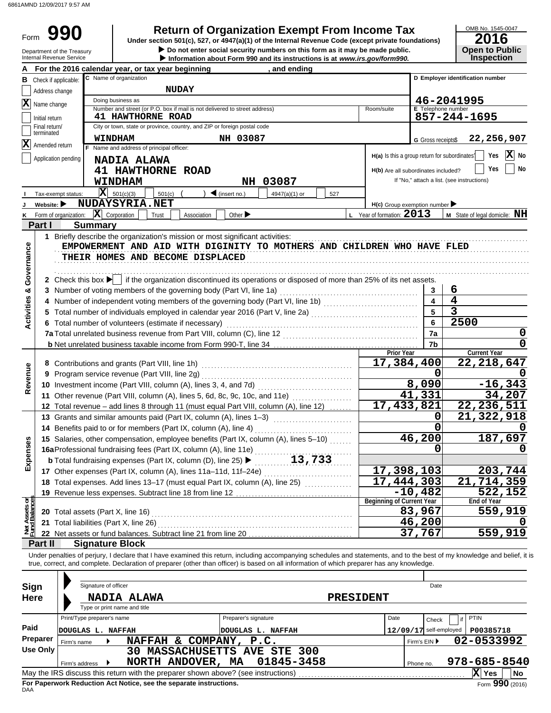Form

**• Do not enter social security numbers on this form as it may be made public. Open to Public Return of Organization Exempt From Income Tax**<br>
Under section 501(c), 527, or 4947(a)(1) of the Internal Revenue Code (except private foundations)<br> **2016**<br> **2016**<br> **2016**<br> **2016**<br> **2016**<br> **2016 Under section 501(c), 527, or 4947(a)(1) of the Internal Revenue Code (except private foundations)**

# OMB No. 1545-0047 **Inspection**

|                                | Internal Revenue Service      | Department of the Treasury                           |                                                                                                                                      | Do not enter social security numbers on this form as it may be made public.<br>Information about Form 990 and its instructions is at www.irs.gov/form990.                  |                                              |                                  | <b>Open to Public</b><br><b>Inspection</b> |  |  |  |  |  |
|--------------------------------|-------------------------------|------------------------------------------------------|--------------------------------------------------------------------------------------------------------------------------------------|----------------------------------------------------------------------------------------------------------------------------------------------------------------------------|----------------------------------------------|----------------------------------|--------------------------------------------|--|--|--|--|--|
|                                |                               |                                                      | For the 2016 calendar year, or tax year beginning                                                                                    | , and ending                                                                                                                                                               |                                              |                                  |                                            |  |  |  |  |  |
|                                | <b>B</b> Check if applicable: |                                                      | C Name of organization                                                                                                               |                                                                                                                                                                            |                                              |                                  | D Employer identification number           |  |  |  |  |  |
|                                | Address change                |                                                      | <b>NUDAY</b>                                                                                                                         |                                                                                                                                                                            |                                              |                                  |                                            |  |  |  |  |  |
|                                | $ \mathbf{X} $ Name change    |                                                      | Doing business as                                                                                                                    |                                                                                                                                                                            |                                              | 46-2041995<br>E Telephone number |                                            |  |  |  |  |  |
|                                | Initial return                |                                                      | Number and street (or P.O. box if mail is not delivered to street address)<br>Room/suite<br>857-244-1695<br><b>41 HAWTHORNE ROAD</b> |                                                                                                                                                                            |                                              |                                  |                                            |  |  |  |  |  |
|                                | Final return/                 |                                                      | City or town, state or province, country, and ZIP or foreign postal code                                                             |                                                                                                                                                                            |                                              |                                  |                                            |  |  |  |  |  |
|                                | terminated                    |                                                      | <b>WINDHAM</b>                                                                                                                       | NH 03087                                                                                                                                                                   |                                              | G Gross receipts\$               | 22,256,907                                 |  |  |  |  |  |
|                                | X Amended return              |                                                      | F Name and address of principal officer:                                                                                             |                                                                                                                                                                            |                                              |                                  |                                            |  |  |  |  |  |
|                                | Application pending           |                                                      | NADIA ALAWA                                                                                                                          |                                                                                                                                                                            | H(a) Is this a group return for subordinates |                                  | $ \mathbf{X} $ No<br>Yes                   |  |  |  |  |  |
|                                |                               |                                                      | <b>41 HAWTHORNE ROAD</b>                                                                                                             |                                                                                                                                                                            | H(b) Are all subordinates included?          |                                  | Yes<br>No                                  |  |  |  |  |  |
|                                |                               |                                                      | WINDHAM                                                                                                                              | NH 03087                                                                                                                                                                   |                                              |                                  | If "No," attach a list. (see instructions) |  |  |  |  |  |
|                                | Tax-exempt status:            |                                                      | $\mathbf{X}$ 501(c)(3)<br>501(c)                                                                                                     | $\blacktriangleleft$ (insert no.)<br>4947(a)(1) or<br>527                                                                                                                  |                                              |                                  |                                            |  |  |  |  |  |
|                                | Website:                      |                                                      | <b>NUDAYSYRIA.NET</b>                                                                                                                |                                                                                                                                                                            | $H(c)$ Group exemption number                |                                  |                                            |  |  |  |  |  |
| κ                              |                               | Form of organization: $\ \mathbf{X}\ $ Corporation   | Trust<br>Association                                                                                                                 | Other $\blacktriangleright$                                                                                                                                                | $L$ Year of formation: $2013$                |                                  | <b>M</b> State of legal domicile: $NH$     |  |  |  |  |  |
|                                | Part I                        | <b>Summary</b>                                       |                                                                                                                                      |                                                                                                                                                                            |                                              |                                  |                                            |  |  |  |  |  |
|                                |                               |                                                      | 1 Briefly describe the organization's mission or most significant activities:                                                        |                                                                                                                                                                            |                                              |                                  |                                            |  |  |  |  |  |
|                                |                               |                                                      |                                                                                                                                      | EMPOWERMENT AND AID WITH DIGINITY TO MOTHERS AND CHILDREN WHO HAVE FLED                                                                                                    |                                              |                                  |                                            |  |  |  |  |  |
|                                |                               |                                                      | THEIR HOMES AND BECOME DISPLACED                                                                                                     |                                                                                                                                                                            |                                              |                                  |                                            |  |  |  |  |  |
|                                |                               |                                                      |                                                                                                                                      |                                                                                                                                                                            |                                              |                                  |                                            |  |  |  |  |  |
| Governance                     |                               |                                                      |                                                                                                                                      | 2 Check this box   if the organization discontinued its operations or disposed of more than 25% of its net assets.                                                         |                                              |                                  |                                            |  |  |  |  |  |
| ×                              |                               |                                                      | 3 Number of voting members of the governing body (Part VI, line 1a)                                                                  |                                                                                                                                                                            |                                              | 3                                | 6                                          |  |  |  |  |  |
|                                | 4                             |                                                      |                                                                                                                                      | Number of independent voting members of the governing body (Part VI, line 1b) [11] [11] Number of independent voting                                                       |                                              | $\overline{4}$                   | $\overline{4}$                             |  |  |  |  |  |
| Activities                     | 5                             |                                                      |                                                                                                                                      | Total number of individuals employed in calendar year 2016 (Part V, line 2a) [[[[[[[[[[[[[[[[[[[[[[[[[[[[[[[[                                                              |                                              | 5                                | $\overline{3}$                             |  |  |  |  |  |
|                                |                               | 6 Total number of volunteers (estimate if necessary) | 6                                                                                                                                    | 2500                                                                                                                                                                       |                                              |                                  |                                            |  |  |  |  |  |
|                                |                               |                                                      |                                                                                                                                      |                                                                                                                                                                            |                                              | 7a                               | 0                                          |  |  |  |  |  |
|                                |                               |                                                      |                                                                                                                                      |                                                                                                                                                                            | Prior Year                                   | 7b                               | <b>Current Year</b>                        |  |  |  |  |  |
|                                |                               |                                                      |                                                                                                                                      |                                                                                                                                                                            | 17,384,400                                   |                                  | 22, 218, 647                               |  |  |  |  |  |
| Revenue                        | 9                             | Program service revenue (Part VIII, line 2g)         |                                                                                                                                      | 0                                                                                                                                                                          |                                              |                                  |                                            |  |  |  |  |  |
|                                |                               |                                                      |                                                                                                                                      |                                                                                                                                                                            |                                              | 8,090                            | $-16, 343$                                 |  |  |  |  |  |
|                                |                               |                                                      |                                                                                                                                      | 11 Other revenue (Part VIII, column (A), lines 5, 6d, 8c, 9c, 10c, and 11e) [[[[[[[[[[[[[[[[[[[[[[[[[[[[[[[[                                                               |                                              | 41,331                           | 34,207                                     |  |  |  |  |  |
|                                |                               |                                                      | 12 Total revenue - add lines 8 through 11 (must equal Part VIII, column (A), line 12)                                                | 17,433,821                                                                                                                                                                 | 22, 236, 511                                 |                                  |                                            |  |  |  |  |  |
|                                |                               |                                                      |                                                                                                                                      | 13 Grants and similar amounts paid (Part IX, column (A), lines 1-3)                                                                                                        |                                              | 0                                | 21,322,918                                 |  |  |  |  |  |
|                                |                               |                                                      | 14 Benefits paid to or for members (Part IX, column (A), line 4)                                                                     |                                                                                                                                                                            |                                              | 0                                |                                            |  |  |  |  |  |
| ises                           |                               |                                                      |                                                                                                                                      | 15 Salaries, other compensation, employee benefits (Part IX, column (A), lines 5-10)                                                                                       |                                              | 46,200                           | 187,697                                    |  |  |  |  |  |
|                                |                               |                                                      | 16aProfessional fundraising fees (Part IX, column (A), line 11e)                                                                     |                                                                                                                                                                            |                                              | 0                                |                                            |  |  |  |  |  |
| Exper                          |                               |                                                      |                                                                                                                                      |                                                                                                                                                                            |                                              |                                  |                                            |  |  |  |  |  |
|                                |                               |                                                      |                                                                                                                                      | 17 Other expenses (Part IX, column (A), lines 11a-11d, 11f-24e)                                                                                                            | 17,398,103                                   |                                  | 203,744                                    |  |  |  |  |  |
|                                |                               |                                                      |                                                                                                                                      | 18 Total expenses. Add lines 13-17 (must equal Part IX, column (A), line 25)                                                                                               | 17,444,303                                   |                                  | 21,714,359                                 |  |  |  |  |  |
|                                |                               |                                                      | 19 Revenue less expenses. Subtract line 18 from line 12                                                                              |                                                                                                                                                                            | Beginning of Current Year                    | $-10,482$                        | 522,152<br>End of Year                     |  |  |  |  |  |
| Net Assets or<br>Fund Balances |                               | 20 Total assets (Part X, line 16)                    |                                                                                                                                      |                                                                                                                                                                            |                                              | 83,967                           | 559, 919                                   |  |  |  |  |  |
|                                |                               | 21 Total liabilities (Part X, line 26)               |                                                                                                                                      |                                                                                                                                                                            |                                              | 46,200                           |                                            |  |  |  |  |  |
|                                |                               |                                                      | 22 Net assets or fund balances. Subtract line 21 from line 20                                                                        |                                                                                                                                                                            |                                              | 37,767                           | 559,919                                    |  |  |  |  |  |
|                                | Part II                       |                                                      | <b>Signature Block</b>                                                                                                               |                                                                                                                                                                            |                                              |                                  |                                            |  |  |  |  |  |
|                                |                               |                                                      |                                                                                                                                      | Under penalties of perjury, I declare that I have examined this return, including accompanying schedules and statements, and to the best of my knowledge and belief, it is |                                              |                                  |                                            |  |  |  |  |  |
|                                |                               |                                                      |                                                                                                                                      | true, correct, and complete. Declaration of preparer (other than officer) is based on all information of which preparer has any knowledge.                                 |                                              |                                  |                                            |  |  |  |  |  |
|                                |                               |                                                      |                                                                                                                                      |                                                                                                                                                                            |                                              |                                  |                                            |  |  |  |  |  |
| Sign                           |                               | Signature of officer                                 |                                                                                                                                      |                                                                                                                                                                            |                                              | Date                             |                                            |  |  |  |  |  |
|                                | <b>Here</b>                   |                                                      | <b>NADIA ALAWA</b>                                                                                                                   |                                                                                                                                                                            | <b>PRESIDENT</b>                             |                                  |                                            |  |  |  |  |  |
|                                |                               |                                                      | Type or print name and title                                                                                                         |                                                                                                                                                                            |                                              |                                  |                                            |  |  |  |  |  |
|                                |                               | Print/Type preparer's name                           |                                                                                                                                      | Preparer's signature                                                                                                                                                       | Date                                         | Check                            | <b>PTIN</b><br>if                          |  |  |  |  |  |
| Paid                           |                               | DOUGLAS L. NAFFAH                                    | NAFFAH & COMPANY, P.C.                                                                                                               | <b>DOUGLAS L. NAFFAH</b>                                                                                                                                                   |                                              | $12/09/17$ self-employed         | P00385718                                  |  |  |  |  |  |
|                                | Preparer                      | Firm's name                                          | Firm's EIN ▶                                                                                                                         | 02-0533992                                                                                                                                                                 |                                              |                                  |                                            |  |  |  |  |  |
|                                | <b>Use Only</b>               |                                                      |                                                                                                                                      | 30 MASSACHUSETTS AVE STE 300                                                                                                                                               |                                              |                                  |                                            |  |  |  |  |  |
|                                |                               | Firm's address ▶                                     | NORTH ANDOVER, MA                                                                                                                    | 01845-3458                                                                                                                                                                 |                                              | Phone no.                        | 978-685-8540                               |  |  |  |  |  |
|                                |                               |                                                      | May the IRS discuss this return with the preparer shown above? (see instructions)                                                    |                                                                                                                                                                            |                                              |                                  | X Yes<br>No                                |  |  |  |  |  |

| Sign        |                                                                                       | Signature of officer |  |                                                                                   |  | Date                 |  |      |                            |                          |    |              |    |
|-------------|---------------------------------------------------------------------------------------|----------------------|--|-----------------------------------------------------------------------------------|--|----------------------|--|------|----------------------------|--------------------------|----|--------------|----|
| <b>Here</b> | NADIA ALAWA<br><b>PRESIDENT</b><br>Type or print name and title                       |                      |  |                                                                                   |  |                      |  |      |                            |                          |    |              |    |
|             |                                                                                       |                      |  |                                                                                   |  |                      |  |      |                            |                          |    |              |    |
|             | Print/Type preparer's name                                                            |                      |  |                                                                                   |  | Preparer's signature |  | Date |                            | Check                    | if | <b>PTIN</b>  |    |
| Paid        |                                                                                       | DOUGLAS L. NAFFAH    |  |                                                                                   |  | DOUGLAS L. NAFFAH    |  |      |                            | $12/09/17$ self-employed |    | P00385718    |    |
| Preparer    | Firm's name                                                                           |                      |  | NAFFAH & COMPANY, P.C.                                                            |  |                      |  |      | 02-0533992<br>Firm's $EIN$ |                          |    |              |    |
| Use Only    |                                                                                       |                      |  | MASSACHUSETTS AVE STE 300<br>30.                                                  |  |                      |  |      |                            |                          |    |              |    |
|             | Firm's address                                                                        |                      |  | NORTH ANDOVER, MA                                                                 |  | 01845-3458           |  |      | Phone no.                  |                          |    | 978-685-8540 |    |
|             |                                                                                       |                      |  | May the IRS discuss this return with the preparer shown above? (see instructions) |  |                      |  |      |                            |                          |    | ΙX<br>Yes    | No |
| DAA         | Form 990 (2016)<br>For Paperwork Reduction Act Notice, see the separate instructions. |                      |  |                                                                                   |  |                      |  |      |                            |                          |    |              |    |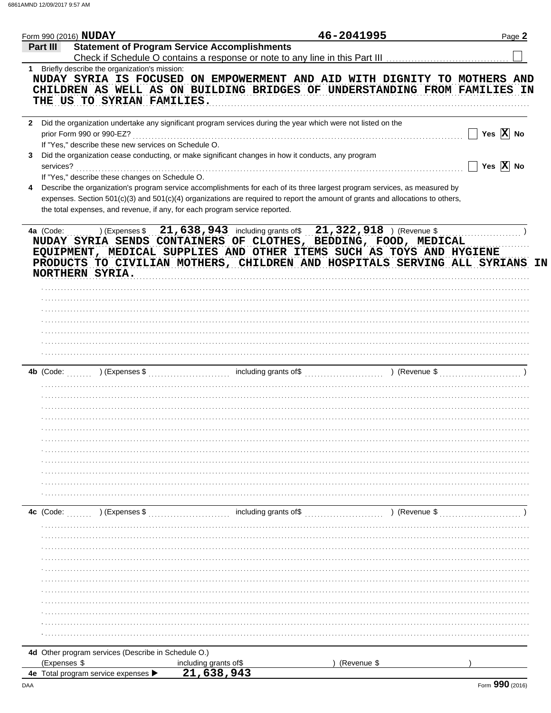|              | Form 990 (2016) NUDAY                                                       |                                                                                                                                                                                                                                                                                                   | 46-2041995    | Page 2                |
|--------------|-----------------------------------------------------------------------------|---------------------------------------------------------------------------------------------------------------------------------------------------------------------------------------------------------------------------------------------------------------------------------------------------|---------------|-----------------------|
|              | Part III                                                                    | <b>Statement of Program Service Accomplishments</b>                                                                                                                                                                                                                                               |               |                       |
|              |                                                                             |                                                                                                                                                                                                                                                                                                   |               |                       |
| $1 \quad$    | Briefly describe the organization's mission:<br>THE US TO SYRIAN FAMILIES.  | NUDAY SYRIA IS FOCUSED ON EMPOWERMENT AND AID WITH DIGNITY TO MOTHERS AND<br>CHILDREN AS WELL AS ON BUILDING BRIDGES OF UNDERSTANDING FROM FAMILIES IN                                                                                                                                            |               |                       |
| $\mathbf{2}$ | prior Form 990 or 990-EZ?                                                   | Did the organization undertake any significant program services during the year which were not listed on the                                                                                                                                                                                      |               | Yes $\overline{X}$ No |
|              | If "Yes," describe these new services on Schedule O.                        |                                                                                                                                                                                                                                                                                                   |               |                       |
| 3            | services?                                                                   | Did the organization cease conducting, or make significant changes in how it conducts, any program                                                                                                                                                                                                |               | Yes $\overline{X}$ No |
| 4            | If "Yes," describe these changes on Schedule O.                             | Describe the organization's program service accomplishments for each of its three largest program services, as measured by                                                                                                                                                                        |               |                       |
|              |                                                                             | expenses. Section 501(c)(3) and 501(c)(4) organizations are required to report the amount of grants and allocations to others,                                                                                                                                                                    |               |                       |
|              | the total expenses, and revenue, if any, for each program service reported. |                                                                                                                                                                                                                                                                                                   |               |                       |
|              | 4a (Code:<br>NORTHERN SYRIA.                                                | ) (Expenses $$21,638,943$ including grants of $$21,322,918$ ) (Revenue \$)<br>NUDAY SYRIA SENDS CONTAINERS OF CLOTHES, BEDDING, FOOD, MEDICAL<br>EQUIPMENT, MEDICAL SUPPLIES AND OTHER ITEMS SUCH AS TOYS AND HYGIENE<br>PRODUCTS TO CIVILIAN MOTHERS, CHILDREN AND HOSPITALS SERVING ALL SYRIANS |               | ΙN                    |
|              |                                                                             |                                                                                                                                                                                                                                                                                                   |               |                       |
|              |                                                                             |                                                                                                                                                                                                                                                                                                   |               |                       |
|              |                                                                             |                                                                                                                                                                                                                                                                                                   |               |                       |
|              |                                                                             |                                                                                                                                                                                                                                                                                                   |               |                       |
|              |                                                                             |                                                                                                                                                                                                                                                                                                   |               |                       |
|              |                                                                             |                                                                                                                                                                                                                                                                                                   |               |                       |
|              | 4b (Code:                                                                   |                                                                                                                                                                                                                                                                                                   |               |                       |
|              |                                                                             |                                                                                                                                                                                                                                                                                                   |               |                       |
|              |                                                                             |                                                                                                                                                                                                                                                                                                   |               |                       |
|              |                                                                             |                                                                                                                                                                                                                                                                                                   |               |                       |
|              |                                                                             |                                                                                                                                                                                                                                                                                                   |               |                       |
|              |                                                                             |                                                                                                                                                                                                                                                                                                   |               |                       |
|              |                                                                             |                                                                                                                                                                                                                                                                                                   |               |                       |
|              |                                                                             |                                                                                                                                                                                                                                                                                                   |               |                       |
|              |                                                                             |                                                                                                                                                                                                                                                                                                   |               |                       |
|              |                                                                             |                                                                                                                                                                                                                                                                                                   |               |                       |
|              | ) (Expenses \$<br>4c (Code:                                                 | including grants of\$                                                                                                                                                                                                                                                                             | ) (Revenue \$ |                       |
|              |                                                                             |                                                                                                                                                                                                                                                                                                   |               |                       |
|              |                                                                             |                                                                                                                                                                                                                                                                                                   |               |                       |
|              |                                                                             |                                                                                                                                                                                                                                                                                                   |               |                       |
|              |                                                                             |                                                                                                                                                                                                                                                                                                   |               |                       |
|              |                                                                             |                                                                                                                                                                                                                                                                                                   |               |                       |
|              |                                                                             |                                                                                                                                                                                                                                                                                                   |               |                       |
|              |                                                                             |                                                                                                                                                                                                                                                                                                   |               |                       |
|              |                                                                             |                                                                                                                                                                                                                                                                                                   |               |                       |
|              |                                                                             |                                                                                                                                                                                                                                                                                                   |               |                       |
|              |                                                                             |                                                                                                                                                                                                                                                                                                   |               |                       |
|              | 4d Other program services (Describe in Schedule O.)                         |                                                                                                                                                                                                                                                                                                   |               |                       |
|              | (Expenses \$                                                                | including grants of\$<br>21,638,943                                                                                                                                                                                                                                                               | (Revenue \$   |                       |
|              | 4e Total program service expenses                                           |                                                                                                                                                                                                                                                                                                   |               |                       |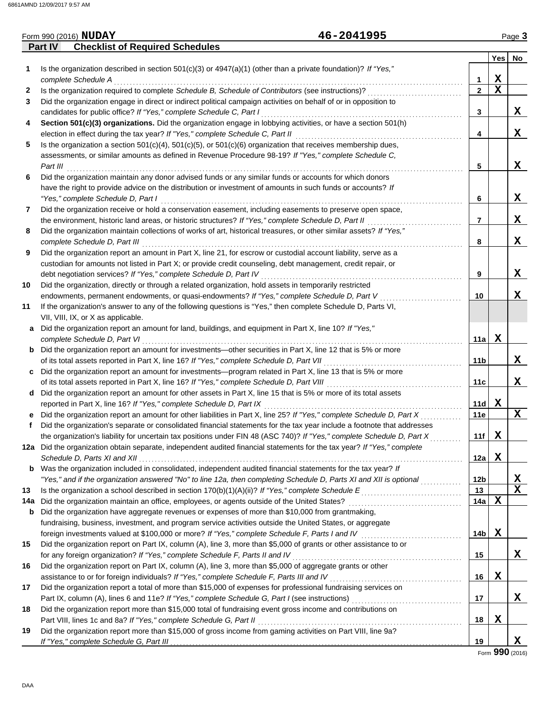|              | 46-2041995<br>Form 990 (2016) NUDAY                                                                                     |                 |             | Page 3      |
|--------------|-------------------------------------------------------------------------------------------------------------------------|-----------------|-------------|-------------|
|              | <b>Checklist of Required Schedules</b><br><b>Part IV</b>                                                                |                 |             |             |
|              |                                                                                                                         |                 |             | Yes No      |
| 1            | Is the organization described in section $501(c)(3)$ or $4947(a)(1)$ (other than a private foundation)? If "Yes,"       |                 |             |             |
|              | complete Schedule A                                                                                                     | $\mathbf{1}$    | $\mathbf X$ |             |
| $\mathbf{2}$ | Is the organization required to complete Schedule B, Schedule of Contributors (see instructions)?                       | $\overline{2}$  | $\mathbf x$ |             |
| 3            | Did the organization engage in direct or indirect political campaign activities on behalf of or in opposition to        |                 |             |             |
|              | candidates for public office? If "Yes," complete Schedule C, Part I                                                     | 3               |             | X           |
| 4            | Section 501(c)(3) organizations. Did the organization engage in lobbying activities, or have a section 501(h)           |                 |             |             |
|              |                                                                                                                         | 4               |             | X           |
| 5            | Is the organization a section $501(c)(4)$ , $501(c)(5)$ , or $501(c)(6)$ organization that receives membership dues,    |                 |             |             |
|              | assessments, or similar amounts as defined in Revenue Procedure 98-19? If "Yes," complete Schedule C,                   |                 |             |             |
|              | Part III                                                                                                                | 5               |             | X           |
| 6            | Did the organization maintain any donor advised funds or any similar funds or accounts for which donors                 |                 |             |             |
|              | have the right to provide advice on the distribution or investment of amounts in such funds or accounts? If             |                 |             |             |
|              | "Yes," complete Schedule D, Part I                                                                                      | 6               |             | X           |
| 7            | Did the organization receive or hold a conservation easement, including easements to preserve open space,               |                 |             |             |
|              | the environment, historic land areas, or historic structures? If "Yes," complete Schedule D, Part II                    | 7               |             | X           |
| 8            | Did the organization maintain collections of works of art, historical treasures, or other similar assets? If "Yes,"     |                 |             |             |
|              |                                                                                                                         | 8               |             | X           |
| 9            | Did the organization report an amount in Part X, line 21, for escrow or custodial account liability, serve as a         |                 |             |             |
|              | custodian for amounts not listed in Part X; or provide credit counseling, debt management, credit repair, or            |                 |             |             |
|              | debt negotiation services? If "Yes," complete Schedule D, Part IV                                                       | 9               |             | X           |
| 10           | Did the organization, directly or through a related organization, hold assets in temporarily restricted                 |                 |             |             |
|              | endowments, permanent endowments, or quasi-endowments? If "Yes," complete Schedule D, Part V                            | 10              |             | X           |
| 11           | If the organization's answer to any of the following questions is "Yes," then complete Schedule D, Parts VI,            |                 |             |             |
|              | VII, VIII, IX, or X as applicable.                                                                                      |                 |             |             |
|              | a Did the organization report an amount for land, buildings, and equipment in Part X, line 10? If "Yes,"                |                 |             |             |
|              |                                                                                                                         | 11a             | $\mathbf X$ |             |
|              | <b>b</b> Did the organization report an amount for investments—other securities in Part X, line 12 that is 5% or more   |                 |             |             |
|              |                                                                                                                         | 11 <sub>b</sub> |             | X           |
|              | c Did the organization report an amount for investments—program related in Part X, line 13 that is 5% or more           |                 |             |             |
|              |                                                                                                                         | 11c             |             | X           |
|              | d Did the organization report an amount for other assets in Part X, line 15 that is 5% or more of its total assets      |                 |             |             |
|              | reported in Part X, line 16? If "Yes," complete Schedule D, Part IX                                                     | 11d             | X           |             |
| е            | Did the organization report an amount for other liabilities in Part X, line 25? If "Yes," complete Schedule D, Part X   | 11e             |             | $\mathbf x$ |
|              | Did the organization's separate or consolidated financial statements for the tax year include a footnote that addresses |                 |             |             |
|              | the organization's liability for uncertain tax positions under FIN 48 (ASC 740)? If "Yes," complete Schedule D, Part X  | 11f             | X           |             |
|              | 12a Did the organization obtain separate, independent audited financial statements for the tax year? If "Yes," complete |                 |             |             |
|              |                                                                                                                         | 12a             | X           |             |
|              | <b>b</b> Was the organization included in consolidated, independent audited financial statements for the tax year? If   |                 |             |             |
|              | "Yes," and if the organization answered "No" to line 12a, then completing Schedule D, Parts XI and XII is optional      | 12 <sub>b</sub> |             | X           |
| 13           |                                                                                                                         | 13              |             | $\mathbf X$ |
| 14a          |                                                                                                                         | 14a             | $\mathbf X$ |             |
| b            | Did the organization have aggregate revenues or expenses of more than \$10,000 from grantmaking,                        |                 |             |             |
|              | fundraising, business, investment, and program service activities outside the United States, or aggregate               |                 |             |             |
|              | foreign investments valued at \$100,000 or more? If "Yes," complete Schedule F, Parts I and IV [[[[[[[[[[[[[[[[         | 14 <sub>b</sub> | $\mathbf X$ |             |
| 15           | Did the organization report on Part IX, column (A), line 3, more than \$5,000 of grants or other assistance to or       |                 |             |             |
|              | for any foreign organization? If "Yes," complete Schedule F, Parts II and IV                                            | 15              |             | X           |
| 16           | Did the organization report on Part IX, column (A), line 3, more than \$5,000 of aggregate grants or other              |                 |             |             |
|              | assistance to or for foreign individuals? If "Yes," complete Schedule F, Parts III and IV                               | 16              | X           |             |
| 17           | Did the organization report a total of more than \$15,000 of expenses for professional fundraising services on          |                 |             |             |
|              |                                                                                                                         | 17              |             | X           |
| 18           | Did the organization report more than \$15,000 total of fundraising event gross income and contributions on             |                 |             |             |
|              | Part VIII, lines 1c and 8a? If "Yes," complete Schedule G, Part II                                                      | 18              | X           |             |
| 19           | Did the organization report more than \$15,000 of gross income from gaming activities on Part VIII, line 9a?            |                 |             |             |
|              |                                                                                                                         | 19              |             | X           |

Form **990** (2016)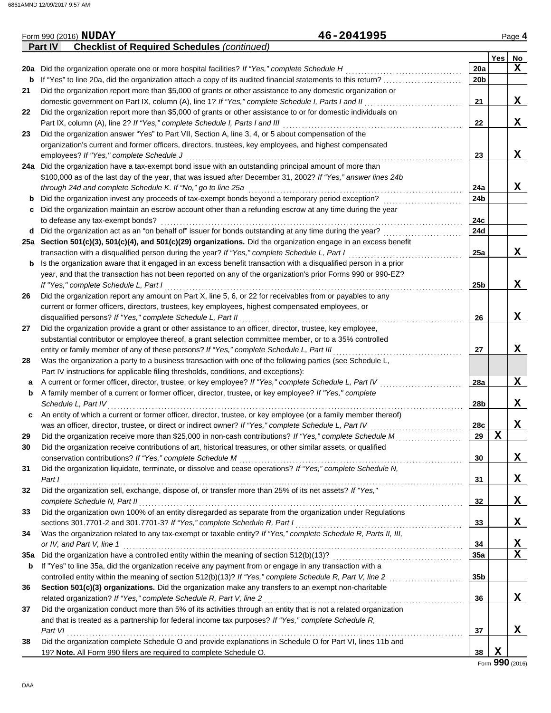|     | <b>Checklist of Required Schedules (continued)</b><br>Part IV                                                                          |                 |             |    |
|-----|----------------------------------------------------------------------------------------------------------------------------------------|-----------------|-------------|----|
|     |                                                                                                                                        |                 | Yes         | No |
|     | 20a Did the organization operate one or more hospital facilities? If "Yes," complete Schedule H                                        | 20a             |             | x  |
| b   | If "Yes" to line 20a, did the organization attach a copy of its audited financial statements to this return?                           | 20b             |             |    |
| 21  | Did the organization report more than \$5,000 of grants or other assistance to any domestic organization or                            |                 |             |    |
|     | domestic government on Part IX, column (A), line 1? If "Yes," complete Schedule I, Parts I and II                                      | 21              |             | X  |
| 22  | Did the organization report more than \$5,000 of grants or other assistance to or for domestic individuals on                          |                 |             |    |
|     | Part IX, column (A), line 2? If "Yes," complete Schedule I, Parts I and III                                                            | 22              |             | X  |
| 23  | Did the organization answer "Yes" to Part VII, Section A, line 3, 4, or 5 about compensation of the                                    |                 |             |    |
|     | organization's current and former officers, directors, trustees, key employees, and highest compensated                                |                 |             |    |
|     | employees? If "Yes," complete Schedule J                                                                                               | 23              |             | X  |
|     | 24a Did the organization have a tax-exempt bond issue with an outstanding principal amount of more than                                |                 |             |    |
|     | \$100,000 as of the last day of the year, that was issued after December 31, 2002? If "Yes," answer lines 24b                          |                 |             |    |
|     | through 24d and complete Schedule K. If "No," go to line 25a                                                                           | 24a             |             | X  |
| b   | Did the organization invest any proceeds of tax-exempt bonds beyond a temporary period exception?                                      | 24b             |             |    |
| c   | Did the organization maintain an escrow account other than a refunding escrow at any time during the year                              |                 |             |    |
|     | to defease any tax-exempt bonds?                                                                                                       | 24c             |             |    |
| d   | Did the organization act as an "on behalf of" issuer for bonds outstanding at any time during the year?                                | 24d             |             |    |
|     | 25a Section 501(c)(3), 501(c)(4), and 501(c)(29) organizations. Did the organization engage in an excess benefit                       |                 |             |    |
|     | transaction with a disqualified person during the year? If "Yes," complete Schedule L, Part I                                          | 25a             |             | X  |
| b   | Is the organization aware that it engaged in an excess benefit transaction with a disqualified person in a prior                       |                 |             |    |
|     | year, and that the transaction has not been reported on any of the organization's prior Forms 990 or 990-EZ?                           |                 |             |    |
|     | If "Yes," complete Schedule L, Part I                                                                                                  | 25 <sub>b</sub> |             | X  |
| 26  | Did the organization report any amount on Part X, line 5, 6, or 22 for receivables from or payables to any                             |                 |             |    |
|     | current or former officers, directors, trustees, key employees, highest compensated employees, or                                      |                 |             |    |
|     | disqualified persons? If "Yes," complete Schedule L, Part II                                                                           | 26              |             | X  |
| 27  | Did the organization provide a grant or other assistance to an officer, director, trustee, key employee,                               |                 |             |    |
|     | substantial contributor or employee thereof, a grant selection committee member, or to a 35% controlled                                |                 |             |    |
|     | entity or family member of any of these persons? If "Yes," complete Schedule L, Part III                                               | 27              |             | X  |
| 28  | Was the organization a party to a business transaction with one of the following parties (see Schedule L,                              |                 |             |    |
|     | Part IV instructions for applicable filing thresholds, conditions, and exceptions):                                                    |                 |             |    |
| а   | A current or former officer, director, trustee, or key employee? If "Yes," complete Schedule L, Part IV                                | 28a             |             | X  |
| b   | A family member of a current or former officer, director, trustee, or key employee? If "Yes," complete                                 |                 |             | X  |
|     | Schedule L, Part IV<br>An entity of which a current or former officer, director, trustee, or key employee (or a family member thereof) | 28b             |             |    |
| c   | was an officer, director, trustee, or direct or indirect owner? If "Yes," complete Schedule L, Part IV                                 | 28c             |             | X  |
|     | Did the organization receive more than \$25,000 in non-cash contributions? If "Yes," complete Schedule M                               | 29              | $\mathbf x$ |    |
| 29  | Did the organization receive contributions of art, historical treasures, or other similar assets, or qualified                         |                 |             |    |
|     | conservation contributions? If "Yes," complete Schedule M                                                                              | 30              |             | X  |
| 31  | Did the organization liquidate, terminate, or dissolve and cease operations? If "Yes," complete Schedule N,                            |                 |             |    |
|     | Part I                                                                                                                                 | 31              |             | X  |
| 32  | Did the organization sell, exchange, dispose of, or transfer more than 25% of its net assets? If "Yes,"                                |                 |             |    |
|     | complete Schedule N, Part II                                                                                                           | 32              |             | X  |
| 33  | Did the organization own 100% of an entity disregarded as separate from the organization under Regulations                             |                 |             |    |
|     | sections 301.7701-2 and 301.7701-3? If "Yes," complete Schedule R, Part I                                                              | 33              |             | X  |
| 34  | Was the organization related to any tax-exempt or taxable entity? If "Yes," complete Schedule R, Parts II, III,                        |                 |             |    |
|     | or IV, and Part V, line 1                                                                                                              | 34              |             | X  |
| 35a | Did the organization have a controlled entity within the meaning of section 512(b)(13)?                                                | <b>35a</b>      |             | X  |
| b   | If "Yes" to line 35a, did the organization receive any payment from or engage in any transaction with a                                |                 |             |    |
|     | controlled entity within the meaning of section 512(b)(13)? If "Yes," complete Schedule R, Part V, line 2                              | 35b             |             |    |
| 36  | Section 501(c)(3) organizations. Did the organization make any transfers to an exempt non-charitable                                   |                 |             |    |
|     | related organization? If "Yes," complete Schedule R, Part V, line 2                                                                    | 36              |             | X  |
| 37  | Did the organization conduct more than 5% of its activities through an entity that is not a related organization                       |                 |             |    |
|     | and that is treated as a partnership for federal income tax purposes? If "Yes," complete Schedule R,                                   |                 |             |    |
|     | Part VI                                                                                                                                | 37              |             | X  |
| 38  | Did the organization complete Schedule O and provide explanations in Schedule O for Part VI, lines 11b and                             |                 |             |    |
|     | 19? Note. All Form 990 filers are required to complete Schedule O.                                                                     | 38              | X           |    |
|     |                                                                                                                                        |                 | $\sim$      |    |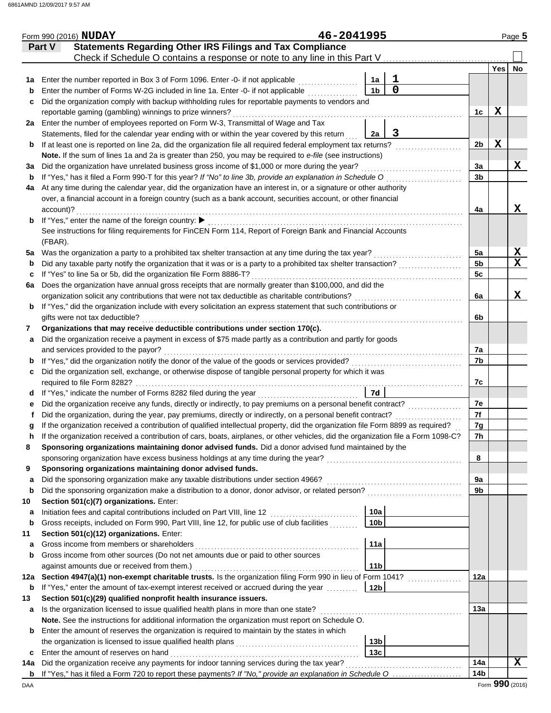|     | Form 990 (2016) NUDAY                                                                                                                                                                                           | 46-2041995 |                 |                                                                                                                       |                 |     | Page 5          |
|-----|-----------------------------------------------------------------------------------------------------------------------------------------------------------------------------------------------------------------|------------|-----------------|-----------------------------------------------------------------------------------------------------------------------|-----------------|-----|-----------------|
|     | <b>Statements Regarding Other IRS Filings and Tax Compliance</b><br>Part V                                                                                                                                      |            |                 |                                                                                                                       |                 |     |                 |
|     | Check if Schedule O contains a response or note to any line in this Part V.                                                                                                                                     |            |                 |                                                                                                                       |                 |     |                 |
|     |                                                                                                                                                                                                                 |            |                 |                                                                                                                       |                 | Yes | No              |
| 1a  | Enter the number reported in Box 3 of Form 1096. Enter -0- if not applicable                                                                                                                                    |            | 1a              | $\mathbf 1$<br>$\Omega$                                                                                               |                 |     |                 |
| b   | Enter the number of Forms W-2G included in line 1a. Enter -0- if not applicable                                                                                                                                 |            | 1 <sub>b</sub>  |                                                                                                                       |                 |     |                 |
| c   | Did the organization comply with backup withholding rules for reportable payments to vendors and                                                                                                                |            |                 |                                                                                                                       |                 |     |                 |
|     | reportable gaming (gambling) winnings to prize winners?                                                                                                                                                         |            |                 |                                                                                                                       | 1c              | X   |                 |
| 2a  | Enter the number of employees reported on Form W-3, Transmittal of Wage and Tax                                                                                                                                 |            |                 | 3                                                                                                                     |                 |     |                 |
|     | Statements, filed for the calendar year ending with or within the year covered by this return<br>If at least one is reported on line 2a, did the organization file all required federal employment tax returns? |            | 2a              |                                                                                                                       | 2b              | X   |                 |
| b   | Note. If the sum of lines 1a and 2a is greater than 250, you may be required to e-file (see instructions)                                                                                                       |            |                 |                                                                                                                       |                 |     |                 |
| За  | Did the organization have unrelated business gross income of \$1,000 or more during the year?                                                                                                                   |            |                 |                                                                                                                       | 3a              |     | x               |
| b   | If "Yes," has it filed a Form 990-T for this year? If "No" to line 3b, provide an explanation in Schedule O                                                                                                     |            |                 |                                                                                                                       | 3b              |     |                 |
| 4a  | At any time during the calendar year, did the organization have an interest in, or a signature or other authority                                                                                               |            |                 |                                                                                                                       |                 |     |                 |
|     | over, a financial account in a foreign country (such as a bank account, securities account, or other financial                                                                                                  |            |                 |                                                                                                                       |                 |     |                 |
|     | account)?                                                                                                                                                                                                       |            |                 |                                                                                                                       | 4a              |     | X               |
| b   | If "Yes," enter the name of the foreign country: ▶                                                                                                                                                              |            |                 |                                                                                                                       |                 |     |                 |
|     | See instructions for filing requirements for FinCEN Form 114, Report of Foreign Bank and Financial Accounts                                                                                                     |            |                 |                                                                                                                       |                 |     |                 |
|     | (FBAR).                                                                                                                                                                                                         |            |                 |                                                                                                                       |                 |     |                 |
| 5a  | Was the organization a party to a prohibited tax shelter transaction at any time during the tax year?                                                                                                           |            |                 |                                                                                                                       | 5a              |     | X               |
| b   | Did any taxable party notify the organization that it was or is a party to a prohibited tax shelter transaction?                                                                                                |            |                 |                                                                                                                       | 5b              |     | х               |
| c   | If "Yes" to line 5a or 5b, did the organization file Form 8886-T?                                                                                                                                               |            |                 |                                                                                                                       | 5c              |     |                 |
| 6a  | Does the organization have annual gross receipts that are normally greater than \$100,000, and did the                                                                                                          |            |                 |                                                                                                                       |                 |     |                 |
|     | organization solicit any contributions that were not tax deductible as charitable contributions?                                                                                                                |            |                 |                                                                                                                       | 6a              |     | x               |
| b   | If "Yes," did the organization include with every solicitation an express statement that such contributions or                                                                                                  |            |                 |                                                                                                                       |                 |     |                 |
|     | gifts were not tax deductible?                                                                                                                                                                                  |            |                 |                                                                                                                       | 6b              |     |                 |
| 7   | Organizations that may receive deductible contributions under section 170(c).                                                                                                                                   |            |                 |                                                                                                                       |                 |     |                 |
| а   | Did the organization receive a payment in excess of \$75 made partly as a contribution and partly for goods                                                                                                     |            |                 |                                                                                                                       |                 |     |                 |
|     | and services provided to the payor?                                                                                                                                                                             |            |                 |                                                                                                                       | 7a              |     |                 |
| b   | If "Yes," did the organization notify the donor of the value of the goods or services provided?                                                                                                                 |            |                 |                                                                                                                       | 7b              |     |                 |
| c   | Did the organization sell, exchange, or otherwise dispose of tangible personal property for which it was                                                                                                        |            |                 |                                                                                                                       |                 |     |                 |
|     | required to file Form 8282?<br>If "Yes," indicate the number of Forms 8282 filed during the year                                                                                                                |            | 7d              |                                                                                                                       | 7c              |     |                 |
| d   | Did the organization receive any funds, directly or indirectly, to pay premiums on a personal benefit contract?                                                                                                 |            |                 |                                                                                                                       | 7e              |     |                 |
| е   | Did the organization, during the year, pay premiums, directly or indirectly, on a personal benefit contract?                                                                                                    |            |                 |                                                                                                                       | 7f              |     |                 |
|     | If the organization received a contribution of qualified intellectual property, did the organization file Form 8899 as required?                                                                                |            |                 |                                                                                                                       | 7g              |     |                 |
| n   | If the organization received a contribution of cars, boats, airplanes, or other vehicles, did the organization file a Form 1098-C?                                                                              |            |                 |                                                                                                                       | 7 <sub>h</sub>  |     |                 |
| 8   | Sponsoring organizations maintaining donor advised funds. Did a donor advised fund maintained by the                                                                                                            |            |                 |                                                                                                                       |                 |     |                 |
|     | sponsoring organization have excess business holdings at any time during the year?                                                                                                                              |            |                 | <u> 1986 - Jan Barbarat, martin da shekara ta 1986 - An tsa a tsa a tsa a tsa a tsa a tsa a tsa a tsa a tsa a tsa</u> | 8               |     |                 |
| 9   | Sponsoring organizations maintaining donor advised funds.                                                                                                                                                       |            |                 |                                                                                                                       |                 |     |                 |
| a   | Did the sponsoring organization make any taxable distributions under section 4966?                                                                                                                              |            |                 |                                                                                                                       | 9a              |     |                 |
| b   | Did the sponsoring organization make a distribution to a donor, donor advisor, or related person?                                                                                                               |            |                 |                                                                                                                       | 9b              |     |                 |
| 10  | Section 501(c)(7) organizations. Enter:                                                                                                                                                                         |            |                 |                                                                                                                       |                 |     |                 |
| a   | Initiation fees and capital contributions included on Part VIII, line 12                                                                                                                                        |            | 10a             |                                                                                                                       |                 |     |                 |
| b   | Gross receipts, included on Form 990, Part VIII, line 12, for public use of club facilities                                                                                                                     |            | 10 <sub>b</sub> |                                                                                                                       |                 |     |                 |
| 11  | Section 501(c)(12) organizations. Enter:                                                                                                                                                                        |            |                 |                                                                                                                       |                 |     |                 |
| а   | Gross income from members or shareholders                                                                                                                                                                       |            | 11a             |                                                                                                                       |                 |     |                 |
| b   | Gross income from other sources (Do not net amounts due or paid to other sources                                                                                                                                |            |                 |                                                                                                                       |                 |     |                 |
|     | against amounts due or received from them.)                                                                                                                                                                     |            | 11 <sub>b</sub> |                                                                                                                       |                 |     |                 |
| 12a | Section 4947(a)(1) non-exempt charitable trusts. Is the organization filing Form 990 in lieu of Form 1041?                                                                                                      |            |                 |                                                                                                                       | 12a             |     |                 |
| b   | If "Yes," enter the amount of tax-exempt interest received or accrued during the year                                                                                                                           |            | 12 <sub>b</sub> |                                                                                                                       |                 |     |                 |
| 13  | Section 501(c)(29) qualified nonprofit health insurance issuers.                                                                                                                                                |            |                 |                                                                                                                       | 13a             |     |                 |
| a   | Is the organization licensed to issue qualified health plans in more than one state?<br>Note. See the instructions for additional information the organization must report on Schedule O.                       |            |                 |                                                                                                                       |                 |     |                 |
| b   | Enter the amount of reserves the organization is required to maintain by the states in which                                                                                                                    |            |                 |                                                                                                                       |                 |     |                 |
|     | the organization is licensed to issue qualified health plans                                                                                                                                                    |            | 13 <sub>b</sub> |                                                                                                                       |                 |     |                 |
| c   | Enter the amount of reserves on hand                                                                                                                                                                            |            | 13 <sub>c</sub> |                                                                                                                       |                 |     |                 |
| 14a | Did the organization receive any payments for indoor tanning services during the tax year?                                                                                                                      |            |                 |                                                                                                                       | 14a             |     | X               |
| b   | If "Yes," has it filed a Form 720 to report these payments? If "No," provide an explanation in Schedule O                                                                                                       |            |                 |                                                                                                                       | 14 <sub>b</sub> |     |                 |
| DAA |                                                                                                                                                                                                                 |            |                 |                                                                                                                       |                 |     | Form 990 (2016) |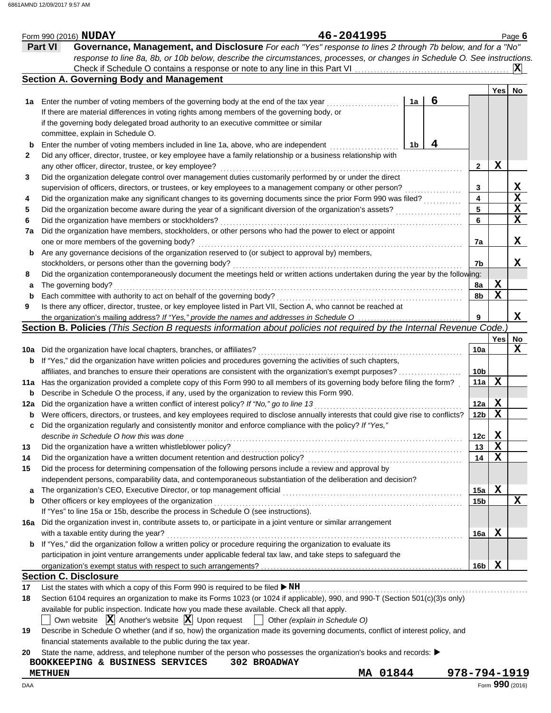|     | 46-2041995<br>Form 990 (2016) NUDAY                                                                                                                                                      |                 |             | Page $6$    |
|-----|------------------------------------------------------------------------------------------------------------------------------------------------------------------------------------------|-----------------|-------------|-------------|
|     | Governance, Management, and Disclosure For each "Yes" response to lines 2 through 7b below, and for a "No"<br><b>Part VI</b>                                                             |                 |             |             |
|     | response to line 8a, 8b, or 10b below, describe the circumstances, processes, or changes in Schedule O. See instructions.                                                                |                 |             |             |
|     |                                                                                                                                                                                          |                 |             | $ {\bf X} $ |
|     | <b>Section A. Governing Body and Management</b>                                                                                                                                          |                 |             |             |
|     |                                                                                                                                                                                          |                 | Yes         | No          |
| 1a  | 6<br>Enter the number of voting members of the governing body at the end of the tax year<br>1a                                                                                           |                 |             |             |
|     | If there are material differences in voting rights among members of the governing body, or                                                                                               |                 |             |             |
|     | if the governing body delegated broad authority to an executive committee or similar                                                                                                     |                 |             |             |
|     | committee, explain in Schedule O.                                                                                                                                                        |                 |             |             |
| b   | 4<br>1 <sub>b</sub><br>Enter the number of voting members included in line 1a, above, who are independent                                                                                |                 |             |             |
| 2   | Did any officer, director, trustee, or key employee have a family relationship or a business relationship with                                                                           |                 |             |             |
|     | any other officer, director, trustee, or key employee?                                                                                                                                   | 2               | X           |             |
| 3   | Did the organization delegate control over management duties customarily performed by or under the direct                                                                                |                 |             |             |
|     | supervision of officers, directors, or trustees, or key employees to a management company or other person?                                                                               | 3               |             | X           |
| 4   | Did the organization make any significant changes to its governing documents since the prior Form 990 was filed?                                                                         | 4               |             | X           |
| 5   | Did the organization become aware during the year of a significant diversion of the organization's assets?                                                                               | 5               |             | X           |
| 6   | Did the organization have members or stockholders?                                                                                                                                       | 6               |             | $\mathbf x$ |
| 7a  | Did the organization have members, stockholders, or other persons who had the power to elect or appoint                                                                                  |                 |             |             |
|     | one or more members of the governing body?                                                                                                                                               | 7a              |             | X           |
| b   | Are any governance decisions of the organization reserved to (or subject to approval by) members,                                                                                        |                 |             |             |
|     | stockholders, or persons other than the governing body?                                                                                                                                  | 7b              |             | x           |
| 8   | Did the organization contemporaneously document the meetings held or written actions undertaken during the year by the following:                                                        |                 |             |             |
| a   | The governing body?                                                                                                                                                                      | 8a              | X           |             |
| b   | Each committee with authority to act on behalf of the governing body?                                                                                                                    | 8b              | $\mathbf X$ |             |
| 9   | Is there any officer, director, trustee, or key employee listed in Part VII, Section A, who cannot be reached at                                                                         |                 |             |             |
|     | the organization's mailing address? If "Yes," provide the names and addresses in Schedule O                                                                                              |                 |             | X           |
|     | Section B. Policies (This Section B requests information about policies not required by the Internal Revenue Code.                                                                       |                 |             |             |
|     |                                                                                                                                                                                          |                 | Yes         | No          |
|     |                                                                                                                                                                                          | 10a             |             | X           |
| 10a | Did the organization have local chapters, branches, or affiliates?                                                                                                                       |                 |             |             |
| b   | If "Yes," did the organization have written policies and procedures governing the activities of such chapters,                                                                           |                 |             |             |
|     | affiliates, and branches to ensure their operations are consistent with the organization's exempt purposes?                                                                              | 10 <sub>b</sub> | $\mathbf X$ |             |
|     | 11a Has the organization provided a complete copy of this Form 990 to all members of its governing body before filing the form?                                                          | 11a             |             |             |
| b   | Describe in Schedule O the process, if any, used by the organization to review this Form 990.                                                                                            |                 |             |             |
| 12a | Did the organization have a written conflict of interest policy? If "No," go to line 13                                                                                                  | 12a             | X           |             |
| b   | Were officers, directors, or trustees, and key employees required to disclose annually interests that could give rise to conflicts?                                                      | 12 <sub>b</sub> | $\mathbf x$ |             |
|     | Did the organization regularly and consistently monitor and enforce compliance with the policy? If "Yes,"                                                                                |                 |             |             |
|     | describe in Schedule O how this was done                                                                                                                                                 | 12c             | X           |             |
| 13  | Did the organization have a written whistleblower policy?                                                                                                                                | 13              | $\mathbf X$ |             |
| 14  | Did the organization have a written document retention and destruction policy?                                                                                                           | 14              | $\mathbf x$ |             |
| 15  | Did the process for determining compensation of the following persons include a review and approval by                                                                                   |                 |             |             |
|     | independent persons, comparability data, and contemporaneous substantiation of the deliberation and decision?                                                                            |                 |             |             |
| a   | The organization's CEO, Executive Director, or top management official<br>and a complete the contract of the complete the complete the complete the complete the complete the complete t | 15a             | $\mathbf X$ |             |
| b   | Other officers or key employees of the organization                                                                                                                                      | 15 <sub>b</sub> |             | X           |
|     | If "Yes" to line 15a or 15b, describe the process in Schedule O (see instructions).                                                                                                      |                 |             |             |
|     | 16a Did the organization invest in, contribute assets to, or participate in a joint venture or similar arrangement                                                                       |                 |             |             |
|     | with a taxable entity during the year?                                                                                                                                                   | 16a             | X           |             |
| b   | If "Yes," did the organization follow a written policy or procedure requiring the organization to evaluate its                                                                           |                 |             |             |
|     | participation in joint venture arrangements under applicable federal tax law, and take steps to safeguard the                                                                            |                 |             |             |
|     |                                                                                                                                                                                          | 16 <sub>b</sub> | X           |             |
|     | <b>Section C. Disclosure</b>                                                                                                                                                             |                 |             |             |
| 17  | List the states with which a copy of this Form 990 is required to be filed ▶ NH                                                                                                          |                 |             |             |
| 18  | Section 6104 requires an organization to make its Forms 1023 (or 1024 if applicable), 990, and 990-T (Section 501(c)(3)s only)                                                           |                 |             |             |
|     | available for public inspection. Indicate how you made these available. Check all that apply.                                                                                            |                 |             |             |
|     | Own website $ \mathbf{X} $ Another's website $ \mathbf{X} $ Upon request<br>Other (explain in Schedule O)                                                                                |                 |             |             |
| 19  | Describe in Schedule O whether (and if so, how) the organization made its governing documents, conflict of interest policy, and                                                          |                 |             |             |
|     | financial statements available to the public during the tax year.                                                                                                                        |                 |             |             |
| 20  | State the name, address, and telephone number of the person who possesses the organization's books and records: ▶                                                                        |                 |             |             |
|     | 302 BROADWAY<br>BOOKKEEPING & BUSINESS SERVICES                                                                                                                                          |                 |             |             |
|     | MA 01844<br>978-794-1919<br><b>METHUEN</b>                                                                                                                                               |                 |             |             |

 $\blacksquare$   $\blacksquare$   $\blacksquare$   $\blacksquare$   $\blacksquare$   $\blacksquare$   $\blacksquare$   $\blacksquare$   $\blacksquare$   $\blacksquare$   $\blacksquare$   $\blacksquare$   $\blacksquare$   $\blacksquare$   $\blacksquare$   $\blacksquare$   $\blacksquare$   $\blacksquare$   $\blacksquare$   $\blacksquare$   $\blacksquare$   $\blacksquare$   $\blacksquare$   $\blacksquare$   $\blacksquare$   $\blacksquare$   $\blacksquare$   $\blacksquare$   $\blacksquare$   $\blacksquare$   $\blacksquare$   $\blacks$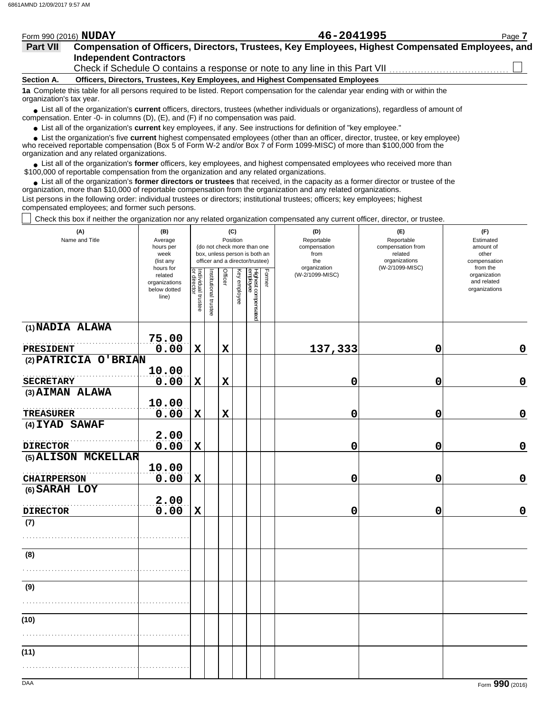|                          | Form 990 (2016) NUDAY                                                                                                                                                                                                                                                      | 46-2041995<br>Page 7 |
|--------------------------|----------------------------------------------------------------------------------------------------------------------------------------------------------------------------------------------------------------------------------------------------------------------------|----------------------|
| <b>Part VII</b>          | Compensation of Officers, Directors, Trustees, Key Employees, Highest Compensated Employees, and<br><b>Independent Contractors</b><br>Check if Schedule O contains a response or note to any line in this Part VII                                                         |                      |
| <b>Section A.</b>        | Officers, Directors, Trustees, Key Employees, and Highest Compensated Employees                                                                                                                                                                                            |                      |
| organization's tax year. | 1a Complete this table for all persons required to be listed. Report compensation for the calendar year ending with or within the<br>I ist all of the organization's current officers, directors, trustees (whether individuals or organizations), regardless of amount of |                      |

List all of the organization's **current** officers, directors, trustees (whether individuals or organizations), regardless of amount of ● List all of the organization's **current** officers, directors, trustees (whether indicompensation. Enter -0- in columns (D), (E), and (F) if no compensation was paid.

● List all of the organization's **current** key employees, if any. See instructions for definition of "key employee."

who received reportable compensation (Box 5 of Form W-2 and/or Box 7 of Form 1099-MISC) of more than \$100,000 from the  $\bullet$  List the organization's five **current** highest compensated employees (other than an officer, director, trustee, or key employee)<br>a received reportable compensation (Box 5 of Form  $M-2$  and/or Box 7 of Form 1000-MISC)

organization and any related organizations.

List all of the organization's **former** officers, key employees, and highest compensated employees who received more than • List all of the organization's **former** officers, key employees, and highest compensate \$100,000 of reportable compensation from the organization and any related organizations.

• List all of the organization's **former directors or trustees** that received, in the capacity as a former director or trustee of the organization, more than \$10,000 of reportable compensation from the organization and any related organizations. List persons in the following order: individual trustees or directors; institutional trustees; officers; key employees; highest compensated employees; and former such persons.

Check this box if neither the organization nor any related organization compensated any current officer, director, or trustee.

| (A)<br>Name and Title               | (B)<br>Average<br>hours per<br>week<br>(list any               |                                   | (C)<br>Position<br>(do not check more than one<br>box, unless person is both an<br>officer and a director/trustee) |             |              |                                 |        | (D)<br>Reportable<br>compensation<br>from<br>the | (E)<br>Reportable<br>compensation from<br>related<br>organizations<br>(W-2/1099-MISC) | (F)<br>Estimated<br>amount of<br>other<br>compensation   |
|-------------------------------------|----------------------------------------------------------------|-----------------------------------|--------------------------------------------------------------------------------------------------------------------|-------------|--------------|---------------------------------|--------|--------------------------------------------------|---------------------------------------------------------------------------------------|----------------------------------------------------------|
|                                     | hours for<br>related<br>organizations<br>below dotted<br>line) | Individual trustee<br>or director | nstitutional trustee                                                                                               | Officer     | Key employee | Highest compensated<br>employee | Former | organization<br>(W-2/1099-MISC)                  |                                                                                       | from the<br>organization<br>and related<br>organizations |
| (1) NADIA ALAWA                     |                                                                |                                   |                                                                                                                    |             |              |                                 |        |                                                  |                                                                                       |                                                          |
| PRESIDENT                           | 75.00<br>0.00                                                  | $\mathbf X$                       |                                                                                                                    | $\mathbf x$ |              |                                 |        | 137,333                                          | 0                                                                                     | 0                                                        |
| (2) PATRICIA O'BRIAN                |                                                                |                                   |                                                                                                                    |             |              |                                 |        |                                                  |                                                                                       |                                                          |
|                                     | 10.00                                                          |                                   |                                                                                                                    |             |              |                                 |        |                                                  |                                                                                       |                                                          |
| <b>SECRETARY</b>                    | 0.00                                                           | $\mathbf x$                       |                                                                                                                    | $\mathbf x$ |              |                                 |        | 0                                                | 0                                                                                     | $\mathbf 0$                                              |
| (3) AIMAN ALAWA                     | 10.00                                                          |                                   |                                                                                                                    |             |              |                                 |        |                                                  |                                                                                       |                                                          |
| <b>TREASURER</b>                    | 0.00                                                           | $\mathbf x$                       |                                                                                                                    | $\mathbf x$ |              |                                 |        | 0                                                | 0                                                                                     | $\mathbf 0$                                              |
| (4) IYAD SAWAF                      |                                                                |                                   |                                                                                                                    |             |              |                                 |        |                                                  |                                                                                       |                                                          |
| <b>DIRECTOR</b>                     | 2.00<br>0.00                                                   | $\mathbf x$                       |                                                                                                                    |             |              |                                 |        | 0                                                | $\mathbf 0$                                                                           | $\mathbf 0$                                              |
| (5) ALISON MCKELLAR                 |                                                                |                                   |                                                                                                                    |             |              |                                 |        |                                                  |                                                                                       |                                                          |
|                                     | 10.00<br>0.00                                                  |                                   |                                                                                                                    |             |              |                                 |        |                                                  |                                                                                       | $\mathbf 0$                                              |
| <b>CHAIRPERSON</b><br>(6) SARAH LOY |                                                                | $\mathbf x$                       |                                                                                                                    |             |              |                                 |        | 0                                                | 0                                                                                     |                                                          |
| <b>DIRECTOR</b>                     | 2.00<br>0.00                                                   | $\mathbf x$                       |                                                                                                                    |             |              |                                 |        | 0                                                | 0                                                                                     | $\mathbf 0$                                              |
| (7)                                 |                                                                |                                   |                                                                                                                    |             |              |                                 |        |                                                  |                                                                                       |                                                          |
|                                     |                                                                |                                   |                                                                                                                    |             |              |                                 |        |                                                  |                                                                                       |                                                          |
| (8)                                 |                                                                |                                   |                                                                                                                    |             |              |                                 |        |                                                  |                                                                                       |                                                          |
|                                     |                                                                |                                   |                                                                                                                    |             |              |                                 |        |                                                  |                                                                                       |                                                          |
| (9)                                 |                                                                |                                   |                                                                                                                    |             |              |                                 |        |                                                  |                                                                                       |                                                          |
|                                     |                                                                |                                   |                                                                                                                    |             |              |                                 |        |                                                  |                                                                                       |                                                          |
| (10)                                |                                                                |                                   |                                                                                                                    |             |              |                                 |        |                                                  |                                                                                       |                                                          |
|                                     |                                                                |                                   |                                                                                                                    |             |              |                                 |        |                                                  |                                                                                       |                                                          |
| (11)                                |                                                                |                                   |                                                                                                                    |             |              |                                 |        |                                                  |                                                                                       |                                                          |
|                                     |                                                                |                                   |                                                                                                                    |             |              |                                 |        |                                                  |                                                                                       |                                                          |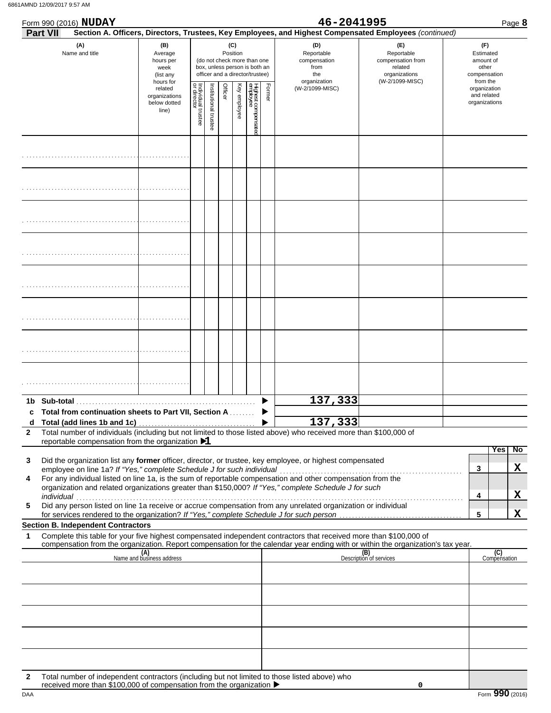|              | <b>בבעטובן</b> (טווטג) שפט ווווט ו<br><b>Part VII</b>                                                                                                                                                                                                                                                                                                                                                                                                           |                                                                |                                                                                                                                                                                                                                                                 |                      |         |              |                                 |        | 10 2011 <i>03</i><br>Section A. Officers, Directors, Trustees, Key Employees, and Highest Compensated Employees (continued) |                                |        | ı aye u                                                  |  |
|--------------|-----------------------------------------------------------------------------------------------------------------------------------------------------------------------------------------------------------------------------------------------------------------------------------------------------------------------------------------------------------------------------------------------------------------------------------------------------------------|----------------------------------------------------------------|-----------------------------------------------------------------------------------------------------------------------------------------------------------------------------------------------------------------------------------------------------------------|----------------------|---------|--------------|---------------------------------|--------|-----------------------------------------------------------------------------------------------------------------------------|--------------------------------|--------|----------------------------------------------------------|--|
|              | (A)<br>Name and title                                                                                                                                                                                                                                                                                                                                                                                                                                           | (B)<br>Average<br>hours per<br>week<br>(list any               | (C)<br>(D)<br>(F)<br>Position<br>Reportable<br>Reportable<br>(do not check more than one<br>compensation from<br>compensation<br>box, unless person is both an<br>related<br>from<br>officer and a director/trustee)<br>the<br>organizations<br>(W-2/1099-MISC) |                      |         |              |                                 |        |                                                                                                                             |                                |        |                                                          |  |
|              |                                                                                                                                                                                                                                                                                                                                                                                                                                                                 | hours for<br>related<br>organizations<br>below dotted<br>line) | Individual t<br>or director<br>Itustee                                                                                                                                                                                                                          | nstitutional trustee | Officer | Key employee | Highest compensatec<br>employee | Former | organization<br>(W-2/1099-MISC)                                                                                             |                                |        | from the<br>organization<br>and related<br>organizations |  |
|              |                                                                                                                                                                                                                                                                                                                                                                                                                                                                 |                                                                |                                                                                                                                                                                                                                                                 |                      |         |              |                                 |        |                                                                                                                             |                                |        |                                                          |  |
|              |                                                                                                                                                                                                                                                                                                                                                                                                                                                                 |                                                                |                                                                                                                                                                                                                                                                 |                      |         |              |                                 |        |                                                                                                                             |                                |        |                                                          |  |
|              |                                                                                                                                                                                                                                                                                                                                                                                                                                                                 |                                                                |                                                                                                                                                                                                                                                                 |                      |         |              |                                 |        |                                                                                                                             |                                |        |                                                          |  |
|              |                                                                                                                                                                                                                                                                                                                                                                                                                                                                 |                                                                |                                                                                                                                                                                                                                                                 |                      |         |              |                                 |        |                                                                                                                             |                                |        |                                                          |  |
|              |                                                                                                                                                                                                                                                                                                                                                                                                                                                                 |                                                                |                                                                                                                                                                                                                                                                 |                      |         |              |                                 |        |                                                                                                                             |                                |        |                                                          |  |
|              |                                                                                                                                                                                                                                                                                                                                                                                                                                                                 |                                                                |                                                                                                                                                                                                                                                                 |                      |         |              |                                 |        |                                                                                                                             |                                |        |                                                          |  |
|              |                                                                                                                                                                                                                                                                                                                                                                                                                                                                 |                                                                |                                                                                                                                                                                                                                                                 |                      |         |              |                                 |        |                                                                                                                             |                                |        |                                                          |  |
|              |                                                                                                                                                                                                                                                                                                                                                                                                                                                                 |                                                                |                                                                                                                                                                                                                                                                 |                      |         |              |                                 |        |                                                                                                                             |                                |        |                                                          |  |
| c<br>d<br>2  | 1b Sub-total<br>Total from continuation sheets to Part VII, Section A<br>Total (add lines 1b and 1c)<br>Total number of individuals (including but not limited to those listed above) who received more than \$100,000 of<br>reportable compensation from the organization $\blacktriangleright$ 1                                                                                                                                                              |                                                                |                                                                                                                                                                                                                                                                 |                      |         |              |                                 |        | 137,333<br>137,333                                                                                                          |                                |        |                                                          |  |
| 3<br>4       | Did the organization list any former officer, director, or trustee, key employee, or highest compensated<br>For any individual listed on line 1a, is the sum of reportable compensation and other compensation from the<br>organization and related organizations greater than \$150,000? If "Yes," complete Schedule J for such<br>individual<br>Did any person listed on line 1a receive or accrue compensation from any unrelated organization or individual |                                                                |                                                                                                                                                                                                                                                                 |                      |         |              |                                 |        |                                                                                                                             |                                | 3<br>4 | Yes<br>No.<br>X<br>X                                     |  |
| 5            |                                                                                                                                                                                                                                                                                                                                                                                                                                                                 |                                                                |                                                                                                                                                                                                                                                                 |                      |         |              |                                 |        |                                                                                                                             |                                | 5      | X                                                        |  |
| 1            | <b>Section B. Independent Contractors</b><br>Complete this table for your five highest compensated independent contractors that received more than \$100,000 of<br>compensation from the organization. Report compensation for the calendar year ending with or within the organization's tax year.                                                                                                                                                             |                                                                |                                                                                                                                                                                                                                                                 |                      |         |              |                                 |        |                                                                                                                             |                                |        |                                                          |  |
|              |                                                                                                                                                                                                                                                                                                                                                                                                                                                                 | (A)<br>Name and business address                               |                                                                                                                                                                                                                                                                 |                      |         |              |                                 |        |                                                                                                                             | (B)<br>Description of services |        | (C)<br>Compensation                                      |  |
|              |                                                                                                                                                                                                                                                                                                                                                                                                                                                                 |                                                                |                                                                                                                                                                                                                                                                 |                      |         |              |                                 |        |                                                                                                                             |                                |        |                                                          |  |
|              |                                                                                                                                                                                                                                                                                                                                                                                                                                                                 |                                                                |                                                                                                                                                                                                                                                                 |                      |         |              |                                 |        |                                                                                                                             |                                |        |                                                          |  |
| $\mathbf{2}$ | Total number of independent contractors (including but not limited to those listed above) who                                                                                                                                                                                                                                                                                                                                                                   |                                                                |                                                                                                                                                                                                                                                                 |                      |         |              |                                 |        |                                                                                                                             |                                |        |                                                          |  |
|              | received more than \$100,000 of compensation from the organization ▶                                                                                                                                                                                                                                                                                                                                                                                            |                                                                |                                                                                                                                                                                                                                                                 |                      |         |              |                                 |        |                                                                                                                             | 0                              |        |                                                          |  |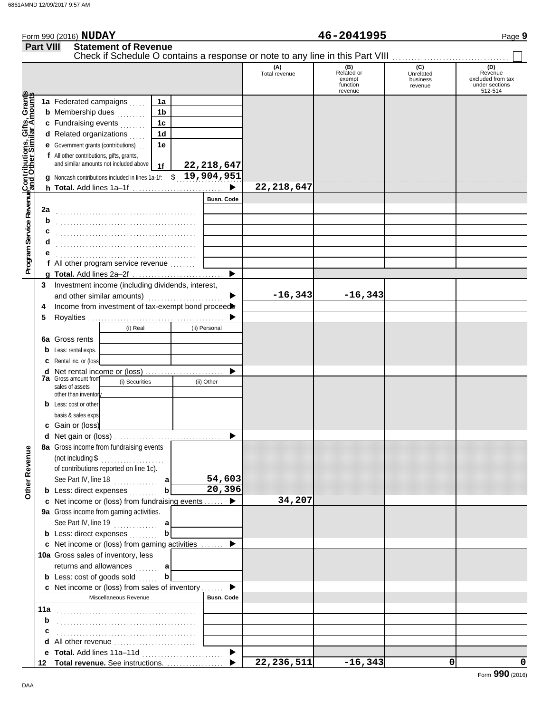|                                                          | Form 990 (2016) NUDAY                                                                  |                |                       |                      | 46-2041995                              |                                         | Page 9                                                |
|----------------------------------------------------------|----------------------------------------------------------------------------------------|----------------|-----------------------|----------------------|-----------------------------------------|-----------------------------------------|-------------------------------------------------------|
| <b>Part VIII</b>                                         | <b>Statement of Revenue</b>                                                            |                |                       |                      |                                         |                                         |                                                       |
|                                                          | Check if Schedule O contains a response or note to any line in this Part VIII          |                |                       | (A)<br>Total revenue | (B)<br>Related or<br>exempt<br>function | (C)<br>Unrelated<br>business<br>revenue | (D)<br>Revenue<br>excluded from tax<br>under sections |
|                                                          | 1a Federated campaigns                                                                 | 1a             |                       |                      | revenue                                 |                                         | 512-514                                               |
|                                                          | <b>b</b> Membership dues <i></i> .                                                     | 1b             |                       |                      |                                         |                                         |                                                       |
| <b>Program Service Revenue and Other Similar Amounts</b> | c Fundraising events                                                                   | 1 <sub>c</sub> |                       |                      |                                         |                                         |                                                       |
|                                                          | d Related organizations                                                                | 1d             |                       |                      |                                         |                                         |                                                       |
|                                                          | a a a a a<br><b>e</b> Government grants (contributions)                                | 1e             |                       |                      |                                         |                                         |                                                       |
|                                                          | f All other contributions, gifts, grants,                                              |                |                       |                      |                                         |                                         |                                                       |
|                                                          | and similar amounts not included above                                                 | 1f             | 22, 218, 647          |                      |                                         |                                         |                                                       |
|                                                          | <b>g</b> Noncash contributions included in lines 1a-1f: $$ \overline{19,904,951}$      |                |                       |                      |                                         |                                         |                                                       |
|                                                          | h Total. Add lines 1a-1f                                                               |                |                       | 22, 218, 647         |                                         |                                         |                                                       |
|                                                          |                                                                                        |                | <b>Busn. Code</b>     |                      |                                         |                                         |                                                       |
| 2a                                                       |                                                                                        |                |                       |                      |                                         |                                         |                                                       |
| b                                                        |                                                                                        |                |                       |                      |                                         |                                         |                                                       |
| c                                                        |                                                                                        |                |                       |                      |                                         |                                         |                                                       |
| d                                                        |                                                                                        |                |                       |                      |                                         |                                         |                                                       |
| е                                                        |                                                                                        |                |                       |                      |                                         |                                         |                                                       |
|                                                          | f All other program service revenue                                                    |                |                       |                      |                                         |                                         |                                                       |
|                                                          |                                                                                        |                | ▶                     |                      |                                         |                                         |                                                       |
| 3                                                        | Investment income (including dividends, interest,                                      |                |                       | $-16, 343$           | $-16,343$                               |                                         |                                                       |
|                                                          | and other similar amounts)                                                             |                | ▶                     |                      |                                         |                                         |                                                       |
| 4                                                        | Income from investment of tax-exempt bond proceed                                      |                |                       |                      |                                         |                                         |                                                       |
| 5                                                        | (i) Real                                                                               |                | (ii) Personal         |                      |                                         |                                         |                                                       |
|                                                          | 6a Gross rents                                                                         |                |                       |                      |                                         |                                         |                                                       |
|                                                          | $\mathbf b$ Less: rental exps.                                                         |                |                       |                      |                                         |                                         |                                                       |
|                                                          | <b>c</b> Rental inc. or (loss)                                                         |                |                       |                      |                                         |                                         |                                                       |
|                                                          |                                                                                        |                | ▶                     |                      |                                         |                                         |                                                       |
|                                                          | <b>7a</b> Gross amount from<br>(i) Securities                                          |                | (ii) Other            |                      |                                         |                                         |                                                       |
|                                                          | sales of assets<br>other than inventor                                                 |                |                       |                      |                                         |                                         |                                                       |
|                                                          | <b>b</b> Less: cost or other                                                           |                |                       |                      |                                         |                                         |                                                       |
|                                                          | basis & sales exps                                                                     |                |                       |                      |                                         |                                         |                                                       |
|                                                          | c Gain or (loss)                                                                       |                |                       |                      |                                         |                                         |                                                       |
|                                                          |                                                                                        |                |                       |                      |                                         |                                         |                                                       |
|                                                          | 8a Gross income from fundraising events                                                |                |                       |                      |                                         |                                         |                                                       |
|                                                          | (not including \$<br>.                                                                 |                |                       |                      |                                         |                                         |                                                       |
|                                                          | of contributions reported on line 1c).                                                 |                |                       |                      |                                         |                                         |                                                       |
| <b>Other Revenue</b>                                     | See Part IV, line 18 $\ldots$ a                                                        |                | 54,603                |                      |                                         |                                         |                                                       |
|                                                          | <b>b</b> Less: direct expenses                                                         | $\mathbf{b}$   | 20,396                |                      |                                         |                                         |                                                       |
|                                                          | c Net income or (loss) from fundraising events                                         |                | $\blacktriangleright$ | 34,207               |                                         |                                         |                                                       |
|                                                          | 9a Gross income from gaming activities.                                                |                |                       |                      |                                         |                                         |                                                       |
|                                                          | See Part IV, line 19 $\ldots$ a                                                        | $\mathbf{b}$   |                       |                      |                                         |                                         |                                                       |
|                                                          | <b>b</b> Less: direct expenses $\ldots$                                                |                |                       |                      |                                         |                                         |                                                       |
|                                                          | c Net income or (loss) from gaming activities  ▶<br>10a Gross sales of inventory, less |                |                       |                      |                                         |                                         |                                                       |
|                                                          | returns and allowances  a                                                              |                |                       |                      |                                         |                                         |                                                       |
|                                                          | <b>b</b> Less: $cost$ of goods sold $\ldots$                                           | $\mathbf b$    |                       |                      |                                         |                                         |                                                       |
|                                                          | c Net income or (loss) from sales of inventory                                         |                | ▶                     |                      |                                         |                                         |                                                       |
|                                                          | Miscellaneous Revenue                                                                  |                | <b>Busn. Code</b>     |                      |                                         |                                         |                                                       |
| 11a                                                      |                                                                                        |                |                       |                      |                                         |                                         |                                                       |
| b                                                        |                                                                                        |                |                       |                      |                                         |                                         |                                                       |
| с                                                        |                                                                                        |                |                       |                      |                                         |                                         |                                                       |
|                                                          |                                                                                        |                |                       |                      |                                         |                                         |                                                       |
|                                                          | e Total. Add lines 11a-11d                                                             |                | ▶                     |                      |                                         |                                         |                                                       |

**22,236,511 -16,343 0 0**

**Total revenue.** See instructions. . . . . . . . . . . . . . . . . . . **12**

**Total.** Add lines 11a–11d . . . . . . . . . . . . . . . . . . . . . . . . . .

▶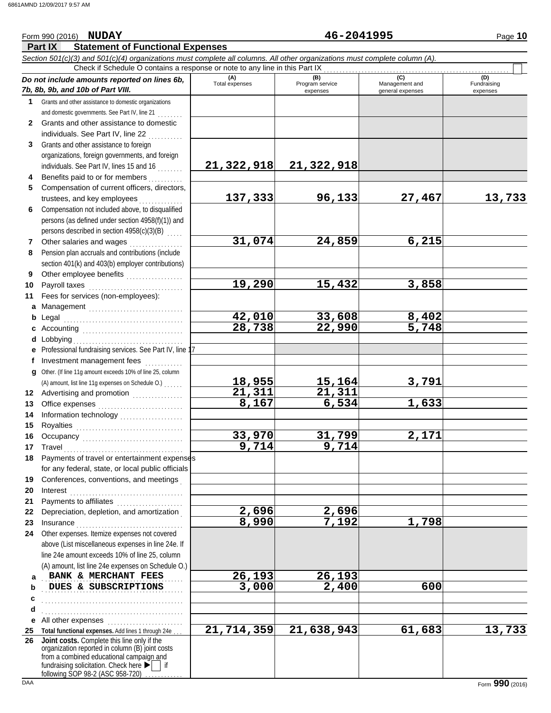|              | Form 990 (2016) NUDAY                                                                                                                                                                              |                         | 46-2041995                         |                                           | Page 10                        |
|--------------|----------------------------------------------------------------------------------------------------------------------------------------------------------------------------------------------------|-------------------------|------------------------------------|-------------------------------------------|--------------------------------|
|              | <b>Statement of Functional Expenses</b><br>Part IX                                                                                                                                                 |                         |                                    |                                           |                                |
|              | Section 501(c)(3) and 501(c)(4) organizations must complete all columns. All other organizations must complete column (A).                                                                         |                         |                                    |                                           |                                |
|              | Check if Schedule O contains a response or note to any line in this Part IX                                                                                                                        |                         |                                    |                                           |                                |
|              | Do not include amounts reported on lines 6b,<br>7b, 8b, 9b, and 10b of Part VIII.                                                                                                                  | (A)<br>Total expenses   | (B)<br>Program service<br>expenses | (C)<br>Management and<br>general expenses | (D)<br>Fundraising<br>expenses |
| 1.           | Grants and other assistance to domestic organizations                                                                                                                                              |                         |                                    |                                           |                                |
|              | and domestic governments. See Part IV, line 21                                                                                                                                                     |                         |                                    |                                           |                                |
| $\mathbf{2}$ | Grants and other assistance to domestic                                                                                                                                                            |                         |                                    |                                           |                                |
|              | individuals. See Part IV, line 22                                                                                                                                                                  |                         |                                    |                                           |                                |
| 3            | Grants and other assistance to foreign<br>organizations, foreign governments, and foreign<br>individuals. See Part IV, lines 15 and 16                                                             | 21, 322, 918            | 21,322,918                         |                                           |                                |
| 4            | Benefits paid to or for members                                                                                                                                                                    |                         |                                    |                                           |                                |
| 5            | Compensation of current officers, directors,                                                                                                                                                       |                         |                                    |                                           |                                |
|              | trustees, and key employees                                                                                                                                                                        | 137,333                 | 96,133                             | 27,467                                    | 13,733                         |
| 6            | Compensation not included above, to disqualified<br>persons (as defined under section 4958(f)(1)) and<br>persons described in section 4958(c)(3)(B)                                                |                         |                                    |                                           |                                |
| 7            | Other salaries and wages                                                                                                                                                                           | 31,074                  | 24,859                             | 6,215                                     |                                |
| 8            | Pension plan accruals and contributions (include<br>section 401(k) and 403(b) employer contributions)                                                                                              |                         |                                    |                                           |                                |
| 9            | Other employee benefits                                                                                                                                                                            |                         |                                    |                                           |                                |
| 10           | Payroll taxes                                                                                                                                                                                      | 19,290                  | 15,432                             | 3,858                                     |                                |
| 11           | Fees for services (non-employees):                                                                                                                                                                 |                         |                                    |                                           |                                |
| a            | Management                                                                                                                                                                                         |                         |                                    |                                           |                                |
| b            | Legal                                                                                                                                                                                              | $\frac{42,010}{28,738}$ | 33,608                             | 8,402                                     |                                |
|              | c Accounting $\ldots$                                                                                                                                                                              |                         | 22,990                             | 5,748                                     |                                |
|              | d Lobbying                                                                                                                                                                                         |                         |                                    |                                           |                                |
|              | e Professional fundraising services. See Part IV, line 1                                                                                                                                           |                         |                                    |                                           |                                |
|              | f Investment management fees                                                                                                                                                                       |                         |                                    |                                           |                                |
| a            | Other. (If line 11g amount exceeds 10% of line 25, column<br>(A) amount, list line 11g expenses on Schedule O.)                                                                                    | 18,955<br>21,311        | 15, 164<br>21,311                  | 3,791                                     |                                |
|              | 12 Advertising and promotion [1] [1] Advertising and promotion                                                                                                                                     | 8,167                   | 6,534                              | 1,633                                     |                                |
| 13<br>14     | Office expenses                                                                                                                                                                                    |                         |                                    |                                           |                                |
|              |                                                                                                                                                                                                    |                         |                                    |                                           |                                |
| 16           | Occupancy                                                                                                                                                                                          | 33,970                  | 31,799                             | 2,171                                     |                                |
|              | 17 Travel                                                                                                                                                                                          | 9,714                   | 9,714                              |                                           |                                |
|              | 18 Payments of travel or entertainment expenses                                                                                                                                                    |                         |                                    |                                           |                                |
|              | for any federal, state, or local public officials                                                                                                                                                  |                         |                                    |                                           |                                |
| 19           | Conferences, conventions, and meetings                                                                                                                                                             |                         |                                    |                                           |                                |
| 20           | Interest                                                                                                                                                                                           |                         |                                    |                                           |                                |
| 21           | Payments to affiliates<br>.                                                                                                                                                                        |                         |                                    |                                           |                                |
| 22           | Depreciation, depletion, and amortization                                                                                                                                                          | 2,696                   | 2,696                              |                                           |                                |
| 23           | Insurance                                                                                                                                                                                          | 8,990                   | 7,192                              | 1,798                                     |                                |
| 24           | Other expenses. Itemize expenses not covered<br>above (List miscellaneous expenses in line 24e. If                                                                                                 |                         |                                    |                                           |                                |
|              | line 24e amount exceeds 10% of line 25, column                                                                                                                                                     |                         |                                    |                                           |                                |
|              | (A) amount, list line 24e expenses on Schedule O.)                                                                                                                                                 |                         |                                    |                                           |                                |
| a            | <b>BANK &amp; MERCHANT FEES</b>                                                                                                                                                                    | 26,193                  | 26,193                             |                                           |                                |
| b            | DUES & SUBSCRIPTIONS                                                                                                                                                                               | 3,000                   | 2,400                              | 600                                       |                                |
| c            |                                                                                                                                                                                                    |                         |                                    |                                           |                                |
| d            |                                                                                                                                                                                                    |                         |                                    |                                           |                                |
|              | e All other expenses<br><u> 1990 - John Barbara, martin a</u><br>25 Total functional expenses. Add lines 1 through 24e                                                                             | 21,714,359              | 21,638,943                         | 61,683                                    | 13,733                         |
|              | 26 Joint costs. Complete this line only if the                                                                                                                                                     |                         |                                    |                                           |                                |
|              | organization reported in column (B) joint costs<br>from a combined educational campaign and<br>fundraising solicitation. Check here $\blacktriangleright$   if<br>following SOP 98-2 (ASC 958-720) |                         |                                    |                                           |                                |
| <b>DAA</b>   |                                                                                                                                                                                                    |                         |                                    |                                           | Form 990 (2016)                |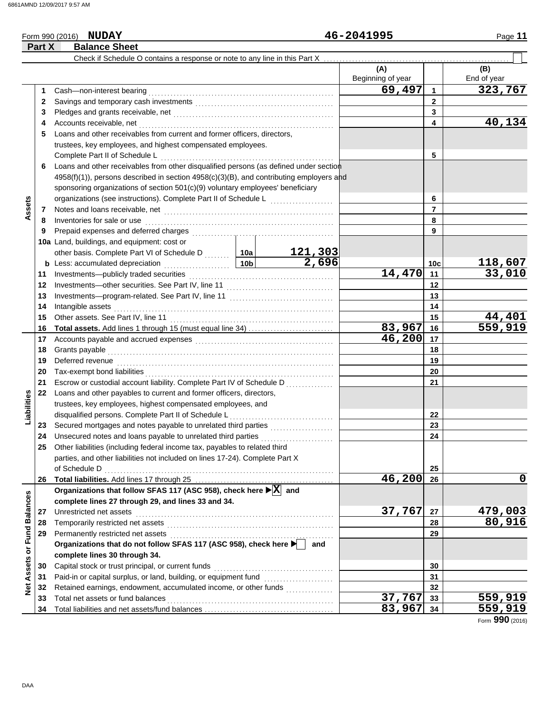|                         | Part X   | <b>Balance Sheet</b>                                                                                                                                                                                                                |                 |                         |                          |                |                    |
|-------------------------|----------|-------------------------------------------------------------------------------------------------------------------------------------------------------------------------------------------------------------------------------------|-----------------|-------------------------|--------------------------|----------------|--------------------|
|                         |          | Check if Schedule O contains a response or note to any line in this Part X                                                                                                                                                          |                 |                         |                          |                |                    |
|                         |          |                                                                                                                                                                                                                                     |                 |                         | (A)<br>Beginning of year |                | (B)<br>End of year |
|                         | 1        | Cash-non-interest bearing                                                                                                                                                                                                           |                 |                         | 69,497                   | $\mathbf{1}$   | 323,767            |
|                         | 2        |                                                                                                                                                                                                                                     |                 |                         |                          | $\mathbf{2}$   |                    |
|                         | 3        |                                                                                                                                                                                                                                     |                 |                         |                          | 3              |                    |
|                         | 4        | Accounts receivable, net                                                                                                                                                                                                            |                 |                         |                          | 4              | 40,134             |
|                         | 5        | Loans and other receivables from current and former officers, directors,                                                                                                                                                            |                 |                         |                          |                |                    |
|                         |          | trustees, key employees, and highest compensated employees.                                                                                                                                                                         |                 |                         |                          |                |                    |
|                         |          | Complete Part II of Schedule L                                                                                                                                                                                                      |                 |                         |                          | 5              |                    |
|                         | 6        | Loans and other receivables from other disqualified persons (as defined under section                                                                                                                                               |                 |                         |                          |                |                    |
|                         |          | 4958(f)(1)), persons described in section 4958(c)(3)(B), and contributing employers and                                                                                                                                             |                 |                         |                          |                |                    |
|                         |          | sponsoring organizations of section 501(c)(9) voluntary employees' beneficiary                                                                                                                                                      |                 |                         |                          |                |                    |
|                         |          | organizations (see instructions). Complete Part II of Schedule L                                                                                                                                                                    |                 |                         |                          | 6              |                    |
| Assets                  | 7        |                                                                                                                                                                                                                                     |                 |                         |                          | $\overline{7}$ |                    |
|                         | 8        | Inventories for sale or use                                                                                                                                                                                                         |                 |                         |                          | 8              |                    |
|                         | 9        | Prepaid expenses and deferred charges                                                                                                                                                                                               |                 |                         |                          | 9              |                    |
|                         |          | 10a Land, buildings, and equipment: cost or                                                                                                                                                                                         |                 |                         |                          |                |                    |
|                         |          | other basis. Complete Part VI of Schedule D  10a                                                                                                                                                                                    |                 | $\frac{121,303}{2,696}$ |                          |                |                    |
|                         |          | <b>b</b> Less: accumulated depreciation<br>.                                                                                                                                                                                        | 10 <sub>b</sub> |                         |                          | 10c            | <u> 118,607</u>    |
|                         | 11       | Investments-publicly traded securities                                                                                                                                                                                              |                 |                         | 14,470                   | 11             | 33,010             |
|                         | 12       |                                                                                                                                                                                                                                     |                 |                         |                          | 12             |                    |
|                         | 13       |                                                                                                                                                                                                                                     |                 |                         |                          | 13             |                    |
|                         | 14       | Intangible assets                                                                                                                                                                                                                   |                 |                         |                          | 14             |                    |
|                         | 15       | Other assets. See Part IV, line 11                                                                                                                                                                                                  |                 |                         |                          | 15             | 44,401<br>559,919  |
|                         | 16       |                                                                                                                                                                                                                                     |                 |                         | 83,967                   | 16             |                    |
|                         | 17       | Accounts payable and accrued expenses [[11] [11] Accounts payable and accrued expenses [[11] [11] Accounts are not approximate and accrued to the set of the set of the set of the set of the set of the set of the set of the      | 46,200          | 17                      |                          |                |                    |
|                         | 18       | Grants payable                                                                                                                                                                                                                      |                 |                         | 18                       |                |                    |
|                         | 19       | Deferred revenue <b>construction of the construction of the construction</b> of the construction of the construction of the construction of the construction of the construction of the construction of the construction of the con |                 |                         |                          | 19             |                    |
|                         | 20       | Tax-exempt bond liabilities                                                                                                                                                                                                         |                 |                         |                          | 20             |                    |
|                         | 21       | Escrow or custodial account liability. Complete Part IV of Schedule D                                                                                                                                                               |                 |                         |                          | 21             |                    |
|                         | 22       | Loans and other payables to current and former officers, directors,                                                                                                                                                                 |                 |                         |                          |                |                    |
| Liabilities             |          | trustees, key employees, highest compensated employees, and                                                                                                                                                                         |                 |                         |                          |                |                    |
|                         |          | disqualified persons. Complete Part II of Schedule L                                                                                                                                                                                |                 |                         |                          | 22             |                    |
|                         | 23       | Secured mortgages and notes payable to unrelated third parties                                                                                                                                                                      |                 |                         |                          | 23             |                    |
|                         | 24       | Unsecured notes and loans payable to unrelated third parties                                                                                                                                                                        |                 |                         |                          | 24             |                    |
|                         | 25       | Other liabilities (including federal income tax, payables to related third                                                                                                                                                          |                 |                         |                          |                |                    |
|                         |          | parties, and other liabilities not included on lines 17-24). Complete Part X                                                                                                                                                        |                 |                         |                          |                |                    |
|                         |          | of Schedule D                                                                                                                                                                                                                       |                 |                         |                          | 25             |                    |
|                         | 26       |                                                                                                                                                                                                                                     |                 |                         | 46,200                   | 26             | 0                  |
|                         |          | Organizations that follow SFAS 117 (ASC 958), check here $\blacktriangleright$ $\boxed{\text{X}}$ and                                                                                                                               |                 |                         |                          |                |                    |
|                         | 27       | complete lines 27 through 29, and lines 33 and 34.                                                                                                                                                                                  |                 |                         | 37,767                   | 27             | 479,003            |
|                         |          | Unrestricted net assets                                                                                                                                                                                                             |                 |                         |                          | 28             | 80,916             |
|                         | 28<br>29 |                                                                                                                                                                                                                                     |                 |                         |                          | 29             |                    |
|                         |          | Organizations that do not follow SFAS 117 (ASC 958), check here                                                                                                                                                                     |                 | and                     |                          |                |                    |
|                         |          | complete lines 30 through 34.                                                                                                                                                                                                       |                 |                         |                          |                |                    |
| Assets or Fund Balances | 30       | Capital stock or trust principal, or current funds                                                                                                                                                                                  |                 |                         |                          | 30             |                    |
|                         | 31       | Paid-in or capital surplus, or land, building, or equipment fund                                                                                                                                                                    |                 |                         |                          | 31             |                    |
|                         | 32       |                                                                                                                                                                                                                                     |                 |                         |                          | 32             |                    |
| $\frac{1}{2}$           | 33       | Total net assets or fund balances                                                                                                                                                                                                   |                 |                         | 37,767                   | 33             | 559,919            |
|                         | 34       |                                                                                                                                                                                                                                     |                 |                         | 83,967                   | 34             | 559,919            |
|                         |          |                                                                                                                                                                                                                                     |                 |                         |                          |                |                    |

Form **990** (2016)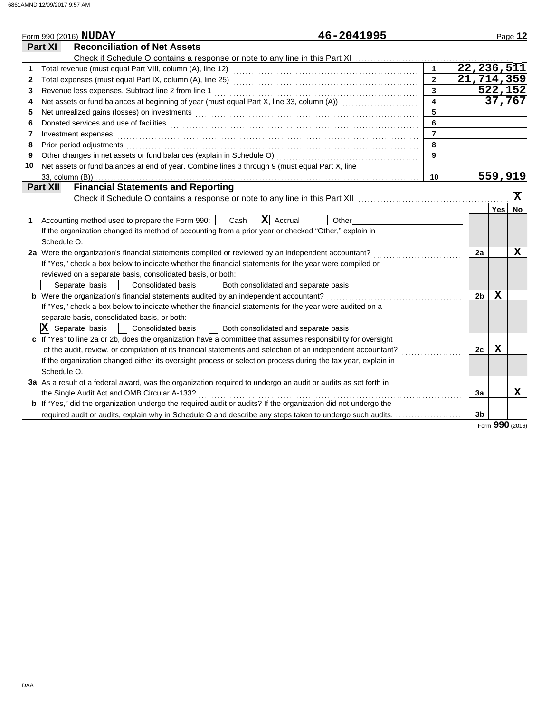|              | 46-2041995<br>Form 990 (2016) NUDAY                                                                                                                                                                                            |                  |                            |             | Page 12        |
|--------------|--------------------------------------------------------------------------------------------------------------------------------------------------------------------------------------------------------------------------------|------------------|----------------------------|-------------|----------------|
|              | <b>Reconciliation of Net Assets</b><br>Part XI                                                                                                                                                                                 |                  |                            |             |                |
|              |                                                                                                                                                                                                                                |                  |                            |             |                |
| 1            |                                                                                                                                                                                                                                | $\mathbf{1}$     | 22, 236, 511               |             |                |
| $\mathbf{2}$ |                                                                                                                                                                                                                                | $\overline{2}$   | $\overline{21}$ , 714, 359 |             |                |
| 3            |                                                                                                                                                                                                                                | $\overline{3}$   |                            |             | 522,152        |
| 4            | Net assets or fund balances at beginning of year (must equal Part X, line 33, column (A)) [[[[[[[[[[[[[[[[[[[                                                                                                                  | $\blacktriangle$ |                            |             | 37,767         |
| 5            |                                                                                                                                                                                                                                | 5                |                            |             |                |
| 6            |                                                                                                                                                                                                                                | 6                |                            |             |                |
| 7            | Investment expenses                                                                                                                                                                                                            | $\overline{7}$   |                            |             |                |
| 8            | Prior period adjustments entertainments and a series of the contract of the contract of the contract of the contract of the contract of the contract of the contract of the contract of the contract of the contract of the co | 8                |                            |             |                |
| 9            |                                                                                                                                                                                                                                | 9                |                            |             |                |
| 10           | Net assets or fund balances at end of year. Combine lines 3 through 9 (must equal Part X, line                                                                                                                                 |                  |                            |             |                |
|              | 33, column (B))                                                                                                                                                                                                                | 10               |                            |             | 559,919        |
|              | <b>Financial Statements and Reporting</b><br>Part XII                                                                                                                                                                          |                  |                            |             |                |
|              |                                                                                                                                                                                                                                |                  |                            |             | $ \mathbf{X} $ |
|              |                                                                                                                                                                                                                                |                  |                            | <b>Yes</b>  | No             |
| 1            | $ \mathbf{X} $ Accrual<br>Accounting method used to prepare the Form 990:     Cash<br>Other                                                                                                                                    |                  |                            |             |                |
|              | If the organization changed its method of accounting from a prior year or checked "Other," explain in                                                                                                                          |                  |                            |             |                |
|              | Schedule O.                                                                                                                                                                                                                    |                  |                            |             |                |
|              | 2a Were the organization's financial statements compiled or reviewed by an independent accountant?                                                                                                                             |                  | 2a                         |             | X              |
|              | If "Yes," check a box below to indicate whether the financial statements for the year were compiled or                                                                                                                         |                  |                            |             |                |
|              | reviewed on a separate basis, consolidated basis, or both:                                                                                                                                                                     |                  |                            |             |                |
|              | <b>Consolidated basis</b><br>Both consolidated and separate basis<br>Separate basis<br>$\Box$                                                                                                                                  |                  |                            |             |                |
|              | b Were the organization's financial statements audited by an independent accountant?                                                                                                                                           |                  | 2b                         | $\mathbf X$ |                |
|              | If "Yes," check a box below to indicate whether the financial statements for the year were audited on a                                                                                                                        |                  |                            |             |                |
|              | separate basis, consolidated basis, or both:                                                                                                                                                                                   |                  |                            |             |                |
|              | $ \mathbf{X} $ Separate basis<br><b>Consolidated basis</b><br>  Both consolidated and separate basis                                                                                                                           |                  |                            |             |                |
|              | c If "Yes" to line 2a or 2b, does the organization have a committee that assumes responsibility for oversight                                                                                                                  |                  |                            |             |                |
|              | of the audit, review, or compilation of its financial statements and selection of an independent accountant?                                                                                                                   |                  | 2c                         | $\mathbf X$ |                |
|              | If the organization changed either its oversight process or selection process during the tax year, explain in                                                                                                                  |                  |                            |             |                |
|              | Schedule O.                                                                                                                                                                                                                    |                  |                            |             |                |
|              | 3a As a result of a federal award, was the organization required to undergo an audit or audits as set forth in                                                                                                                 |                  |                            |             |                |
|              | the Single Audit Act and OMB Circular A-133?                                                                                                                                                                                   |                  | 3a                         |             | x              |
|              | <b>b</b> If "Yes," did the organization undergo the required audit or audits? If the organization did not undergo the                                                                                                          |                  |                            |             |                |
|              | required audit or audits, explain why in Schedule O and describe any steps taken to undergo such audits.                                                                                                                       |                  | 3 <sub>b</sub>             |             |                |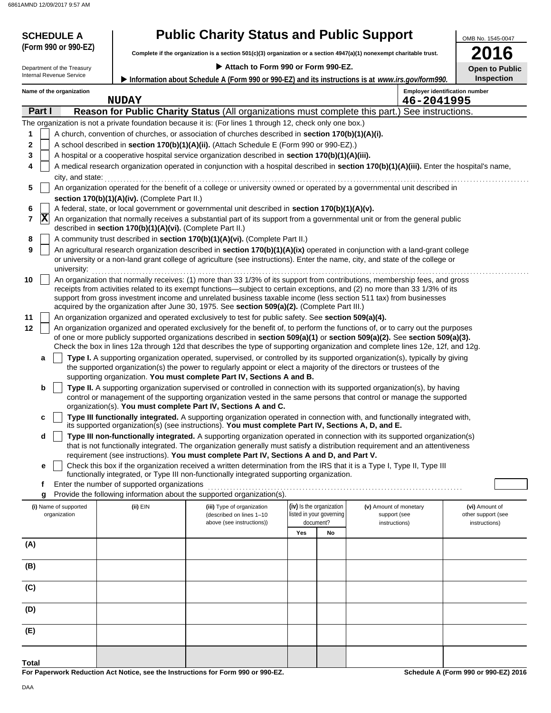|                      | <b>SCHEDULE A</b>               |                                                            | <b>Public Charity Status and Public Support</b>                                                                                                                                                                                                                 |                       |                          |                        | OMB No. 1545-0047                     |
|----------------------|---------------------------------|------------------------------------------------------------|-----------------------------------------------------------------------------------------------------------------------------------------------------------------------------------------------------------------------------------------------------------------|-----------------------|--------------------------|------------------------|---------------------------------------|
| (Form 990 or 990-EZ) |                                 |                                                            | Complete if the organization is a section 501(c)(3) organization or a section 4947(a)(1) nonexempt charitable trust.                                                                                                                                            |                       |                          |                        | 2016                                  |
|                      | Department of the Treasury      |                                                            | Attach to Form 990 or Form 990-EZ.                                                                                                                                                                                                                              | <b>Open to Public</b> |                          |                        |                                       |
|                      | <b>Internal Revenue Service</b> |                                                            | Information about Schedule A (Form 990 or 990-EZ) and its instructions is at www.irs.gov/form990.                                                                                                                                                               |                       |                          |                        | <b>Inspection</b>                     |
|                      | Name of the organization        |                                                            |                                                                                                                                                                                                                                                                 |                       |                          |                        | <b>Employer identification number</b> |
| Part I               |                                 | <b>NUDAY</b>                                               | Reason for Public Charity Status (All organizations must complete this part.) See instructions.                                                                                                                                                                 |                       |                          | 46-2041995             |                                       |
|                      |                                 |                                                            | The organization is not a private foundation because it is: (For lines 1 through 12, check only one box.)                                                                                                                                                       |                       |                          |                        |                                       |
| 1                    |                                 |                                                            | A church, convention of churches, or association of churches described in section 170(b)(1)(A)(i).                                                                                                                                                              |                       |                          |                        |                                       |
| 2                    |                                 |                                                            | A school described in section 170(b)(1)(A)(ii). (Attach Schedule E (Form 990 or 990-EZ).)                                                                                                                                                                       |                       |                          |                        |                                       |
| 3                    |                                 |                                                            | A hospital or a cooperative hospital service organization described in section 170(b)(1)(A)(iii).                                                                                                                                                               |                       |                          |                        |                                       |
| 4                    |                                 |                                                            | A medical research organization operated in conjunction with a hospital described in section 170(b)(1)(A)(iii). Enter the hospital's name,                                                                                                                      |                       |                          |                        |                                       |
| 5                    | city, and state:                |                                                            | An organization operated for the benefit of a college or university owned or operated by a governmental unit described in                                                                                                                                       |                       |                          |                        |                                       |
|                      |                                 | section 170(b)(1)(A)(iv). (Complete Part II.)              |                                                                                                                                                                                                                                                                 |                       |                          |                        |                                       |
| 6                    |                                 |                                                            | A federal, state, or local government or governmental unit described in section 170(b)(1)(A)(v).                                                                                                                                                                |                       |                          |                        |                                       |
| 7                    | $ \mathbf{x} $                  | described in section 170(b)(1)(A)(vi). (Complete Part II.) | An organization that normally receives a substantial part of its support from a governmental unit or from the general public                                                                                                                                    |                       |                          |                        |                                       |
| 8                    |                                 |                                                            | A community trust described in section 170(b)(1)(A)(vi). (Complete Part II.)                                                                                                                                                                                    |                       |                          |                        |                                       |
| 9                    | university:                     |                                                            | An agricultural research organization described in section 170(b)(1)(A)(ix) operated in conjunction with a land-grant college<br>or university or a non-land grant college of agriculture (see instructions). Enter the name, city, and state of the college or |                       |                          |                        |                                       |
| 10                   |                                 |                                                            | An organization that normally receives: (1) more than 33 1/3% of its support from contributions, membership fees, and gross<br>receipts from activities related to its exempt functions—subject to certain exceptions, and (2) no more than 33 1/3% of its      |                       |                          |                        |                                       |
|                      |                                 |                                                            | support from gross investment income and unrelated business taxable income (less section 511 tax) from businesses<br>acquired by the organization after June 30, 1975. See section 509(a)(2). (Complete Part III.)                                              |                       |                          |                        |                                       |
| 11                   |                                 |                                                            | An organization organized and operated exclusively to test for public safety. See section 509(a)(4).                                                                                                                                                            |                       |                          |                        |                                       |
| 12                   |                                 |                                                            | An organization organized and operated exclusively for the benefit of, to perform the functions of, or to carry out the purposes<br>of one or more publicly supported organizations described in section 509(a)(1) or section 509(a)(2). See section 509(a)(3). |                       |                          |                        |                                       |
| a                    |                                 |                                                            | Check the box in lines 12a through 12d that describes the type of supporting organization and complete lines 12e, 12f, and 12g.<br>Type I. A supporting organization operated, supervised, or controlled by its supported organization(s), typically by giving  |                       |                          |                        |                                       |
|                      |                                 |                                                            | the supported organization(s) the power to regularly appoint or elect a majority of the directors or trustees of the<br>supporting organization. You must complete Part IV, Sections A and B.                                                                   |                       |                          |                        |                                       |
| b                    |                                 |                                                            | Type II. A supporting organization supervised or controlled in connection with its supported organization(s), by having<br>control or management of the supporting organization vested in the same persons that control or manage the supported                 |                       |                          |                        |                                       |
|                      |                                 |                                                            | organization(s). You must complete Part IV, Sections A and C.                                                                                                                                                                                                   |                       |                          |                        |                                       |
| c                    |                                 |                                                            | Type III functionally integrated. A supporting organization operated in connection with, and functionally integrated with,<br>its supported organization(s) (see instructions). You must complete Part IV, Sections A, D, and E.                                |                       |                          |                        |                                       |
| d                    |                                 |                                                            | Type III non-functionally integrated. A supporting organization operated in connection with its supported organization(s)<br>that is not functionally integrated. The organization generally must satisfy a distribution requirement and an attentiveness       |                       |                          |                        |                                       |
| e                    |                                 |                                                            | requirement (see instructions). You must complete Part IV, Sections A and D, and Part V.<br>Check this box if the organization received a written determination from the IRS that it is a Type I, Type II, Type III                                             |                       |                          |                        |                                       |
|                      |                                 |                                                            | functionally integrated, or Type III non-functionally integrated supporting organization.                                                                                                                                                                       |                       |                          |                        |                                       |
| f<br>g               |                                 | Enter the number of supported organizations                | Provide the following information about the supported organization(s).                                                                                                                                                                                          |                       |                          |                        |                                       |
|                      | (i) Name of supported           | (ii) EIN                                                   | (iii) Type of organization                                                                                                                                                                                                                                      |                       | (iv) Is the organization | (v) Amount of monetary | (vi) Amount of                        |
|                      | organization                    |                                                            | (described on lines 1-10                                                                                                                                                                                                                                        |                       | listed in your governing | support (see           | other support (see                    |
|                      |                                 |                                                            | above (see instructions))                                                                                                                                                                                                                                       | Yes                   | document?<br>No          | instructions)          | instructions)                         |
| (A)                  |                                 |                                                            |                                                                                                                                                                                                                                                                 |                       |                          |                        |                                       |
|                      |                                 |                                                            |                                                                                                                                                                                                                                                                 |                       |                          |                        |                                       |
| (B)                  |                                 |                                                            |                                                                                                                                                                                                                                                                 |                       |                          |                        |                                       |
| (C)                  |                                 |                                                            |                                                                                                                                                                                                                                                                 |                       |                          |                        |                                       |
| (D)                  |                                 |                                                            |                                                                                                                                                                                                                                                                 |                       |                          |                        |                                       |
| (E)                  |                                 |                                                            |                                                                                                                                                                                                                                                                 |                       |                          |                        |                                       |
| <b>Total</b>         |                                 |                                                            |                                                                                                                                                                                                                                                                 |                       |                          |                        |                                       |

**For Paperwork Reduction Act Notice, see the Instructions for Form 990 or 990-EZ.**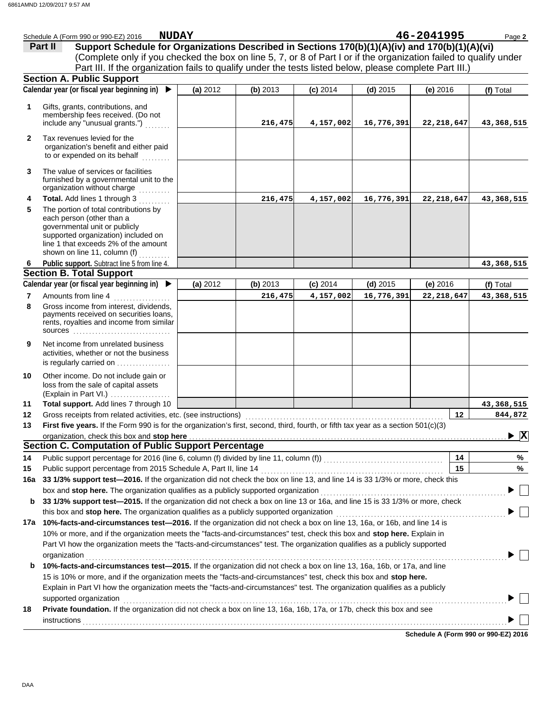|              | <b>NUDAY</b><br>Schedule A (Form 990 or 990-EZ) 2016                                                                                                                                                               |          |          |            |            | 46-2041995   | Page 2                          |
|--------------|--------------------------------------------------------------------------------------------------------------------------------------------------------------------------------------------------------------------|----------|----------|------------|------------|--------------|---------------------------------|
|              | Support Schedule for Organizations Described in Sections 170(b)(1)(A)(iv) and 170(b)(1)(A)(vi)<br>Part II                                                                                                          |          |          |            |            |              |                                 |
|              | (Complete only if you checked the box on line 5, 7, or 8 of Part I or if the organization failed to qualify under                                                                                                  |          |          |            |            |              |                                 |
|              | Part III. If the organization fails to qualify under the tests listed below, please complete Part III.)                                                                                                            |          |          |            |            |              |                                 |
|              | <b>Section A. Public Support</b>                                                                                                                                                                                   |          |          |            |            |              |                                 |
|              | Calendar year (or fiscal year beginning in)<br>$\blacktriangleright$                                                                                                                                               | (a) 2012 | (b) 2013 | $(c)$ 2014 | (d) $2015$ | $(e)$ 2016   | (f) Total                       |
| 1            | Gifts, grants, contributions, and<br>membership fees received. (Do not<br>include any "unusual grants.")                                                                                                           |          | 216,475  | 4,157,002  | 16,776,391 | 22, 218, 647 | 43,368,515                      |
| $\mathbf{2}$ | Tax revenues levied for the<br>organization's benefit and either paid<br>to or expended on its behalf                                                                                                              |          |          |            |            |              |                                 |
| 3            | The value of services or facilities<br>furnished by a governmental unit to the<br>organization without charge<br>.                                                                                                 |          |          |            |            |              |                                 |
| 4            | <b>Total.</b> Add lines 1 through 3                                                                                                                                                                                |          | 216,475  | 4,157,002  | 16,776,391 | 22, 218, 647 | 43,368,515                      |
| 5            | The portion of total contributions by<br>each person (other than a<br>governmental unit or publicly<br>supported organization) included on<br>line 1 that exceeds 2% of the amount<br>shown on line 11, column (f) |          |          |            |            |              |                                 |
| 6            | Public support. Subtract line 5 from line 4.                                                                                                                                                                       |          |          |            |            |              | 43,368,515                      |
|              | <b>Section B. Total Support</b>                                                                                                                                                                                    |          |          |            |            |              |                                 |
|              | Calendar year (or fiscal year beginning in) $\blacktriangleright$                                                                                                                                                  | (a) 2012 | (b) 2013 | $(c)$ 2014 | $(d)$ 2015 | (e) $2016$   | (f) Total                       |
| 7            | Amounts from line 4                                                                                                                                                                                                |          | 216,475  | 4,157,002  | 16,776,391 | 22, 218, 647 | 43,368,515                      |
| 8            | Gross income from interest, dividends,<br>payments received on securities loans,<br>rents, royalties and income from similar<br>sources                                                                            |          |          |            |            |              |                                 |
| 9            | Net income from unrelated business<br>activities, whether or not the business<br>is regularly carried on                                                                                                           |          |          |            |            |              |                                 |
| 10           | Other income. Do not include gain or<br>loss from the sale of capital assets<br>(Explain in Part VI.)                                                                                                              |          |          |            |            |              |                                 |
| 11           | Total support. Add lines 7 through 10                                                                                                                                                                              |          |          |            |            |              | 43,368,515                      |
| 12           | Gross receipts from related activities, etc. (see instructions)                                                                                                                                                    |          |          |            |            | 12           | 844,872                         |
| 13           | First five years. If the Form 990 is for the organization's first, second, third, fourth, or fifth tax year as a section 501(c)(3)                                                                                 |          |          |            |            |              |                                 |
|              | organization, check this box and stop here                                                                                                                                                                         |          |          |            |            |              | $\blacktriangleright$ $\vert$ X |
|              | <b>Section C. Computation of Public Support Percentage</b>                                                                                                                                                         |          |          |            |            |              |                                 |
| 14           |                                                                                                                                                                                                                    |          |          |            |            | 14           | %                               |
| 15           | Public support percentage from 2015 Schedule A, Part II, line 14                                                                                                                                                   |          |          |            |            | 15           | %                               |
|              | 16a 33 1/3% support test-2016. If the organization did not check the box on line 13, and line 14 is 33 1/3% or more, check this                                                                                    |          |          |            |            |              |                                 |
|              | box and stop here. The organization qualifies as a publicly supported organization                                                                                                                                 |          |          |            |            |              |                                 |
| b            | 33 1/3% support test-2015. If the organization did not check a box on line 13 or 16a, and line 15 is 33 1/3% or more, check                                                                                        |          |          |            |            |              |                                 |
|              | this box and stop here. The organization qualifies as a publicly supported organization                                                                                                                            |          |          |            |            |              |                                 |
|              | 17a 10%-facts-and-circumstances test-2016. If the organization did not check a box on line 13, 16a, or 16b, and line 14 is                                                                                         |          |          |            |            |              |                                 |
|              | 10% or more, and if the organization meets the "facts-and-circumstances" test, check this box and stop here. Explain in                                                                                            |          |          |            |            |              |                                 |
|              | Part VI how the organization meets the "facts-and-circumstances" test. The organization qualifies as a publicly supported                                                                                          |          |          |            |            |              |                                 |
|              | organization                                                                                                                                                                                                       |          |          |            |            |              |                                 |
| b            | 10%-facts-and-circumstances test-2015. If the organization did not check a box on line 13, 16a, 16b, or 17a, and line                                                                                              |          |          |            |            |              |                                 |
|              | 15 is 10% or more, and if the organization meets the "facts-and-circumstances" test, check this box and stop here.                                                                                                 |          |          |            |            |              |                                 |
|              | Explain in Part VI how the organization meets the "facts-and-circumstances" test. The organization qualifies as a publicly                                                                                         |          |          |            |            |              |                                 |
|              | supported organization<br>Private foundation. If the organization did not check a box on line 13, 16a, 16b, 17a, or 17b, check this box and see                                                                    |          |          |            |            |              |                                 |
| 18           | instructions                                                                                                                                                                                                       |          |          |            |            |              |                                 |
|              |                                                                                                                                                                                                                    |          |          |            |            |              |                                 |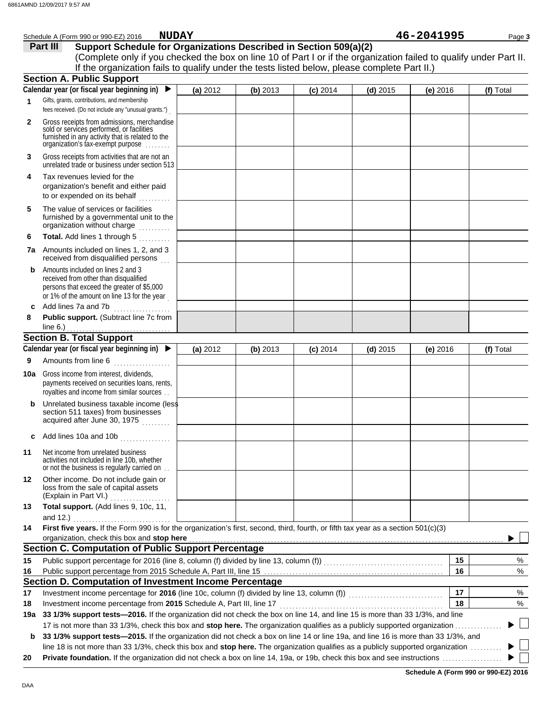|              | <b>NUDAY</b><br>Schedule A (Form 990 or 990-EZ) 2016                                                                                                                                       |          |          |            |            | 46-2041995 | Page 3    |
|--------------|--------------------------------------------------------------------------------------------------------------------------------------------------------------------------------------------|----------|----------|------------|------------|------------|-----------|
|              | Support Schedule for Organizations Described in Section 509(a)(2)<br>Part III                                                                                                              |          |          |            |            |            |           |
|              | (Complete only if you checked the box on line 10 of Part I or if the organization failed to qualify under Part II.                                                                         |          |          |            |            |            |           |
|              | If the organization fails to qualify under the tests listed below, please complete Part II.)                                                                                               |          |          |            |            |            |           |
|              | <b>Section A. Public Support</b>                                                                                                                                                           |          |          |            |            |            |           |
|              | Calendar year (or fiscal year beginning in) $\blacktriangleright$                                                                                                                          | (a) 2012 | (b) 2013 | $(c)$ 2014 | $(d)$ 2015 | (e) 2016   | (f) Total |
| 1.           | Gifts, grants, contributions, and membership<br>fees received. (Do not include any "unusual grants.")                                                                                      |          |          |            |            |            |           |
| $\mathbf{2}$ | Gross receipts from admissions, merchandise<br>sold or services performed, or facilities<br>furnished in any activity that is related to the<br>organization's tax-exempt purpose          |          |          |            |            |            |           |
| 3            | Gross receipts from activities that are not an<br>unrelated trade or business under section 513                                                                                            |          |          |            |            |            |           |
| 4            | Tax revenues levied for the<br>organization's benefit and either paid<br>to or expended on its behalf                                                                                      |          |          |            |            |            |           |
| 5            | The value of services or facilities<br>furnished by a governmental unit to the<br>organization without charge                                                                              |          |          |            |            |            |           |
| 6            | Total. Add lines 1 through 5                                                                                                                                                               |          |          |            |            |            |           |
|              | 7a Amounts included on lines 1, 2, and 3<br>received from disqualified persons                                                                                                             |          |          |            |            |            |           |
| b            | Amounts included on lines 2 and 3<br>received from other than disqualified<br>persons that exceed the greater of \$5,000<br>or 1% of the amount on line 13 for the year                    |          |          |            |            |            |           |
| c            | Add lines 7a and 7b [11] [11] Add lines 7a and 7b                                                                                                                                          |          |          |            |            |            |           |
| 8            | Public support. (Subtract line 7c from                                                                                                                                                     |          |          |            |            |            |           |
|              | Section B. Total Support                                                                                                                                                                   |          |          |            |            |            |           |
|              |                                                                                                                                                                                            |          |          |            |            |            |           |
|              | Calendar year (or fiscal year beginning in)                                                                                                                                                | (a) 2012 | (b) 2013 | $(c)$ 2014 | $(d)$ 2015 | (e) 2016   | (f) Total |
| 9            | Amounts from line 6                                                                                                                                                                        |          |          |            |            |            |           |
|              | <b>10a</b> Gross income from interest, dividends,<br>payments received on securities loans, rents,<br>royalties and income from similar sources                                            |          |          |            |            |            |           |
| b            | Unrelated business taxable income (less<br>section 511 taxes) from businesses<br>acquired after June 30, 1975                                                                              |          |          |            |            |            |           |
| c            | Add lines 10a and 10b<br>and a straight and a straight.                                                                                                                                    |          |          |            |            |            |           |
| 11           | Net income from unrelated business<br>activities not included in line 10b, whether<br>or not the business is regularly carried on                                                          |          |          |            |            |            |           |
| 12           | Other income. Do not include gain or<br>loss from the sale of capital assets<br>(Explain in Part VI.)                                                                                      |          |          |            |            |            |           |
| 13           | Total support. (Add lines 9, 10c, 11,<br>and 12.) <u></u>                                                                                                                                  |          |          |            |            |            |           |
| 14           | First five years. If the Form 990 is for the organization's first, second, third, fourth, or fifth tax year as a section 501(c)(3)                                                         |          |          |            |            |            |           |
|              | organization, check this box and stop here <i>contained and set and analyzing contained and set and set and stop here</i>                                                                  |          |          |            |            |            |           |
|              | <b>Section C. Computation of Public Support Percentage</b>                                                                                                                                 |          |          |            |            |            |           |
| 15           |                                                                                                                                                                                            |          |          |            |            | 15         | %         |
| 16           |                                                                                                                                                                                            |          |          |            |            | 16         | %         |
|              | Section D. Computation of Investment Income Percentage                                                                                                                                     |          |          |            |            |            |           |
| 17           | Investment income percentage for 2016 (line 10c, column (f) divided by line 13, column (f))<br>Investment income percentage for 2016 (line 10c, column (f) divided by line 13, column (f)) |          |          |            |            | 17         | %         |
| 18           | Investment income percentage from 2015 Schedule A, Part III, line 17                                                                                                                       |          |          |            |            | 18         | %         |
| 19а          | 33 1/3% support tests-2016. If the organization did not check the box on line 14, and line 15 is more than 33 1/3%, and line                                                               |          |          |            |            |            |           |
|              | 17 is not more than 33 1/3%, check this box and stop here. The organization qualifies as a publicly supported organization                                                                 |          |          |            |            |            |           |
| b            | 33 1/3% support tests-2015. If the organization did not check a box on line 14 or line 19a, and line 16 is more than 33 1/3%, and                                                          |          |          |            |            |            |           |
|              | line 18 is not more than 33 1/3%, check this box and stop here. The organization qualifies as a publicly supported organization                                                            |          |          |            |            |            |           |
| 20           |                                                                                                                                                                                            |          |          |            |            |            |           |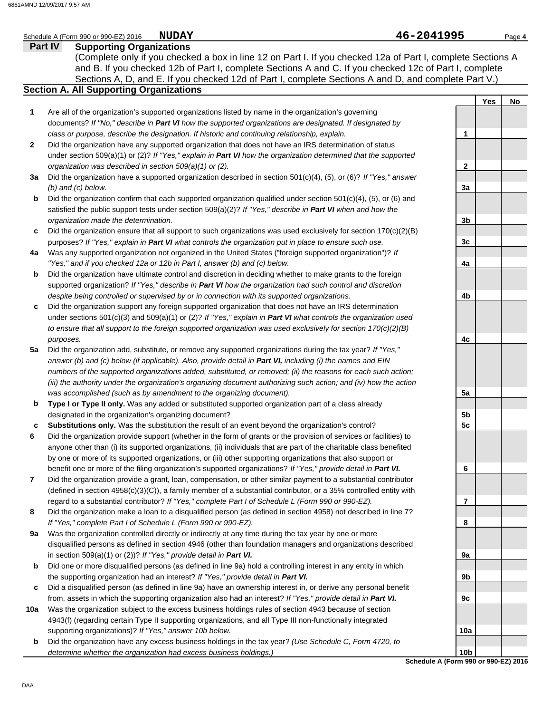#### **Part IV Supporting Organizations** Sections A, D, and E. If you checked 12d of Part I, complete Sections A and D, and complete Part V.) Schedule A (Form 990 or 990-EZ) 2016 **NUDAY Algebra 2016** Page 4 **46-2041995** Page 4 **Section A. All Supporting Organizations** (Complete only if you checked a box in line 12 on Part I. If you checked 12a of Part I, complete Sections A and B. If you checked 12b of Part I, complete Sections A and C. If you checked 12c of Part I, complete Are all of the organization's supported organizations listed by name in the organization's governing documents? *If "No," describe in Part VI how the supported organizations are designated. If designated by class or purpose, describe the designation. If historic and continuing relationship, explain.* Did the organization have any supported organization that does not have an IRS determination of status under section 509(a)(1) or (2)? *If "Yes," explain in Part VI how the organization determined that the supported organization was described in section 509(a)(1) or (2).* **1 2 Yes No 1 NUDAY 46-2041995**

- **3a** Did the organization have a supported organization described in section 501(c)(4), (5), or (6)? *If "Yes," answer (b) and (c) below.*
- **b** Did the organization confirm that each supported organization qualified under section 501(c)(4), (5), or (6) and satisfied the public support tests under section 509(a)(2)? *If "Yes," describe in Part VI when and how the organization made the determination.*
- **c** Did the organization ensure that all support to such organizations was used exclusively for section  $170(c)(2)(B)$ purposes? *If "Yes," explain in Part VI what controls the organization put in place to ensure such use.*
- **4a** Was any supported organization not organized in the United States ("foreign supported organization")? *If "Yes," and if you checked 12a or 12b in Part I, answer (b) and (c) below.*
- **b** Did the organization have ultimate control and discretion in deciding whether to make grants to the foreign supported organization? *If "Yes," describe in Part VI how the organization had such control and discretion despite being controlled or supervised by or in connection with its supported organizations.*
- **c** Did the organization support any foreign supported organization that does not have an IRS determination under sections 501(c)(3) and 509(a)(1) or (2)? *If "Yes," explain in Part VI what controls the organization used to ensure that all support to the foreign supported organization was used exclusively for section 170(c)(2)(B) purposes.*
- **5a** Did the organization add, substitute, or remove any supported organizations during the tax year? *If "Yes," answer (b) and (c) below (if applicable). Also, provide detail in Part VI, including (i) the names and EIN numbers of the supported organizations added, substituted, or removed; (ii) the reasons for each such action; (iii) the authority under the organization's organizing document authorizing such action; and (iv) how the action was accomplished (such as by amendment to the organizing document).*
- **b Type I or Type II only.** Was any added or substituted supported organization part of a class already designated in the organization's organizing document?
- **c Substitutions only.** Was the substitution the result of an event beyond the organization's control?
- **6** Did the organization provide support (whether in the form of grants or the provision of services or facilities) to anyone other than (i) its supported organizations, (ii) individuals that are part of the charitable class benefited by one or more of its supported organizations, or (iii) other supporting organizations that also support or benefit one or more of the filing organization's supported organizations? *If "Yes," provide detail in Part VI.*
- **7** Did the organization provide a grant, loan, compensation, or other similar payment to a substantial contributor (defined in section 4958(c)(3)(C)), a family member of a substantial contributor, or a 35% controlled entity with regard to a substantial contributor? *If "Yes," complete Part I of Schedule L (Form 990 or 990-EZ).*
- **8** Did the organization make a loan to a disqualified person (as defined in section 4958) not described in line 7? *If "Yes," complete Part I of Schedule L (Form 990 or 990-EZ).*
- **9a** Was the organization controlled directly or indirectly at any time during the tax year by one or more disqualified persons as defined in section 4946 (other than foundation managers and organizations described in section 509(a)(1) or (2))? *If "Yes," provide detail in Part VI.*
- **b** Did one or more disqualified persons (as defined in line 9a) hold a controlling interest in any entity in which the supporting organization had an interest? *If "Yes," provide detail in Part VI.*
- **c** Did a disqualified person (as defined in line 9a) have an ownership interest in, or derive any personal benefit from, assets in which the supporting organization also had an interest? *If "Yes," provide detail in Part VI.*
- **10a** Was the organization subject to the excess business holdings rules of section 4943 because of section 4943(f) (regarding certain Type II supporting organizations, and all Type III non-functionally integrated supporting organizations)? *If "Yes," answer 10b below.*
	- **b** Did the organization have any excess business holdings in the tax year? *(Use Schedule C, Form 4720, to determine whether the organization had excess business holdings.)*

**2 3a 3b 3c 4a 4b 4c 5a 5b 5c 6 7 8 9a 9b 9c 10a 10b**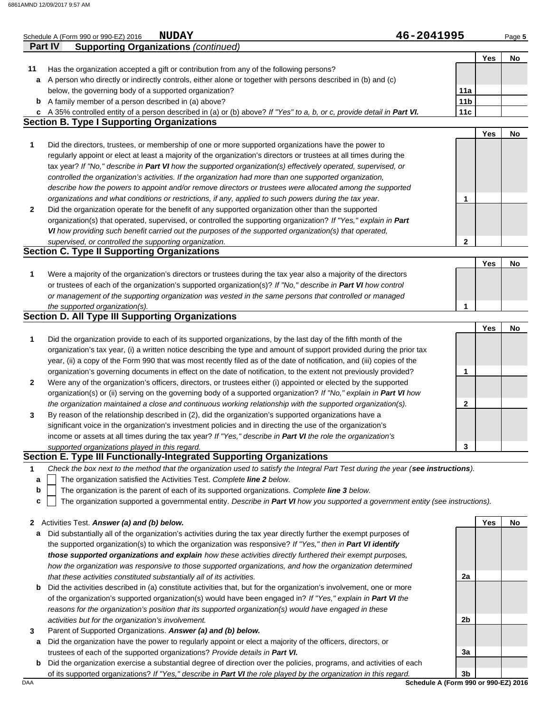|              | <b>NUDAY</b><br>Schedule A (Form 990 or 990-EZ) 2016                                                                              | 46-2041995      |            | Page 5 |
|--------------|-----------------------------------------------------------------------------------------------------------------------------------|-----------------|------------|--------|
|              | <b>Supporting Organizations (continued)</b><br>Part IV                                                                            |                 |            |        |
|              |                                                                                                                                   |                 | Yes        | No     |
| 11           | Has the organization accepted a gift or contribution from any of the following persons?                                           |                 |            |        |
| a            | A person who directly or indirectly controls, either alone or together with persons described in (b) and (c)                      |                 |            |        |
|              | below, the governing body of a supported organization?                                                                            | 11a             |            |        |
| b            | A family member of a person described in (a) above?                                                                               | 11 <sub>b</sub> |            |        |
| c            | A 35% controlled entity of a person described in (a) or (b) above? If "Yes" to a, b, or c, provide detail in Part VI.             | 11c             |            |        |
|              | <b>Section B. Type I Supporting Organizations</b>                                                                                 |                 |            |        |
|              |                                                                                                                                   |                 | <b>Yes</b> | No     |
| 1            | Did the directors, trustees, or membership of one or more supported organizations have the power to                               |                 |            |        |
|              | regularly appoint or elect at least a majority of the organization's directors or trustees at all times during the                |                 |            |        |
|              | tax year? If "No," describe in Part VI how the supported organization(s) effectively operated, supervised, or                     |                 |            |        |
|              | controlled the organization's activities. If the organization had more than one supported organization,                           |                 |            |        |
|              | describe how the powers to appoint and/or remove directors or trustees were allocated among the supported                         |                 |            |        |
|              | organizations and what conditions or restrictions, if any, applied to such powers during the tax year.                            | 1               |            |        |
| $\mathbf{2}$ | Did the organization operate for the benefit of any supported organization other than the supported                               |                 |            |        |
|              | organization(s) that operated, supervised, or controlled the supporting organization? If "Yes," explain in Part                   |                 |            |        |
|              | VI how providing such benefit carried out the purposes of the supported organization(s) that operated,                            |                 |            |        |
|              | supervised, or controlled the supporting organization.                                                                            | $\mathbf{2}$    |            |        |
|              | <b>Section C. Type II Supporting Organizations</b>                                                                                |                 |            |        |
|              |                                                                                                                                   |                 | Yes        | No     |
| 1            | Were a majority of the organization's directors or trustees during the tax year also a majority of the directors                  |                 |            |        |
|              | or trustees of each of the organization's supported organization(s)? If "No," describe in Part VI how control                     |                 |            |        |
|              | or management of the supporting organization was vested in the same persons that controlled or managed                            |                 |            |        |
|              | the supported organization(s).                                                                                                    | 1               |            |        |
|              | <b>Section D. All Type III Supporting Organizations</b>                                                                           |                 |            |        |
|              |                                                                                                                                   |                 | Yes        | No     |
| 1            | Did the organization provide to each of its supported organizations, by the last day of the fifth month of the                    |                 |            |        |
|              | organization's tax year, (i) a written notice describing the type and amount of support provided during the prior tax             |                 |            |        |
|              | year, (ii) a copy of the Form 990 that was most recently filed as of the date of notification, and (iii) copies of the            |                 |            |        |
|              | organization's governing documents in effect on the date of notification, to the extent not previously provided?                  | 1               |            |        |
| 2            | Were any of the organization's officers, directors, or trustees either (i) appointed or elected by the supported                  |                 |            |        |
|              | organization(s) or (ii) serving on the governing body of a supported organization? If "No," explain in Part VI how                |                 |            |        |
|              | the organization maintained a close and continuous working relationship with the supported organization(s).                       | $\mathbf{2}$    |            |        |
| 3            | By reason of the relationship described in (2), did the organization's supported organizations have a                             |                 |            |        |
|              | significant voice in the organization's investment policies and in directing the use of the organization's                        |                 |            |        |
|              | income or assets at all times during the tax year? If "Yes," describe in Part VI the role the organization's                      |                 |            |        |
|              | supported organizations played in this regard.                                                                                    | 3               |            |        |
|              | Section E. Type III Functionally-Integrated Supporting Organizations                                                              |                 |            |        |
| 1            | Check the box next to the method that the organization used to satisfy the Integral Part Test during the year (see instructions). |                 |            |        |
| a            | The organization satisfied the Activities Test. Complete line 2 below.                                                            |                 |            |        |
| b            | The organization is the parent of each of its supported organizations. Complete line 3 below.                                     |                 |            |        |
| c            | The organization supported a governmental entity. Describe in Part VI how you supported a government entity (see instructions).   |                 |            |        |
|              |                                                                                                                                   |                 |            |        |
| 2            | Activities Test. Answer (a) and (b) below.                                                                                        |                 | <b>Yes</b> | No     |
| а            | Did substantially all of the organization's activities during the tax year directly further the exempt purposes of                |                 |            |        |
|              | the supported organization(s) to which the organization was responsive? If "Yes," then in Part VI identify                        |                 |            |        |
|              | those supported organizations and explain how these activities directly furthered their exempt purposes,                          |                 |            |        |
|              | how the organization was responsive to those supported organizations, and how the organization determined                         |                 |            |        |
|              | that these activities constituted substantially all of its activities.                                                            | 2a              |            |        |
| b            | Did the activities described in (a) constitute activities that, but for the organization's involvement, one or more               |                 |            |        |
|              | of the organization's supported organization(s) would have been engaged in? If "Yes," explain in Part VI the                      |                 |            |        |
|              | reasons for the organization's position that its supported organization(s) would have engaged in these                            |                 |            |        |

**3** Parent of Supported Organizations. *Answer (a) and (b) below.*

*activities but for the organization's involvement.*

- **a** Did the organization have the power to regularly appoint or elect a majority of the officers, directors, or trustees of each of the supported organizations? *Provide details in Part VI.*
- **b** Did the organization exercise a substantial degree of direction over the policies, programs, and activities of each of its supported organizations? *If "Yes," describe in Part VI the role played by the organization in this regard.*

DAA **Schedule A (Form 990 or 990-EZ) 2016 3b**

**3a**

**2b**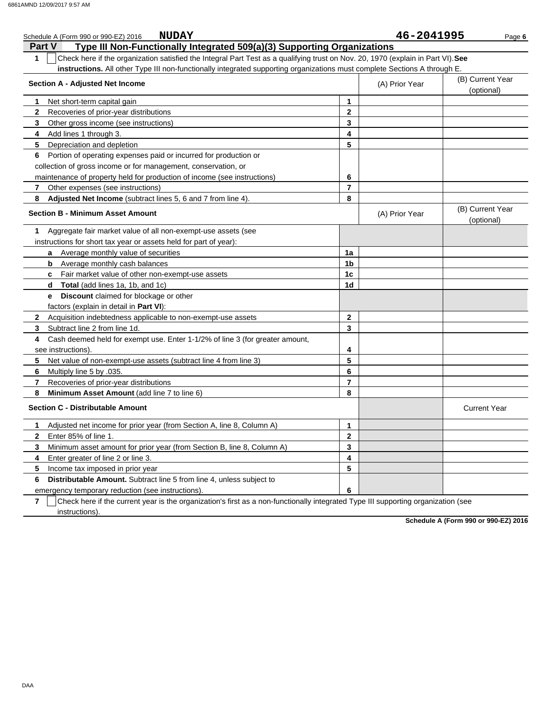| <b>NUDAY</b>                                                                 |                                                                                                                                                                                                                                                                                                                                                                                                                                                                                                   |                | Page 6                                                                                    |                                                                                                                                                                                                                                                                             |
|------------------------------------------------------------------------------|---------------------------------------------------------------------------------------------------------------------------------------------------------------------------------------------------------------------------------------------------------------------------------------------------------------------------------------------------------------------------------------------------------------------------------------------------------------------------------------------------|----------------|-------------------------------------------------------------------------------------------|-----------------------------------------------------------------------------------------------------------------------------------------------------------------------------------------------------------------------------------------------------------------------------|
|                                                                              |                                                                                                                                                                                                                                                                                                                                                                                                                                                                                                   |                |                                                                                           |                                                                                                                                                                                                                                                                             |
|                                                                              |                                                                                                                                                                                                                                                                                                                                                                                                                                                                                                   |                |                                                                                           |                                                                                                                                                                                                                                                                             |
|                                                                              |                                                                                                                                                                                                                                                                                                                                                                                                                                                                                                   |                |                                                                                           |                                                                                                                                                                                                                                                                             |
|                                                                              |                                                                                                                                                                                                                                                                                                                                                                                                                                                                                                   |                | (B) Current Year                                                                          |                                                                                                                                                                                                                                                                             |
|                                                                              |                                                                                                                                                                                                                                                                                                                                                                                                                                                                                                   |                | (optional)                                                                                |                                                                                                                                                                                                                                                                             |
| Net short-term capital gain                                                  | $\mathbf{1}$                                                                                                                                                                                                                                                                                                                                                                                                                                                                                      |                |                                                                                           |                                                                                                                                                                                                                                                                             |
| Recoveries of prior-year distributions                                       | $\mathbf{2}$                                                                                                                                                                                                                                                                                                                                                                                                                                                                                      |                |                                                                                           |                                                                                                                                                                                                                                                                             |
| Other gross income (see instructions)                                        | 3                                                                                                                                                                                                                                                                                                                                                                                                                                                                                                 |                |                                                                                           |                                                                                                                                                                                                                                                                             |
| Add lines 1 through 3.                                                       | 4                                                                                                                                                                                                                                                                                                                                                                                                                                                                                                 |                |                                                                                           |                                                                                                                                                                                                                                                                             |
| Depreciation and depletion                                                   | 5                                                                                                                                                                                                                                                                                                                                                                                                                                                                                                 |                |                                                                                           |                                                                                                                                                                                                                                                                             |
| Portion of operating expenses paid or incurred for production or             |                                                                                                                                                                                                                                                                                                                                                                                                                                                                                                   |                |                                                                                           |                                                                                                                                                                                                                                                                             |
|                                                                              |                                                                                                                                                                                                                                                                                                                                                                                                                                                                                                   |                |                                                                                           |                                                                                                                                                                                                                                                                             |
|                                                                              | 6                                                                                                                                                                                                                                                                                                                                                                                                                                                                                                 |                |                                                                                           |                                                                                                                                                                                                                                                                             |
| Other expenses (see instructions)                                            | $\overline{7}$                                                                                                                                                                                                                                                                                                                                                                                                                                                                                    |                |                                                                                           |                                                                                                                                                                                                                                                                             |
| Adjusted Net Income (subtract lines 5, 6 and 7 from line 4).                 | 8                                                                                                                                                                                                                                                                                                                                                                                                                                                                                                 |                |                                                                                           |                                                                                                                                                                                                                                                                             |
|                                                                              |                                                                                                                                                                                                                                                                                                                                                                                                                                                                                                   | (A) Prior Year | (B) Current Year<br>(optional)                                                            |                                                                                                                                                                                                                                                                             |
| Aggregate fair market value of all non-exempt-use assets (see                |                                                                                                                                                                                                                                                                                                                                                                                                                                                                                                   |                |                                                                                           |                                                                                                                                                                                                                                                                             |
|                                                                              |                                                                                                                                                                                                                                                                                                                                                                                                                                                                                                   |                |                                                                                           |                                                                                                                                                                                                                                                                             |
| Average monthly value of securities<br>a                                     | 1a                                                                                                                                                                                                                                                                                                                                                                                                                                                                                                |                |                                                                                           |                                                                                                                                                                                                                                                                             |
| Average monthly cash balances<br>b                                           | 1 <sub>b</sub>                                                                                                                                                                                                                                                                                                                                                                                                                                                                                    |                |                                                                                           |                                                                                                                                                                                                                                                                             |
| c Fair market value of other non-exempt-use assets                           | 1 <sub>c</sub>                                                                                                                                                                                                                                                                                                                                                                                                                                                                                    |                |                                                                                           |                                                                                                                                                                                                                                                                             |
| <b>Total</b> (add lines 1a, 1b, and 1c)<br>d                                 | 1 <sub>d</sub>                                                                                                                                                                                                                                                                                                                                                                                                                                                                                    |                |                                                                                           |                                                                                                                                                                                                                                                                             |
| Discount claimed for blockage or other<br>e                                  |                                                                                                                                                                                                                                                                                                                                                                                                                                                                                                   |                |                                                                                           |                                                                                                                                                                                                                                                                             |
| factors (explain in detail in Part VI):                                      |                                                                                                                                                                                                                                                                                                                                                                                                                                                                                                   |                |                                                                                           |                                                                                                                                                                                                                                                                             |
| Acquisition indebtedness applicable to non-exempt-use assets                 | $\mathbf{2}$                                                                                                                                                                                                                                                                                                                                                                                                                                                                                      |                |                                                                                           |                                                                                                                                                                                                                                                                             |
| Subtract line 2 from line 1d.                                                | 3                                                                                                                                                                                                                                                                                                                                                                                                                                                                                                 |                |                                                                                           |                                                                                                                                                                                                                                                                             |
| Cash deemed held for exempt use. Enter 1-1/2% of line 3 (for greater amount, |                                                                                                                                                                                                                                                                                                                                                                                                                                                                                                   |                |                                                                                           |                                                                                                                                                                                                                                                                             |
|                                                                              | 4                                                                                                                                                                                                                                                                                                                                                                                                                                                                                                 |                |                                                                                           |                                                                                                                                                                                                                                                                             |
| Net value of non-exempt-use assets (subtract line 4 from line 3)             | 5                                                                                                                                                                                                                                                                                                                                                                                                                                                                                                 |                |                                                                                           |                                                                                                                                                                                                                                                                             |
| Multiply line 5 by .035.                                                     | 6                                                                                                                                                                                                                                                                                                                                                                                                                                                                                                 |                |                                                                                           |                                                                                                                                                                                                                                                                             |
| Recoveries of prior-year distributions                                       | $\overline{7}$                                                                                                                                                                                                                                                                                                                                                                                                                                                                                    |                |                                                                                           |                                                                                                                                                                                                                                                                             |
| Minimum Asset Amount (add line 7 to line 6)                                  | 8                                                                                                                                                                                                                                                                                                                                                                                                                                                                                                 |                |                                                                                           |                                                                                                                                                                                                                                                                             |
|                                                                              |                                                                                                                                                                                                                                                                                                                                                                                                                                                                                                   |                | <b>Current Year</b>                                                                       |                                                                                                                                                                                                                                                                             |
| Adjusted net income for prior year (from Section A, line 8, Column A)        | 1                                                                                                                                                                                                                                                                                                                                                                                                                                                                                                 |                |                                                                                           |                                                                                                                                                                                                                                                                             |
| Enter 85% of line 1.                                                         | $\mathbf 2$                                                                                                                                                                                                                                                                                                                                                                                                                                                                                       |                |                                                                                           |                                                                                                                                                                                                                                                                             |
| Minimum asset amount for prior year (from Section B, line 8, Column A)       | 3                                                                                                                                                                                                                                                                                                                                                                                                                                                                                                 |                |                                                                                           |                                                                                                                                                                                                                                                                             |
| Enter greater of line 2 or line 3.                                           | 4                                                                                                                                                                                                                                                                                                                                                                                                                                                                                                 |                |                                                                                           |                                                                                                                                                                                                                                                                             |
| Income tax imposed in prior year                                             | 5                                                                                                                                                                                                                                                                                                                                                                                                                                                                                                 |                |                                                                                           |                                                                                                                                                                                                                                                                             |
| <b>Distributable Amount.</b> Subtract line 5 from line 4, unless subject to  |                                                                                                                                                                                                                                                                                                                                                                                                                                                                                                   |                |                                                                                           |                                                                                                                                                                                                                                                                             |
|                                                                              | 6                                                                                                                                                                                                                                                                                                                                                                                                                                                                                                 |                |                                                                                           |                                                                                                                                                                                                                                                                             |
|                                                                              | Schedule A (Form 990 or 990-EZ) 2016<br>Part V<br><b>Section A - Adjusted Net Income</b><br>collection of gross income or for management, conservation, or<br>maintenance of property held for production of income (see instructions)<br>7<br><b>Section B - Minimum Asset Amount</b><br>instructions for short tax year or assets held for part of year):<br>$\mathbf{2}$<br>see instructions).<br><b>Section C - Distributable Amount</b><br>emergency temporary reduction (see instructions). |                | Type III Non-Functionally Integrated 509(a)(3) Supporting Organizations<br>(A) Prior Year | 46-2041995<br>Check here if the organization satisfied the Integral Part Test as a qualifying trust on Nov. 20, 1970 (explain in Part VI). See<br>instructions. All other Type III non-functionally integrated supporting organizations must complete Sections A through E. |

**7** | Check here if the current year is the organization's first as a non-functionally integrated Type III supporting organization (see instructions).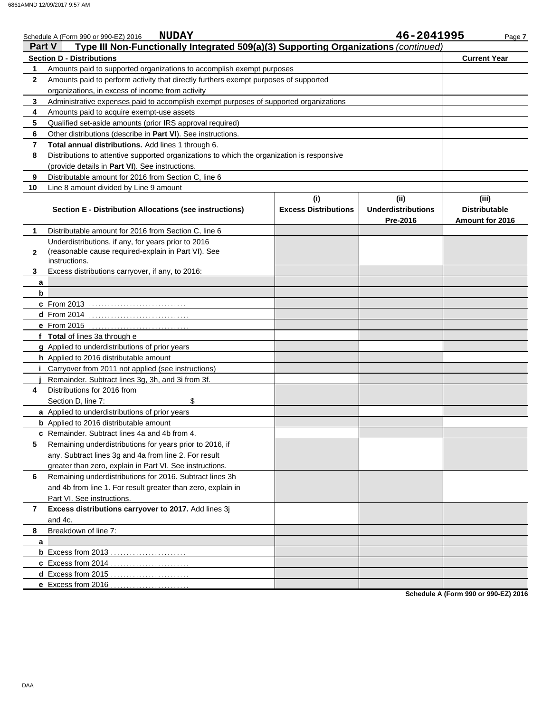|                                  | <b>NUDAY</b><br>Schedule A (Form 990 or 990-EZ) 2016                                       |                                    | 46-2041995                                    | Page 7                                           |
|----------------------------------|--------------------------------------------------------------------------------------------|------------------------------------|-----------------------------------------------|--------------------------------------------------|
| <b>Part V</b>                    | Type III Non-Functionally Integrated 509(a)(3) Supporting Organizations (continued)        |                                    |                                               |                                                  |
| <b>Section D - Distributions</b> | <b>Current Year</b>                                                                        |                                    |                                               |                                                  |
| 1                                | Amounts paid to supported organizations to accomplish exempt purposes                      |                                    |                                               |                                                  |
| 2                                | Amounts paid to perform activity that directly furthers exempt purposes of supported       |                                    |                                               |                                                  |
|                                  | organizations, in excess of income from activity                                           |                                    |                                               |                                                  |
| 3                                | Administrative expenses paid to accomplish exempt purposes of supported organizations      |                                    |                                               |                                                  |
| 4                                | Amounts paid to acquire exempt-use assets                                                  |                                    |                                               |                                                  |
| 5                                | Qualified set-aside amounts (prior IRS approval required)                                  |                                    |                                               |                                                  |
| 6                                | Other distributions (describe in Part VI). See instructions.                               |                                    |                                               |                                                  |
| 7                                | Total annual distributions. Add lines 1 through 6.                                         |                                    |                                               |                                                  |
| 8                                | Distributions to attentive supported organizations to which the organization is responsive |                                    |                                               |                                                  |
|                                  | (provide details in Part VI). See instructions.                                            |                                    |                                               |                                                  |
| 9                                | Distributable amount for 2016 from Section C, line 6                                       |                                    |                                               |                                                  |
| 10                               | Line 8 amount divided by Line 9 amount                                                     |                                    |                                               |                                                  |
|                                  | Section E - Distribution Allocations (see instructions)                                    | (i)<br><b>Excess Distributions</b> | (ii)<br><b>Underdistributions</b><br>Pre-2016 | (iii)<br><b>Distributable</b><br>Amount for 2016 |
| 1                                | Distributable amount for 2016 from Section C, line 6                                       |                                    |                                               |                                                  |
|                                  | Underdistributions, if any, for years prior to 2016                                        |                                    |                                               |                                                  |
| $\mathbf{2}$                     | (reasonable cause required-explain in Part VI). See                                        |                                    |                                               |                                                  |
|                                  | instructions.                                                                              |                                    |                                               |                                                  |
| 3                                | Excess distributions carryover, if any, to 2016:                                           |                                    |                                               |                                                  |
| a                                |                                                                                            |                                    |                                               |                                                  |
| b                                |                                                                                            |                                    |                                               |                                                  |
|                                  | c From 2013                                                                                |                                    |                                               |                                                  |
|                                  |                                                                                            |                                    |                                               |                                                  |
|                                  | e From 2015<br>f Total of lines 3a through e                                               |                                    |                                               |                                                  |
|                                  | <b>g</b> Applied to underdistributions of prior years                                      |                                    |                                               |                                                  |
|                                  | h Applied to 2016 distributable amount                                                     |                                    |                                               |                                                  |
|                                  | Carryover from 2011 not applied (see instructions)                                         |                                    |                                               |                                                  |
|                                  | Remainder. Subtract lines 3g, 3h, and 3i from 3f.                                          |                                    |                                               |                                                  |
| 4                                | Distributions for 2016 from                                                                |                                    |                                               |                                                  |
|                                  | \$<br>Section D, line 7:                                                                   |                                    |                                               |                                                  |
|                                  | a Applied to underdistributions of prior years                                             |                                    |                                               |                                                  |
|                                  | <b>b</b> Applied to 2016 distributable amount                                              |                                    |                                               |                                                  |
|                                  | c Remainder. Subtract lines 4a and 4b from 4.                                              |                                    |                                               |                                                  |
| 5                                | Remaining underdistributions for years prior to 2016, if                                   |                                    |                                               |                                                  |
|                                  | any. Subtract lines 3g and 4a from line 2. For result                                      |                                    |                                               |                                                  |
|                                  | greater than zero, explain in Part VI. See instructions.                                   |                                    |                                               |                                                  |
| 6                                | Remaining underdistributions for 2016. Subtract lines 3h                                   |                                    |                                               |                                                  |
|                                  | and 4b from line 1. For result greater than zero, explain in                               |                                    |                                               |                                                  |
|                                  | Part VI. See instructions.                                                                 |                                    |                                               |                                                  |
| $\overline{7}$                   | Excess distributions carryover to 2017. Add lines 3j                                       |                                    |                                               |                                                  |
|                                  | and 4c.                                                                                    |                                    |                                               |                                                  |
| 8                                | Breakdown of line 7:                                                                       |                                    |                                               |                                                  |
| a                                |                                                                                            |                                    |                                               |                                                  |
|                                  |                                                                                            |                                    |                                               |                                                  |
|                                  | c Excess from 2014<br>.                                                                    |                                    |                                               |                                                  |
|                                  | d Excess from 2015<br>.                                                                    |                                    |                                               |                                                  |
|                                  | e Excess from 2016                                                                         |                                    |                                               | $0.00 - 0.005$ $570.004$                         |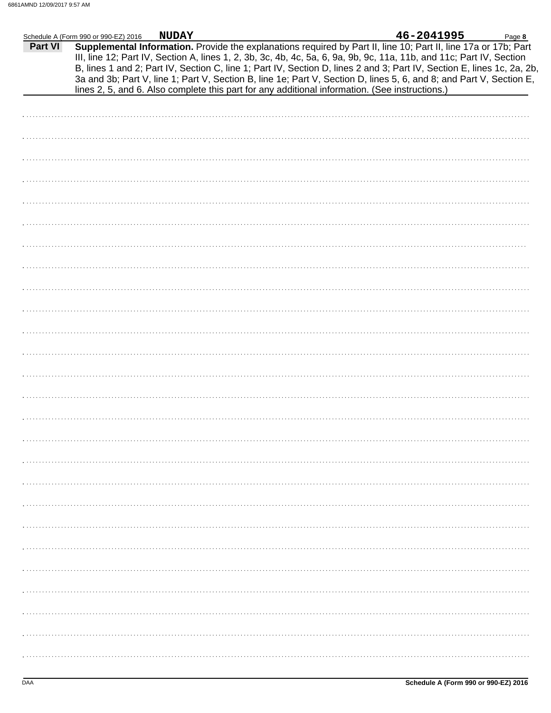|         | Schedule A (Form 990 or 990-EZ) 2016 | <b>NUDAY</b> |                                                                                                                                                                                                                                                                                                                                                                                                                                                                                                                                                                                            | 46-2041995 | Page 8 |
|---------|--------------------------------------|--------------|--------------------------------------------------------------------------------------------------------------------------------------------------------------------------------------------------------------------------------------------------------------------------------------------------------------------------------------------------------------------------------------------------------------------------------------------------------------------------------------------------------------------------------------------------------------------------------------------|------------|--------|
| Part VI |                                      |              | Supplemental Information. Provide the explanations required by Part II, line 10; Part II, line 17a or 17b; Part<br>III, line 12; Part IV, Section A, lines 1, 2, 3b, 3c, 4b, 4c, 5a, 6, 9a, 9b, 9c, 11a, 11b, and 11c; Part IV, Section<br>B, lines 1 and 2; Part IV, Section C, line 1; Part IV, Section D, lines 2 and 3; Part IV, Section E, lines 1c, 2a, 2b,<br>3a and 3b; Part V, line 1; Part V, Section B, line 1e; Part V, Section D, lines 5, 6, and 8; and Part V, Section E,<br>lines 2, 5, and 6. Also complete this part for any additional information. (See instructions.) |            |        |
|         |                                      |              |                                                                                                                                                                                                                                                                                                                                                                                                                                                                                                                                                                                            |            |        |
|         |                                      |              |                                                                                                                                                                                                                                                                                                                                                                                                                                                                                                                                                                                            |            |        |
|         |                                      |              |                                                                                                                                                                                                                                                                                                                                                                                                                                                                                                                                                                                            |            |        |
|         |                                      |              |                                                                                                                                                                                                                                                                                                                                                                                                                                                                                                                                                                                            |            |        |
|         |                                      |              |                                                                                                                                                                                                                                                                                                                                                                                                                                                                                                                                                                                            |            |        |
|         |                                      |              |                                                                                                                                                                                                                                                                                                                                                                                                                                                                                                                                                                                            |            |        |
|         |                                      |              |                                                                                                                                                                                                                                                                                                                                                                                                                                                                                                                                                                                            |            |        |
|         |                                      |              |                                                                                                                                                                                                                                                                                                                                                                                                                                                                                                                                                                                            |            |        |
|         |                                      |              |                                                                                                                                                                                                                                                                                                                                                                                                                                                                                                                                                                                            |            |        |
|         |                                      |              |                                                                                                                                                                                                                                                                                                                                                                                                                                                                                                                                                                                            |            |        |
|         |                                      |              |                                                                                                                                                                                                                                                                                                                                                                                                                                                                                                                                                                                            |            |        |
|         |                                      |              |                                                                                                                                                                                                                                                                                                                                                                                                                                                                                                                                                                                            |            |        |
|         |                                      |              |                                                                                                                                                                                                                                                                                                                                                                                                                                                                                                                                                                                            |            |        |
|         |                                      |              |                                                                                                                                                                                                                                                                                                                                                                                                                                                                                                                                                                                            |            |        |
|         |                                      |              |                                                                                                                                                                                                                                                                                                                                                                                                                                                                                                                                                                                            |            |        |
|         |                                      |              |                                                                                                                                                                                                                                                                                                                                                                                                                                                                                                                                                                                            |            |        |
|         |                                      |              |                                                                                                                                                                                                                                                                                                                                                                                                                                                                                                                                                                                            |            |        |
|         |                                      |              |                                                                                                                                                                                                                                                                                                                                                                                                                                                                                                                                                                                            |            |        |
|         |                                      |              |                                                                                                                                                                                                                                                                                                                                                                                                                                                                                                                                                                                            |            |        |
|         |                                      |              |                                                                                                                                                                                                                                                                                                                                                                                                                                                                                                                                                                                            |            |        |
|         |                                      |              |                                                                                                                                                                                                                                                                                                                                                                                                                                                                                                                                                                                            |            |        |
|         |                                      |              |                                                                                                                                                                                                                                                                                                                                                                                                                                                                                                                                                                                            |            |        |
|         |                                      |              |                                                                                                                                                                                                                                                                                                                                                                                                                                                                                                                                                                                            |            |        |
|         |                                      |              |                                                                                                                                                                                                                                                                                                                                                                                                                                                                                                                                                                                            |            |        |
|         |                                      |              |                                                                                                                                                                                                                                                                                                                                                                                                                                                                                                                                                                                            |            |        |
|         |                                      |              |                                                                                                                                                                                                                                                                                                                                                                                                                                                                                                                                                                                            |            |        |
|         |                                      |              |                                                                                                                                                                                                                                                                                                                                                                                                                                                                                                                                                                                            |            |        |
|         |                                      |              |                                                                                                                                                                                                                                                                                                                                                                                                                                                                                                                                                                                            |            |        |
|         |                                      |              |                                                                                                                                                                                                                                                                                                                                                                                                                                                                                                                                                                                            |            |        |
|         |                                      |              |                                                                                                                                                                                                                                                                                                                                                                                                                                                                                                                                                                                            |            |        |
|         |                                      |              |                                                                                                                                                                                                                                                                                                                                                                                                                                                                                                                                                                                            |            |        |
|         |                                      |              |                                                                                                                                                                                                                                                                                                                                                                                                                                                                                                                                                                                            |            |        |
|         |                                      |              |                                                                                                                                                                                                                                                                                                                                                                                                                                                                                                                                                                                            |            |        |
|         |                                      |              |                                                                                                                                                                                                                                                                                                                                                                                                                                                                                                                                                                                            |            |        |
|         |                                      |              |                                                                                                                                                                                                                                                                                                                                                                                                                                                                                                                                                                                            |            |        |
|         |                                      |              |                                                                                                                                                                                                                                                                                                                                                                                                                                                                                                                                                                                            |            |        |
|         |                                      |              |                                                                                                                                                                                                                                                                                                                                                                                                                                                                                                                                                                                            |            |        |
|         |                                      |              |                                                                                                                                                                                                                                                                                                                                                                                                                                                                                                                                                                                            |            |        |
|         |                                      |              |                                                                                                                                                                                                                                                                                                                                                                                                                                                                                                                                                                                            |            |        |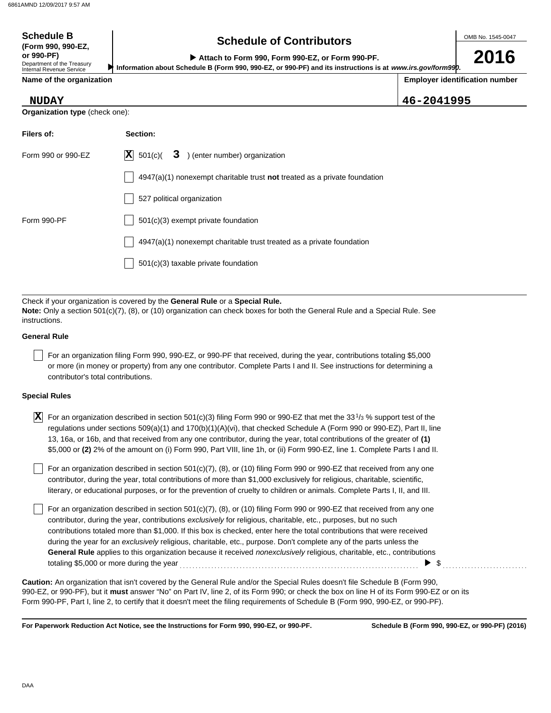## **Schedule of Contributors Schedule B**

**2016**

**or 990-PF) Attach to Form 990, Form 990-EZ, or Form 990-PF.**

 **Information about Schedule B (Form 990, 990-EZ, or 990-PF) and its instructions is at** *www.irs.gov/form990.*

**Name of the organization**

Department of the Treasury Internal Revenue Service

**(Form 990, 990-EZ,**

**Employer identification number**

| .                              |                          |                                  |            |
|--------------------------------|--------------------------|----------------------------------|------------|
| <b>NUDAY</b>                   |                          |                                  | 46-2041995 |
| Organization type (check one): |                          |                                  |            |
| Filers of:                     | Section:                 |                                  |            |
| Form 990 or 990-EZ             | $ \mathbf{X} $<br>501(c) | (enter number) organization<br>3 |            |

|             | 4947(a)(1) nonexempt charitable trust not treated as a private foundation |
|-------------|---------------------------------------------------------------------------|
|             | 527 political organization                                                |
| Form 990-PF | 501(c)(3) exempt private foundation                                       |
|             | 4947(a)(1) nonexempt charitable trust treated as a private foundation     |
|             | 501(c)(3) taxable private foundation                                      |

Check if your organization is covered by the **General Rule** or a **Special Rule. Note:** Only a section 501(c)(7), (8), or (10) organization can check boxes for both the General Rule and a Special Rule. See instructions.

#### **General Rule**

For an organization filing Form 990, 990-EZ, or 990-PF that received, during the year, contributions totaling \$5,000 or more (in money or property) from any one contributor. Complete Parts I and II. See instructions for determining a contributor's total contributions.

#### **Special Rules**

| $\overline{X}$ For an organization described in section 501(c)(3) filing Form 990 or 990-EZ that met the 33 <sup>1</sup> /3 % support test of the |
|---------------------------------------------------------------------------------------------------------------------------------------------------|
| regulations under sections $509(a)(1)$ and $170(b)(1)(A)(vi)$ , that checked Schedule A (Form 990 or 990-EZ), Part II, line                       |
| 13, 16a, or 16b, and that received from any one contributor, during the year, total contributions of the greater of (1)                           |
| \$5,000 or (2) 2% of the amount on (i) Form 990, Part VIII, line 1h, or (ii) Form 990-EZ, line 1. Complete Parts I and II.                        |

literary, or educational purposes, or for the prevention of cruelty to children or animals. Complete Parts I, II, and III. For an organization described in section 501(c)(7), (8), or (10) filing Form 990 or 990-EZ that received from any one contributor, during the year, total contributions of more than \$1,000 exclusively for religious, charitable, scientific,

For an organization described in section 501(c)(7), (8), or (10) filing Form 990 or 990-EZ that received from any one contributor, during the year, contributions *exclusively* for religious, charitable, etc., purposes, but no such contributions totaled more than \$1,000. If this box is checked, enter here the total contributions that were received during the year for an *exclusively* religious, charitable, etc., purpose. Don't complete any of the parts unless the **General Rule** applies to this organization because it received *nonexclusively* religious, charitable, etc., contributions totaling \$5,000 or more during the year . . . . . . . . . . . . . . . . . . . . . . . . . . . . . . . . . . . . . . . . . . . . . . . . . . . . . . . . . . . . . . . . . . . . . . . . . . . . \$ . . . . . . . . . . . . . . . . . . . . . . . . . . .

990-EZ, or 990-PF), but it **must** answer "No" on Part IV, line 2, of its Form 990; or check the box on line H of its Form 990-EZ or on its Form 990-PF, Part I, line 2, to certify that it doesn't meet the filing requirements of Schedule B (Form 990, 990-EZ, or 990-PF). **Caution:** An organization that isn't covered by the General Rule and/or the Special Rules doesn't file Schedule B (Form 990,

**For Paperwork Reduction Act Notice, see the Instructions for Form 990, 990-EZ, or 990-PF.**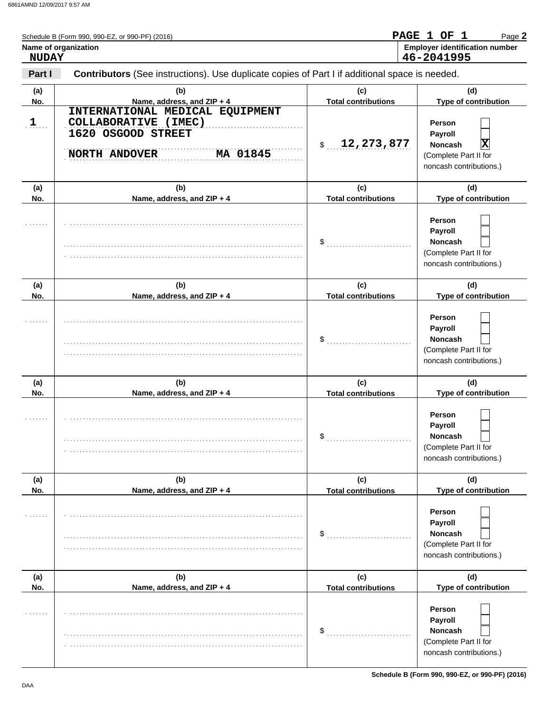|                                      | Schedule B (Form 990, 990-EZ, or 990-PF) (2016)                                                            |                                   | PAGE 1 OF 1<br>Page 2                                                                              |
|--------------------------------------|------------------------------------------------------------------------------------------------------------|-----------------------------------|----------------------------------------------------------------------------------------------------|
| Name of organization<br><b>NUDAY</b> |                                                                                                            |                                   | <b>Employer identification number</b><br>46-2041995                                                |
| Part I                               | Contributors (See instructions). Use duplicate copies of Part I if additional space is needed.             |                                   |                                                                                                    |
| (a)<br>No.                           | (b)<br>Name, address, and ZIP + 4                                                                          | (c)<br><b>Total contributions</b> | (d)<br>Type of contribution                                                                        |
| $\mathbf{1}$                         | INTERNATIONAL MEDICAL EQUIPMENT<br>COLLABORATIVE (IMEC)<br>1620 OSGOOD STREET<br>NORTH ANDOVER<br>MA 01845 | 12, 273, 877<br>\$                | Person<br>Payroll<br>$ \mathbf{x} $<br>Noncash<br>(Complete Part II for<br>noncash contributions.) |
| (a)                                  | (b)                                                                                                        | (c)                               | (d)                                                                                                |
| No.                                  | Name, address, and ZIP + 4                                                                                 | <b>Total contributions</b>        | Type of contribution                                                                               |
|                                      |                                                                                                            | \$                                | Person<br>Payroll<br>Noncash<br>(Complete Part II for<br>noncash contributions.)                   |
| (a)                                  | (b)                                                                                                        | (c)                               | (d)                                                                                                |
| No.                                  | Name, address, and ZIP + 4                                                                                 | <b>Total contributions</b>        | Type of contribution                                                                               |
|                                      |                                                                                                            | \$                                | Person<br>Payroll<br>Noncash<br>(Complete Part II for<br>noncash contributions.)                   |
| (a)                                  | (b)                                                                                                        | (c)                               | (d)                                                                                                |
| No.                                  | Name, address, and ZIP + 4                                                                                 | <b>Total contributions</b>        | Type of contribution                                                                               |
|                                      |                                                                                                            |                                   | Person<br>Payroll<br>Noncash<br>(Complete Part II for<br>noncash contributions.)                   |
| (a)<br>No.                           | (b)<br>Name, address, and ZIP + 4                                                                          | (c)<br><b>Total contributions</b> | (d)<br>Type of contribution                                                                        |
|                                      |                                                                                                            | \$                                | Person<br>Payroll<br><b>Noncash</b><br>(Complete Part II for<br>noncash contributions.)            |
| (a)<br>No.                           | (b)<br>Name, address, and ZIP + 4                                                                          | (c)<br><b>Total contributions</b> | (d)<br>Type of contribution                                                                        |
|                                      |                                                                                                            | \$                                | Person<br>Payroll<br><b>Noncash</b><br>(Complete Part II for<br>noncash contributions.)            |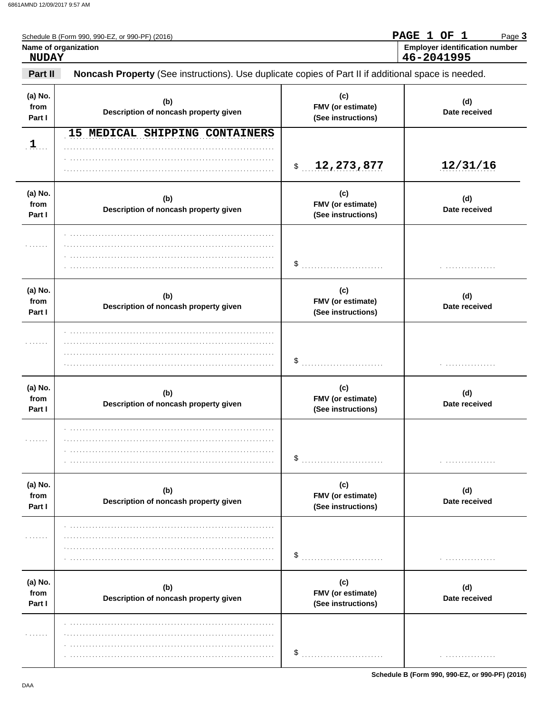|                           | Schedule B (Form 990, 990-EZ, or 990-PF) (2016)                                                     |                                                | PAGE 1 OF 1<br>Page 3                               |
|---------------------------|-----------------------------------------------------------------------------------------------------|------------------------------------------------|-----------------------------------------------------|
| <b>NUDAY</b>              | Name of organization                                                                                |                                                | <b>Employer identification number</b><br>46-2041995 |
| Part II                   | Noncash Property (See instructions). Use duplicate copies of Part II if additional space is needed. |                                                |                                                     |
| (a) No.<br>from<br>Part I | (b)<br>Description of noncash property given                                                        | (c)<br>FMV (or estimate)<br>(See instructions) | (d)<br>Date received                                |
| $\frac{1}{2}$             | 15 MEDICAL SHIPPING CONTAINERS                                                                      | 12, 273, 877<br>\$                             | 12/31/16                                            |
| (a) No.<br>from<br>Part I | (b)<br>Description of noncash property given                                                        | (c)<br>FMV (or estimate)<br>(See instructions) | (d)<br>Date received                                |
| .                         |                                                                                                     | \$                                             |                                                     |
| (a) No.<br>from<br>Part I | (b)<br>Description of noncash property given                                                        | (c)<br>FMV (or estimate)<br>(See instructions) | (d)<br>Date received                                |
| .                         |                                                                                                     | \$                                             |                                                     |
| (a) No.<br>from<br>Part I | (b)<br>Description of noncash property given                                                        | (c)<br>FMV (or estimate)<br>(See instructions) | (d)<br>Date received                                |
| .                         |                                                                                                     |                                                | de la caractería de la caractería                   |
| (a) No.<br>from<br>Part I | (b)<br>Description of noncash property given                                                        | (c)<br>FMV (or estimate)<br>(See instructions) | (d)<br>Date received                                |
| .                         |                                                                                                     | \$                                             | .                                                   |
| (a) No.<br>from<br>Part I | (b)<br>Description of noncash property given                                                        | (c)<br>FMV (or estimate)<br>(See instructions) | (d)<br>Date received                                |
| .                         |                                                                                                     | $\$\ldots$                                     | .                                                   |

Schedule B (Form 990, 990-EZ, or 990-PF) (2016)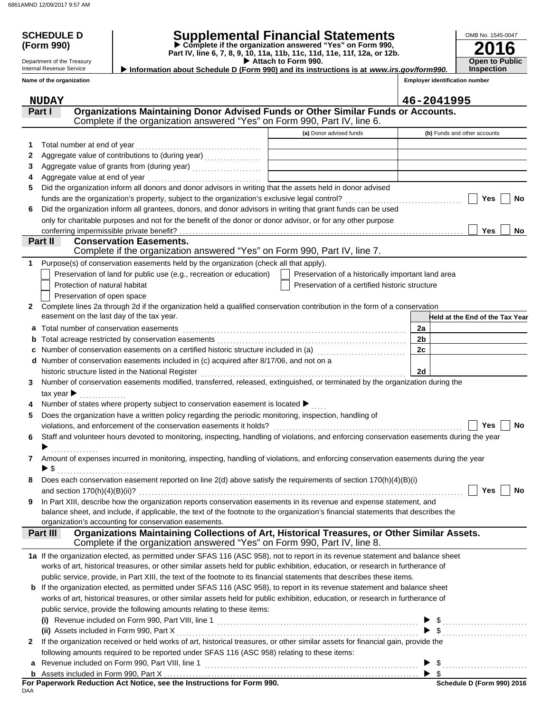|              | <b>SCHEDULE D</b>                                    |                                                                                                                                                                                            | <b>Supplemental Financial Statements</b>                                                                                             |                                       | OMB No. 1545-0047                |
|--------------|------------------------------------------------------|--------------------------------------------------------------------------------------------------------------------------------------------------------------------------------------------|--------------------------------------------------------------------------------------------------------------------------------------|---------------------------------------|----------------------------------|
|              | (Form 990)                                           |                                                                                                                                                                                            | Complete if the organization answered "Yes" on Form 990,<br>Part IV, line 6, 7, 8, 9, 10, 11a, 11b, 11c, 11d, 11e, 11f, 12a, or 12b. |                                       | O                                |
|              | Department of the Treasury                           |                                                                                                                                                                                            | Attach to Form 990.                                                                                                                  |                                       | <b>Open to Public</b>            |
|              | Internal Revenue Service<br>Name of the organization | Information about Schedule D (Form 990) and its instructions is at www.irs.gov/form990.                                                                                                    |                                                                                                                                      | <b>Employer identification number</b> | <b>Inspection</b>                |
|              | <b>NUDAY</b>                                         |                                                                                                                                                                                            |                                                                                                                                      | 46-2041995                            |                                  |
|              | Part I                                               | Organizations Maintaining Donor Advised Funds or Other Similar Funds or Accounts.                                                                                                          |                                                                                                                                      |                                       |                                  |
|              |                                                      | Complete if the organization answered "Yes" on Form 990, Part IV, line 6.                                                                                                                  |                                                                                                                                      |                                       |                                  |
|              |                                                      |                                                                                                                                                                                            | (a) Donor advised funds                                                                                                              |                                       | (b) Funds and other accounts     |
| 1            |                                                      |                                                                                                                                                                                            |                                                                                                                                      |                                       |                                  |
| 2            |                                                      | Aggregate value of contributions to (during year)                                                                                                                                          |                                                                                                                                      |                                       |                                  |
| 3            |                                                      |                                                                                                                                                                                            |                                                                                                                                      |                                       |                                  |
| 4            |                                                      |                                                                                                                                                                                            |                                                                                                                                      |                                       |                                  |
| 5            |                                                      | Did the organization inform all donors and donor advisors in writing that the assets held in donor advised                                                                                 |                                                                                                                                      |                                       |                                  |
|              |                                                      |                                                                                                                                                                                            |                                                                                                                                      |                                       | Yes<br>No                        |
| 6            |                                                      | Did the organization inform all grantees, donors, and donor advisors in writing that grant funds can be used                                                                               |                                                                                                                                      |                                       |                                  |
|              |                                                      | only for charitable purposes and not for the benefit of the donor or donor advisor, or for any other purpose                                                                               |                                                                                                                                      |                                       | Yes                              |
|              | conferring impermissible private benefit?<br>Part II | <b>Conservation Easements.</b>                                                                                                                                                             |                                                                                                                                      |                                       | <b>No</b>                        |
|              |                                                      | Complete if the organization answered "Yes" on Form 990, Part IV, line 7.                                                                                                                  |                                                                                                                                      |                                       |                                  |
|              |                                                      | Purpose(s) of conservation easements held by the organization (check all that apply).                                                                                                      |                                                                                                                                      |                                       |                                  |
|              |                                                      | Preservation of land for public use (e.g., recreation or education)                                                                                                                        | Preservation of a historically important land area                                                                                   |                                       |                                  |
|              | Protection of natural habitat                        |                                                                                                                                                                                            | Preservation of a certified historic structure                                                                                       |                                       |                                  |
|              | Preservation of open space                           |                                                                                                                                                                                            |                                                                                                                                      |                                       |                                  |
| $\mathbf{2}$ | easement on the last day of the tax year.            | Complete lines 2a through 2d if the organization held a qualified conservation contribution in the form of a conservation                                                                  |                                                                                                                                      |                                       | -leld at the End of the Tax Year |
| a            |                                                      |                                                                                                                                                                                            |                                                                                                                                      | 2a                                    |                                  |
|              |                                                      |                                                                                                                                                                                            |                                                                                                                                      | 2 <sub>b</sub>                        |                                  |
|              |                                                      | Number of conservation easements on a certified historic structure included in (a) [11] Number of conservation                                                                             |                                                                                                                                      | 2c                                    |                                  |
|              |                                                      | d Number of conservation easements included in (c) acquired after 8/17/06, and not on a                                                                                                    |                                                                                                                                      |                                       |                                  |
|              |                                                      |                                                                                                                                                                                            |                                                                                                                                      | 2d                                    |                                  |
| 3            |                                                      | Number of conservation easements modified, transferred, released, extinguished, or terminated by the organization during the                                                               |                                                                                                                                      |                                       |                                  |
|              | tax year $\blacktriangleright$<br>.                  |                                                                                                                                                                                            |                                                                                                                                      |                                       |                                  |
|              |                                                      | Number of states where property subject to conservation easement is located >                                                                                                              |                                                                                                                                      |                                       |                                  |
| 5            |                                                      | Does the organization have a written policy regarding the periodic monitoring, inspection, handling of                                                                                     |                                                                                                                                      |                                       | $\Box$ Yes                       |
|              |                                                      |                                                                                                                                                                                            |                                                                                                                                      |                                       | No                               |
| 6            |                                                      | Staff and volunteer hours devoted to monitoring, inspecting, handling of violations, and enforcing conservation easements during the year                                                  |                                                                                                                                      |                                       |                                  |
|              | ▶<br>.                                               | Amount of expenses incurred in monitoring, inspecting, handling of violations, and enforcing conservation easements during the year                                                        |                                                                                                                                      |                                       |                                  |
| 7            | $\blacktriangleright$ \$                             |                                                                                                                                                                                            |                                                                                                                                      |                                       |                                  |
| 8            |                                                      | Does each conservation easement reported on line 2(d) above satisfy the requirements of section 170(h)(4)(B)(i)                                                                            |                                                                                                                                      |                                       |                                  |
|              |                                                      |                                                                                                                                                                                            |                                                                                                                                      |                                       | Yes<br>No                        |
| 9            |                                                      | In Part XIII, describe how the organization reports conservation easements in its revenue and expense statement, and                                                                       |                                                                                                                                      |                                       |                                  |
|              |                                                      | balance sheet, and include, if applicable, the text of the footnote to the organization's financial statements that describes the<br>organization's accounting for conservation easements. |                                                                                                                                      |                                       |                                  |
|              | Part III                                             | Organizations Maintaining Collections of Art, Historical Treasures, or Other Similar Assets.<br>Complete if the organization answered "Yes" on Form 990, Part IV, line 8.                  |                                                                                                                                      |                                       |                                  |
|              |                                                      | 1a If the organization elected, as permitted under SFAS 116 (ASC 958), not to report in its revenue statement and balance sheet                                                            |                                                                                                                                      |                                       |                                  |
|              |                                                      | works of art, historical treasures, or other similar assets held for public exhibition, education, or research in furtherance of                                                           |                                                                                                                                      |                                       |                                  |
|              |                                                      | public service, provide, in Part XIII, the text of the footnote to its financial statements that describes these items.                                                                    |                                                                                                                                      |                                       |                                  |
|              |                                                      | <b>b</b> If the organization elected, as permitted under SFAS 116 (ASC 958), to report in its revenue statement and balance sheet                                                          |                                                                                                                                      |                                       |                                  |
|              |                                                      | works of art, historical treasures, or other similar assets held for public exhibition, education, or research in furtherance of                                                           |                                                                                                                                      |                                       |                                  |
|              |                                                      | public service, provide the following amounts relating to these items:                                                                                                                     |                                                                                                                                      |                                       |                                  |
|              |                                                      |                                                                                                                                                                                            |                                                                                                                                      |                                       |                                  |
|              |                                                      |                                                                                                                                                                                            |                                                                                                                                      |                                       | $\blacktriangleright$ \$         |
| $\mathbf{2}$ |                                                      | If the organization received or held works of art, historical treasures, or other similar assets for financial gain, provide the                                                           |                                                                                                                                      |                                       |                                  |
|              |                                                      | following amounts required to be reported under SFAS 116 (ASC 958) relating to these items:                                                                                                |                                                                                                                                      |                                       |                                  |
|              |                                                      |                                                                                                                                                                                            |                                                                                                                                      |                                       |                                  |
|              |                                                      |                                                                                                                                                                                            |                                                                                                                                      |                                       |                                  |
|              |                                                      | For Paperwork Reduction Act Notice, see the Instructions for Form 990.                                                                                                                     |                                                                                                                                      |                                       | Schedule D (Form 990) 2016       |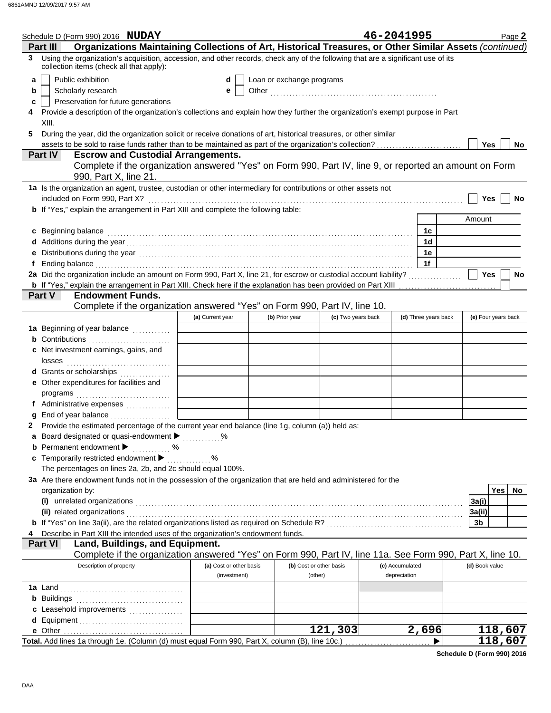|   | Schedule D (Form 990) 2016 NUDAY                                                                                                                                                                                               |                         |                           |                         | 46-2041995      |                      | Page 2              |
|---|--------------------------------------------------------------------------------------------------------------------------------------------------------------------------------------------------------------------------------|-------------------------|---------------------------|-------------------------|-----------------|----------------------|---------------------|
|   | Organizations Maintaining Collections of Art, Historical Treasures, or Other Similar Assets (continued)<br>Part III                                                                                                            |                         |                           |                         |                 |                      |                     |
| 3 | Using the organization's acquisition, accession, and other records, check any of the following that are a significant use of its<br>collection items (check all that apply):                                                   |                         |                           |                         |                 |                      |                     |
| a | Public exhibition                                                                                                                                                                                                              | d                       | Loan or exchange programs |                         |                 |                      |                     |
| b | Scholarly research                                                                                                                                                                                                             | е                       |                           |                         |                 |                      |                     |
| c | Preservation for future generations                                                                                                                                                                                            |                         |                           |                         |                 |                      |                     |
|   | Provide a description of the organization's collections and explain how they further the organization's exempt purpose in Part                                                                                                 |                         |                           |                         |                 |                      |                     |
|   | XIII.                                                                                                                                                                                                                          |                         |                           |                         |                 |                      |                     |
| 5 | During the year, did the organization solicit or receive donations of art, historical treasures, or other similar                                                                                                              |                         |                           |                         |                 |                      |                     |
|   |                                                                                                                                                                                                                                |                         |                           |                         |                 |                      | Yes<br><b>No</b>    |
|   | Part IV<br><b>Escrow and Custodial Arrangements.</b>                                                                                                                                                                           |                         |                           |                         |                 |                      |                     |
|   | Complete if the organization answered "Yes" on Form 990, Part IV, line 9, or reported an amount on Form<br>990, Part X, line 21.                                                                                               |                         |                           |                         |                 |                      |                     |
|   | 1a Is the organization an agent, trustee, custodian or other intermediary for contributions or other assets not                                                                                                                |                         |                           |                         |                 |                      |                     |
|   | included on Form 990, Part X?                                                                                                                                                                                                  |                         |                           |                         |                 |                      | Yes<br>No           |
|   | <b>b</b> If "Yes," explain the arrangement in Part XIII and complete the following table:                                                                                                                                      |                         |                           |                         |                 |                      |                     |
|   |                                                                                                                                                                                                                                |                         |                           |                         |                 |                      | Amount              |
|   | c Beginning balance                                                                                                                                                                                                            |                         |                           |                         |                 | 1c                   |                     |
|   |                                                                                                                                                                                                                                |                         |                           |                         |                 | 1d                   |                     |
|   |                                                                                                                                                                                                                                |                         |                           |                         |                 | 1e                   |                     |
|   |                                                                                                                                                                                                                                |                         |                           |                         |                 | 1f                   |                     |
|   | 2a Did the organization include an amount on Form 990, Part X, line 21, for escrow or custodial account liability?                                                                                                             |                         |                           |                         |                 |                      | <b>Yes</b><br>No    |
|   | <b>b</b> If "Yes," explain the arrangement in Part XIII. Check here if the explanation has been provided on Part XIII                                                                                                          |                         |                           |                         |                 |                      |                     |
|   | <b>Endowment Funds.</b><br><b>Part V</b>                                                                                                                                                                                       |                         |                           |                         |                 |                      |                     |
|   | Complete if the organization answered "Yes" on Form 990, Part IV, line 10.                                                                                                                                                     |                         |                           |                         |                 |                      |                     |
|   |                                                                                                                                                                                                                                | (a) Current year        | (b) Prior year            | (c) Two years back      |                 | (d) Three years back | (e) Four years back |
|   | 1a Beginning of year balance                                                                                                                                                                                                   |                         |                           |                         |                 |                      |                     |
|   | <b>b</b> Contributions                                                                                                                                                                                                         |                         |                           |                         |                 |                      |                     |
|   | c Net investment earnings, gains, and                                                                                                                                                                                          |                         |                           |                         |                 |                      |                     |
|   |                                                                                                                                                                                                                                |                         |                           |                         |                 |                      |                     |
|   | d Grants or scholarships                                                                                                                                                                                                       |                         |                           |                         |                 |                      |                     |
|   | e Other expenditures for facilities and                                                                                                                                                                                        |                         |                           |                         |                 |                      |                     |
|   | programs                                                                                                                                                                                                                       |                         |                           |                         |                 |                      |                     |
|   | f Administrative expenses                                                                                                                                                                                                      |                         |                           |                         |                 |                      |                     |
|   | End of year balance                                                                                                                                                                                                            |                         |                           |                         |                 |                      |                     |
|   | Provide the estimated percentage of the current year end balance (line 1g, column (a)) held as:                                                                                                                                |                         |                           |                         |                 |                      |                     |
|   | a Board designated or quasi-endowment > %                                                                                                                                                                                      |                         |                           |                         |                 |                      |                     |
|   | <b>b</b> Permanent endowment $\blacktriangleright$<br>$\%$                                                                                                                                                                     |                         |                           |                         |                 |                      |                     |
|   | c Temporarily restricted endowment >                                                                                                                                                                                           | %                       |                           |                         |                 |                      |                     |
|   | The percentages on lines 2a, 2b, and 2c should equal 100%.                                                                                                                                                                     |                         |                           |                         |                 |                      |                     |
|   | 3a Are there endowment funds not in the possession of the organization that are held and administered for the                                                                                                                  |                         |                           |                         |                 |                      |                     |
|   | organization by:                                                                                                                                                                                                               |                         |                           |                         |                 |                      | <b>Yes</b><br>No.   |
|   | (i) unrelated organizations entertainment and all the contract of the contract of the contract of the contract of the contract of the contract of the contract of the contract of the contract of the contract of the contract |                         |                           |                         |                 |                      | 3a(i)               |
|   | (ii) related organizations [11] related organizations [11] related organizations [11] related organizations [11] $\frac{1}{2}$                                                                                                 |                         |                           |                         |                 |                      | 3a(ii)              |
|   |                                                                                                                                                                                                                                |                         |                           |                         |                 |                      | 3b                  |
| 4 | Describe in Part XIII the intended uses of the organization's endowment funds.                                                                                                                                                 |                         |                           |                         |                 |                      |                     |
|   | Part VI<br>Land, Buildings, and Equipment.                                                                                                                                                                                     |                         |                           |                         |                 |                      |                     |
|   | Complete if the organization answered "Yes" on Form 990, Part IV, line 11a. See Form 990, Part X, line 10.                                                                                                                     |                         |                           |                         |                 |                      |                     |
|   | Description of property                                                                                                                                                                                                        | (a) Cost or other basis |                           | (b) Cost or other basis | (c) Accumulated |                      | (d) Book value      |
|   |                                                                                                                                                                                                                                | (investment)            |                           | (other)                 | depreciation    |                      |                     |
|   |                                                                                                                                                                                                                                |                         |                           |                         |                 |                      |                     |
|   |                                                                                                                                                                                                                                |                         |                           |                         |                 |                      |                     |
|   | c Leasehold improvements                                                                                                                                                                                                       |                         |                           |                         |                 |                      |                     |
|   |                                                                                                                                                                                                                                |                         |                           |                         |                 |                      |                     |
|   |                                                                                                                                                                                                                                |                         |                           | 121,303                 |                 | 2,696                | 118,607             |
|   | Total. Add lines 1a through 1e. (Column (d) must equal Form 990, Part X, column (B), line 10c.)                                                                                                                                |                         |                           |                         |                 |                      | 118,607             |

**Schedule D (Form 990) 2016**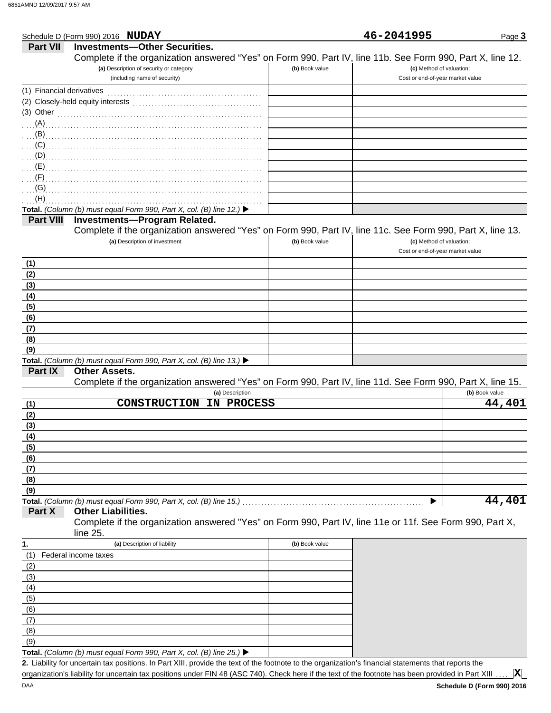|                           | Schedule D (Form 990) 2016 NUDAY                                                                           |                | 46-2041995                       | Page 3         |
|---------------------------|------------------------------------------------------------------------------------------------------------|----------------|----------------------------------|----------------|
| <b>Part VII</b>           | <b>Investments-Other Securities.</b>                                                                       |                |                                  |                |
|                           | Complete if the organization answered "Yes" on Form 990, Part IV, line 11b. See Form 990, Part X, line 12. |                |                                  |                |
|                           | (a) Description of security or category                                                                    | (b) Book value | (c) Method of valuation:         |                |
|                           | (including name of security)                                                                               |                | Cost or end-of-year market value |                |
| (1) Financial derivatives |                                                                                                            |                |                                  |                |
|                           | (2) Closely-held equity interests                                                                          |                |                                  |                |
| (3) Other                 |                                                                                                            |                |                                  |                |
| (A)                       |                                                                                                            |                |                                  |                |
| $\ldots$ (B)              |                                                                                                            |                |                                  |                |
| (C)                       |                                                                                                            |                |                                  |                |
| $\ldots$ (D)              |                                                                                                            |                |                                  |                |
| $\overline{E}$            |                                                                                                            |                |                                  |                |
| (F)                       |                                                                                                            |                |                                  |                |
| (G)                       |                                                                                                            |                |                                  |                |
| (H)                       |                                                                                                            |                |                                  |                |
|                           | Total. (Column (b) must equal Form 990, Part X, col. (B) line 12.) ▶                                       |                |                                  |                |
| <b>Part VIII</b>          | <b>Investments-Program Related.</b>                                                                        |                |                                  |                |
|                           | Complete if the organization answered "Yes" on Form 990, Part IV, line 11c. See Form 990, Part X, line 13. |                |                                  |                |
|                           | (a) Description of investment                                                                              | (b) Book value | (c) Method of valuation:         |                |
|                           |                                                                                                            |                | Cost or end-of-year market value |                |
| (1)                       |                                                                                                            |                |                                  |                |
| (2)                       |                                                                                                            |                |                                  |                |
| (3)                       |                                                                                                            |                |                                  |                |
| (4)                       |                                                                                                            |                |                                  |                |
| (5)                       |                                                                                                            |                |                                  |                |
| (6)                       |                                                                                                            |                |                                  |                |
| (7)                       |                                                                                                            |                |                                  |                |
| (8)                       |                                                                                                            |                |                                  |                |
| (9)                       |                                                                                                            |                |                                  |                |
|                           | Total. (Column (b) must equal Form 990, Part X, col. (B) line 13.) ▶                                       |                |                                  |                |
| Part IX                   | <b>Other Assets.</b>                                                                                       |                |                                  |                |
|                           | Complete if the organization answered "Yes" on Form 990, Part IV, line 11d. See Form 990, Part X, line 15. |                |                                  |                |
|                           | (a) Description                                                                                            |                |                                  | (b) Book value |
| (1)                       | <b>CONSTRUCTION</b><br>IN PROCESS                                                                          |                |                                  | 44,401         |
| (2)                       |                                                                                                            |                |                                  |                |
| (3)                       |                                                                                                            |                |                                  |                |
| (4)                       |                                                                                                            |                |                                  |                |
| (5)                       |                                                                                                            |                |                                  |                |
| (6)                       |                                                                                                            |                |                                  |                |
| (7)                       |                                                                                                            |                |                                  |                |
| (8)                       |                                                                                                            |                |                                  |                |
| (9)                       |                                                                                                            |                |                                  |                |
|                           | Total. (Column (b) must equal Form 990, Part X, col. (B) line 15.)                                         |                | ▶                                | 44,401         |
| Part X                    | <b>Other Liabilities.</b>                                                                                  |                |                                  |                |
|                           | Complete if the organization answered "Yes" on Form 990, Part IV, line 11e or 11f. See Form 990, Part X,   |                |                                  |                |
|                           | line 25.                                                                                                   |                |                                  |                |
| 1.                        | (a) Description of liability                                                                               | (b) Book value |                                  |                |
| (1)                       | Federal income taxes                                                                                       |                |                                  |                |
| (2)                       |                                                                                                            |                |                                  |                |
| (3)                       |                                                                                                            |                |                                  |                |
| (4)                       |                                                                                                            |                |                                  |                |
| (5)                       |                                                                                                            |                |                                  |                |
| (6)                       |                                                                                                            |                |                                  |                |
| (7)                       |                                                                                                            |                |                                  |                |
| (8)                       |                                                                                                            |                |                                  |                |

**Total.** *(Column (b) must equal Form 990, Part X, col. (B) line 25.)*  (9)

Liability for uncertain tax positions. In Part XIII, provide the text of the footnote to the organization's financial statements that reports the **2.** organization's liability for uncertain tax positions under FIN 48 (ASC 740). Check here if the text of the footnote has been provided in Part XIII

**X**

| (A) |  |  |  |
|-----|--|--|--|
| (B) |  |  |  |
|     |  |  |  |
|     |  |  |  |
| (E) |  |  |  |
|     |  |  |  |
| (G) |  |  |  |
|     |  |  |  |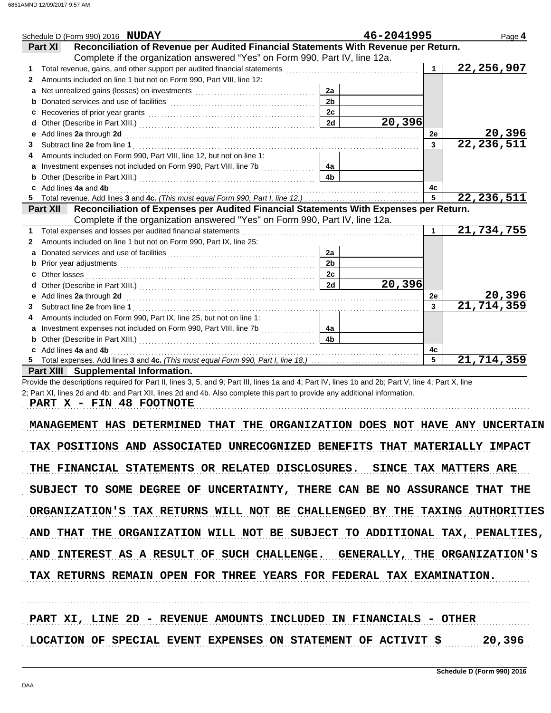|   | Schedule D (Form 990) 2016 NUDAY                                                                                                                                                                                               |                | 46-2041995 |                | Page 4       |
|---|--------------------------------------------------------------------------------------------------------------------------------------------------------------------------------------------------------------------------------|----------------|------------|----------------|--------------|
|   | Reconciliation of Revenue per Audited Financial Statements With Revenue per Return.<br>Part XI                                                                                                                                 |                |            |                |              |
|   | Complete if the organization answered "Yes" on Form 990, Part IV, line 12a.                                                                                                                                                    |                |            |                |              |
| 1 |                                                                                                                                                                                                                                |                |            | $\mathbf{1}$   | 22, 256, 907 |
| 2 | Amounts included on line 1 but not on Form 990, Part VIII, line 12:                                                                                                                                                            |                |            |                |              |
| a | Net unrealized gains (losses) on investments [[11, 11] [11] Met unrealized gains (losses) on investments [[11] $\sim$                                                                                                          | 2a             |            |                |              |
| b |                                                                                                                                                                                                                                | 2 <sub>b</sub> |            |                |              |
| c |                                                                                                                                                                                                                                | 2c             |            |                |              |
| d |                                                                                                                                                                                                                                | 2d             | 20,396     |                |              |
| е | Add lines 2a through 2d [11] March 2014 [12] March 2014 [12] March 2014 [12] March 2014 [12] March 2014 [12] March 2014 [12] March 2014 [12] March 2014 [12] March 2014 [12] March 2014 [12] March 2014 [12] March 2014 [12] M |                |            | 2е             | 20,396       |
| 3 |                                                                                                                                                                                                                                |                |            | $\overline{3}$ | 22, 236, 511 |
|   | Amounts included on Form 990, Part VIII, line 12, but not on line 1:                                                                                                                                                           |                |            |                |              |
|   | Investment expenses not included on Form 990, Part VIII, line 7b [[[[[[[[[[[[[[[[[[[[[[[[]]]]]]]]]                                                                                                                             | 4а             |            |                |              |
| b |                                                                                                                                                                                                                                | 4 <sub>h</sub> |            |                |              |
| c | Add lines 4a and 4b                                                                                                                                                                                                            |                |            | 4c             |              |
| 5 |                                                                                                                                                                                                                                |                |            | $\overline{5}$ | 22, 236, 511 |
|   | Reconciliation of Expenses per Audited Financial Statements With Expenses per Return.<br><b>Part XII</b><br>Complete if the organization answered "Yes" on Form 990, Part IV, line 12a.                                        |                |            |                |              |
| 1 |                                                                                                                                                                                                                                |                |            |                | 21,734,755   |
| 2 | Amounts included on line 1 but not on Form 990, Part IX, line 25:                                                                                                                                                              |                |            |                |              |
| a |                                                                                                                                                                                                                                | 2a             |            |                |              |
|   |                                                                                                                                                                                                                                | 2 <sub>b</sub> |            |                |              |
| b |                                                                                                                                                                                                                                | 2c             |            |                |              |
| c |                                                                                                                                                                                                                                | 2d             | 20,396     |                |              |
| d |                                                                                                                                                                                                                                |                |            | <b>2e</b>      | 20,396       |
| е |                                                                                                                                                                                                                                |                |            | $\mathbf{3}$   | 21,714,359   |
| 3 |                                                                                                                                                                                                                                |                |            |                |              |
|   | Amounts included on Form 990, Part IX, line 25, but not on line 1:                                                                                                                                                             | - 4a           |            |                |              |
| a | Investment expenses not included on Form 990, Part VIII, line 7b [[[[[[[[[[[[[[[[[[[[[[[[]]]]]]]]]                                                                                                                             | 4b             |            |                |              |
|   |                                                                                                                                                                                                                                |                |            |                |              |
|   | Add lines 4a and 4b                                                                                                                                                                                                            |                |            | 4c<br>5        |              |
|   |                                                                                                                                                                                                                                |                |            |                | 21,714,359   |
|   | Part XIII Supplemental Information.                                                                                                                                                                                            |                |            |                |              |

Provide the descriptions required for Part II, lines 3, 5, and 9; Part III, lines 1a and 4; Part IV, lines 1b and 2b; Part V, line 4; Part X, line 2; Part XI, lines 2d and 4b; and Part XII, lines 2d and 4b. Also complete this part to provide any additional information.

**PART X - FIN 48 FOOTNOTE**

MANAGEMENT HAS DETERMINED THAT THE ORGANIZATION DOES NOT HAVE ANY UNCERTAIN TAX POSITIONS AND ASSOCIATED UNRECOGNIZED BENEFITS THAT MATERIALLY IMPACT THE FINANCIAL STATEMENTS OR RELATED DISCLOSURES. SINCE TAX MATTERS ARE SUBJECT TO SOME DEGREE OF UNCERTAINTY, THERE CAN BE NO ASSURANCE THAT THE ORGANIZATION'S TAX RETURNS WILL NOT BE CHALLENGED BY THE TAXING AUTHORITIES AND THAT THE ORGANIZATION WILL NOT BE SUBJECT TO ADDITIONAL TAX, PENALTIES, AND INTEREST AS A RESULT OF SUCH CHALLENGE. GENERALLY, THE ORGANIZATION'S TAX RETURNS REMAIN OPEN FOR THREE YEARS FOR FEDERAL TAX EXAMINATION.

PART XI, LINE 2D - REVENUE AMOUNTS INCLUDED IN FINANCIALS - OTHER LOCATION OF SPECIAL EVENT EXPENSES ON STATEMENT OF ACTIVIT \$ 20,396

. . . . . . . . . . . . . . . . . . . . . . . . . . . . . . . . . . . . . . . . . . . . . . . . . . . . . . . . . . . . . . . . . . . . . . . . . . . . . . . . . . . . . . . . . . . . . . . . . . . . . . . . . . . . . . . . . . . . . . . . . . . . . . . . . . . . . . . . . . . . . . . . . . . . . . . . . . . . . . . . .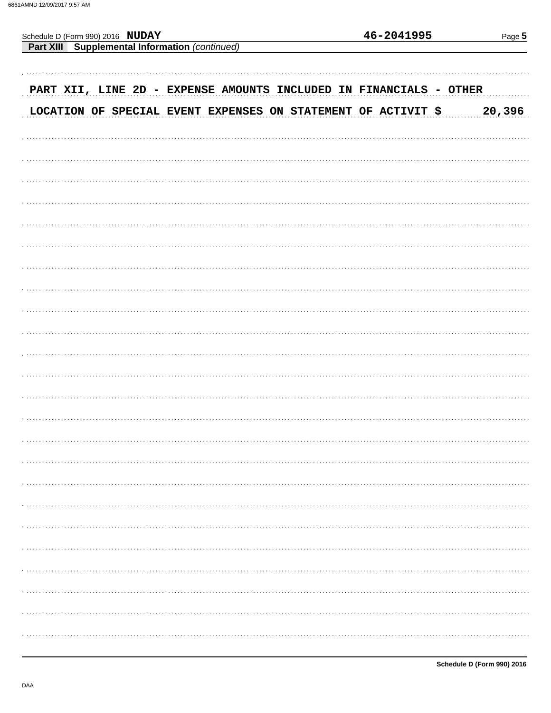| Schedule D (Form 990) 2016 NUDAY |                                                       |  |
|----------------------------------|-------------------------------------------------------|--|
|                                  | <b>Part XIII Supplemental Information (continued)</b> |  |
|                                  |                                                       |  |

| PART XII, LINE 2D - EXPENSE AMOUNTS INCLUDED IN FINANCIALS - OTHER   |
|----------------------------------------------------------------------|
| LOCATION OF SPECIAL EVENT EXPENSES ON STATEMENT OF ACTIVIT \$ 20,396 |
|                                                                      |
|                                                                      |
|                                                                      |
|                                                                      |
|                                                                      |
|                                                                      |
|                                                                      |
|                                                                      |
|                                                                      |
|                                                                      |
|                                                                      |
|                                                                      |
|                                                                      |
|                                                                      |
|                                                                      |
|                                                                      |
|                                                                      |
|                                                                      |
|                                                                      |
|                                                                      |
|                                                                      |
|                                                                      |
|                                                                      |
|                                                                      |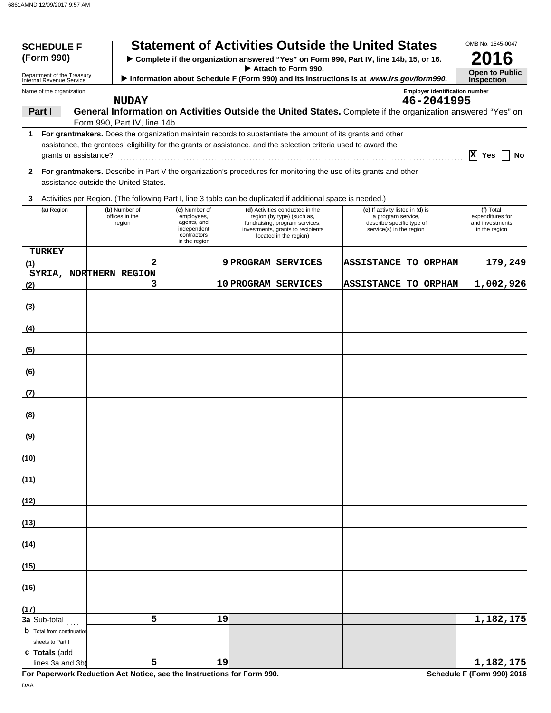| <b>SCHEDULE F</b><br>(Form 990)                       |                                           | <b>Statement of Activities Outside the United States</b><br>> Complete if the organization answered "Yes" on Form 990, Part IV, line 14b, 15, or 16.                                                                           |                                                                                                                                                                |                                                                                                                 |                                       | OMB No. 1545-0047                                                 |
|-------------------------------------------------------|-------------------------------------------|--------------------------------------------------------------------------------------------------------------------------------------------------------------------------------------------------------------------------------|----------------------------------------------------------------------------------------------------------------------------------------------------------------|-----------------------------------------------------------------------------------------------------------------|---------------------------------------|-------------------------------------------------------------------|
| Department of the Treasury                            |                                           |                                                                                                                                                                                                                                | Attach to Form 990.                                                                                                                                            |                                                                                                                 |                                       | <b>Open to Public</b>                                             |
| Internal Revenue Service<br>Name of the organization  |                                           | Information about Schedule F (Form 990) and its instructions is at www.irs.gov/form990.                                                                                                                                        |                                                                                                                                                                |                                                                                                                 | <b>Employer identification number</b> | <b>Inspection</b>                                                 |
|                                                       | <b>NUDAY</b>                              |                                                                                                                                                                                                                                |                                                                                                                                                                |                                                                                                                 | 46-2041995                            |                                                                   |
| Part I                                                | Form 990, Part IV, line 14b.              | General Information on Activities Outside the United States. Complete if the organization answered "Yes" on                                                                                                                    |                                                                                                                                                                |                                                                                                                 |                                       |                                                                   |
| 1<br>grants or assistance?                            |                                           | For grantmakers. Does the organization maintain records to substantiate the amount of its grants and other<br>assistance, the grantees' eligibility for the grants or assistance, and the selection criteria used to award the |                                                                                                                                                                |                                                                                                                 |                                       | $ \mathbf{x} $<br>Yes<br>No                                       |
| $\mathbf{2}$<br>assistance outside the United States. |                                           | For grantmakers. Describe in Part V the organization's procedures for monitoring the use of its grants and other                                                                                                               |                                                                                                                                                                |                                                                                                                 |                                       |                                                                   |
| 3                                                     |                                           | Activities per Region. (The following Part I, line 3 table can be duplicated if additional space is needed.)                                                                                                                   |                                                                                                                                                                |                                                                                                                 |                                       |                                                                   |
| (a) Region                                            | (b) Number of<br>offices in the<br>region | (c) Number of<br>employees,<br>agents, and<br>independent<br>contractors<br>in the region                                                                                                                                      | (d) Activities conducted in the<br>region (by type) (such as,<br>fundraising, program services,<br>investments, grants to recipients<br>located in the region) | (e) If activity listed in (d) is<br>a program service,<br>describe specific type of<br>service(s) in the region |                                       | (f) Total<br>expenditures for<br>and investments<br>in the region |
| <b>TURKEY</b><br>(1)                                  |                                           |                                                                                                                                                                                                                                | 9 PROGRAM SERVICES                                                                                                                                             | <b>ASSISTANCE TO ORPHAN</b>                                                                                     |                                       | 179,249                                                           |
| SYRIA, NORTHERN REGION                                |                                           |                                                                                                                                                                                                                                |                                                                                                                                                                |                                                                                                                 |                                       |                                                                   |
| (2)                                                   | 3                                         |                                                                                                                                                                                                                                | 10 PROGRAM SERVICES                                                                                                                                            | <b>ASSISTANCE TO ORPHAN</b>                                                                                     |                                       | 1,002,926                                                         |
| (3)                                                   |                                           |                                                                                                                                                                                                                                |                                                                                                                                                                |                                                                                                                 |                                       |                                                                   |
| (4)                                                   |                                           |                                                                                                                                                                                                                                |                                                                                                                                                                |                                                                                                                 |                                       |                                                                   |
| (5)                                                   |                                           |                                                                                                                                                                                                                                |                                                                                                                                                                |                                                                                                                 |                                       |                                                                   |
| (6)                                                   |                                           |                                                                                                                                                                                                                                |                                                                                                                                                                |                                                                                                                 |                                       |                                                                   |
| (7)                                                   |                                           |                                                                                                                                                                                                                                |                                                                                                                                                                |                                                                                                                 |                                       |                                                                   |
| (8)                                                   |                                           |                                                                                                                                                                                                                                |                                                                                                                                                                |                                                                                                                 |                                       |                                                                   |
| <u>(9)</u>                                            |                                           |                                                                                                                                                                                                                                |                                                                                                                                                                |                                                                                                                 |                                       |                                                                   |
| (10)                                                  |                                           |                                                                                                                                                                                                                                |                                                                                                                                                                |                                                                                                                 |                                       |                                                                   |
| (11)                                                  |                                           |                                                                                                                                                                                                                                |                                                                                                                                                                |                                                                                                                 |                                       |                                                                   |
| (12)                                                  |                                           |                                                                                                                                                                                                                                |                                                                                                                                                                |                                                                                                                 |                                       |                                                                   |
| (13)                                                  |                                           |                                                                                                                                                                                                                                |                                                                                                                                                                |                                                                                                                 |                                       |                                                                   |
| (14)                                                  |                                           |                                                                                                                                                                                                                                |                                                                                                                                                                |                                                                                                                 |                                       |                                                                   |
| (15)                                                  |                                           |                                                                                                                                                                                                                                |                                                                                                                                                                |                                                                                                                 |                                       |                                                                   |
| (16)                                                  |                                           |                                                                                                                                                                                                                                |                                                                                                                                                                |                                                                                                                 |                                       |                                                                   |
| (17)                                                  |                                           |                                                                                                                                                                                                                                |                                                                                                                                                                |                                                                                                                 |                                       |                                                                   |
| 3a Sub-total<br><b>b</b> Total from continuation      | 5                                         | 19                                                                                                                                                                                                                             |                                                                                                                                                                |                                                                                                                 |                                       | 1,182,175                                                         |
| sheets to Part I<br>c Totals (add<br>lines 3a and 3b) | 5                                         | 19                                                                                                                                                                                                                             |                                                                                                                                                                |                                                                                                                 |                                       | 1,182,175                                                         |

**For Paperwork Reduction Act Notice, see the Instructions for Form 990. Schedule F (Form 990) 2016**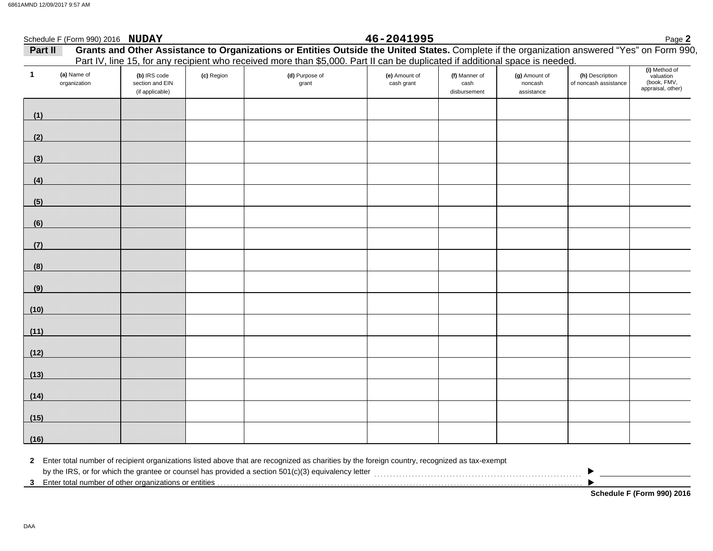|             | Schedule F (Form 990) 2016 NUDAY |                                                    |            |                                                                                                                                                                                                                                                                              | 46-2041995                  |                                       |                                        |                                          | Page 2                                                         |
|-------------|----------------------------------|----------------------------------------------------|------------|------------------------------------------------------------------------------------------------------------------------------------------------------------------------------------------------------------------------------------------------------------------------------|-----------------------------|---------------------------------------|----------------------------------------|------------------------------------------|----------------------------------------------------------------|
| Part II     |                                  |                                                    |            | Grants and Other Assistance to Organizations or Entities Outside the United States. Complete if the organization answered "Yes" on Form 990,<br>Part IV, line 15, for any recipient who received more than \$5,000. Part II can be duplicated if additional space is needed. |                             |                                       |                                        |                                          |                                                                |
| $\mathbf 1$ | (a) Name of<br>organization      | (b) IRS code<br>section and EIN<br>(if applicable) | (c) Region | (d) Purpose of<br>grant                                                                                                                                                                                                                                                      | (e) Amount of<br>cash grant | (f) Manner of<br>cash<br>disbursement | (g) Amount of<br>noncash<br>assistance | (h) Description<br>of noncash assistance | (i) Method of<br>valuation<br>(book, FMV,<br>appraisal, other) |
| (1)         |                                  |                                                    |            |                                                                                                                                                                                                                                                                              |                             |                                       |                                        |                                          |                                                                |
| (2)         |                                  |                                                    |            |                                                                                                                                                                                                                                                                              |                             |                                       |                                        |                                          |                                                                |
| (3)         |                                  |                                                    |            |                                                                                                                                                                                                                                                                              |                             |                                       |                                        |                                          |                                                                |
| (4)         |                                  |                                                    |            |                                                                                                                                                                                                                                                                              |                             |                                       |                                        |                                          |                                                                |
| (5)         |                                  |                                                    |            |                                                                                                                                                                                                                                                                              |                             |                                       |                                        |                                          |                                                                |
| (6)         |                                  |                                                    |            |                                                                                                                                                                                                                                                                              |                             |                                       |                                        |                                          |                                                                |
| (7)         |                                  |                                                    |            |                                                                                                                                                                                                                                                                              |                             |                                       |                                        |                                          |                                                                |
| (8)         |                                  |                                                    |            |                                                                                                                                                                                                                                                                              |                             |                                       |                                        |                                          |                                                                |
| (9)         |                                  |                                                    |            |                                                                                                                                                                                                                                                                              |                             |                                       |                                        |                                          |                                                                |
| (10)        |                                  |                                                    |            |                                                                                                                                                                                                                                                                              |                             |                                       |                                        |                                          |                                                                |
| (11)        |                                  |                                                    |            |                                                                                                                                                                                                                                                                              |                             |                                       |                                        |                                          |                                                                |
| (12)        |                                  |                                                    |            |                                                                                                                                                                                                                                                                              |                             |                                       |                                        |                                          |                                                                |
| (13)        |                                  |                                                    |            |                                                                                                                                                                                                                                                                              |                             |                                       |                                        |                                          |                                                                |
| (14)        |                                  |                                                    |            |                                                                                                                                                                                                                                                                              |                             |                                       |                                        |                                          |                                                                |
| (15)        |                                  |                                                    |            |                                                                                                                                                                                                                                                                              |                             |                                       |                                        |                                          |                                                                |
| (16)        |                                  |                                                    |            |                                                                                                                                                                                                                                                                              |                             |                                       |                                        |                                          |                                                                |

**2** Enter total number of recipient organizations listed above that are recognized as charities by the foreign country, recognized as tax-exempt

**3** Enter total number of other organizations or entities . . . . . . . . . . . . . . . . . . . . . . . . . . . . . . . . . . . . . . . . . . . . . . . . . . . . . . . . . . . . . . . . . . . . . . . . . . . . . . . . . . . . . . . . . . . . . . . . . . . . . . . . . . . . . . . . . . . .

by the IRS, or for which the grantee or counsel has provided a section 501(c)(3) equivalency letter . . . . . . . . . . . . . . . . . . . . . . . . . . . . . . . . . . . . . . . . . . . . . . . . . . . . . . . . . . . . . . . . . .

▶  $\blacktriangleright$ 

**Schedule F (Form 990) 2016**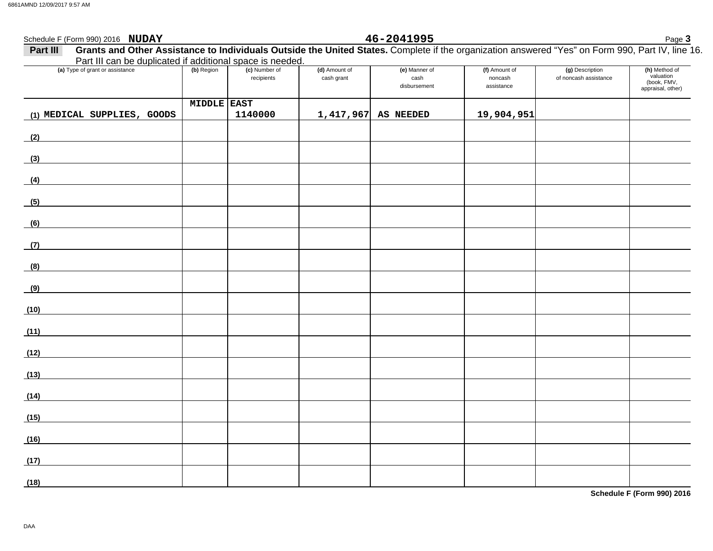### **I** Grants and Other Assistance to Individuals Outside the United States. Complete if the organization answered "Yes" on Form 990, Part IV, line 16. **Part III**Part III can be duplicated if additional space is needed. **(a)** Type of grant or assistance **(b)** Region **(c)** Number of **(d)** Amount of **(e)** Manner of **(f)** Amount of **(g)** Description **(h)** Method of valuationrecipients cash grant **cash** noncash of noncash assistance (book, FMV, disbursementassistanceappraisal, other) **MIDDLE EAST1140000 1,417,967 AS NEEDED 19,904,951 (1) MEDICAL SUPPLIES, GOODS (2) (3) (4) (5) (6) (7) (8) (9) (10) (11) (12) (13) (14) (15) (16) (17) (18)**

**Schedule F (Form 990) 2016 NUDAY 16-2041995** 

**Schedule F (Form 990) 2016**

Schedule F (Form 990) 2016 Page **3**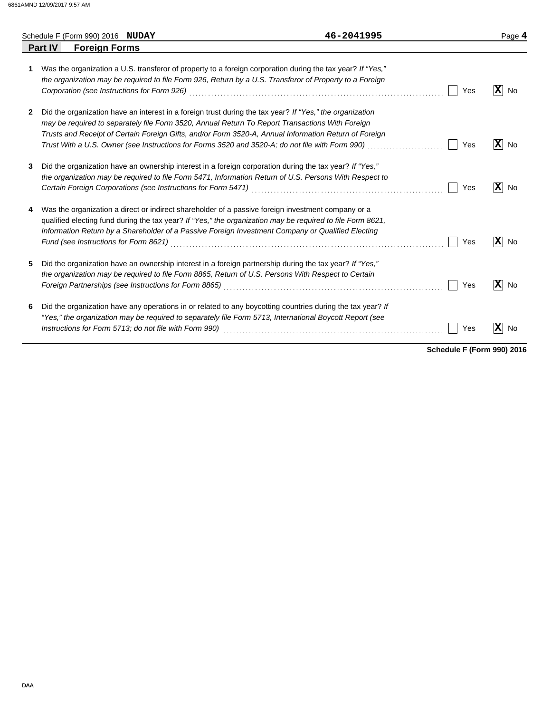|   |                | Schedule F (Form 990) 2016 NUDAY |  |                                                                                                                                                                                                                                                                                                                       | 46-2041995                                                                                                      |     | Page 4                               |
|---|----------------|----------------------------------|--|-----------------------------------------------------------------------------------------------------------------------------------------------------------------------------------------------------------------------------------------------------------------------------------------------------------------------|-----------------------------------------------------------------------------------------------------------------|-----|--------------------------------------|
|   | <b>Part IV</b> | <b>Foreign Forms</b>             |  |                                                                                                                                                                                                                                                                                                                       |                                                                                                                 |     |                                      |
| 1 |                |                                  |  | Was the organization a U.S. transferor of property to a foreign corporation during the tax year? If "Yes,"<br>the organization may be required to file Form 926, Return by a U.S. Transferor of Property to a Foreign                                                                                                 | Corporation (see Instructions for Form 926) Material Corporation Corporation (see Instructions of Port          | Yes | $ \mathbf{X} $<br><b>No</b>          |
| 2 |                |                                  |  | Did the organization have an interest in a foreign trust during the tax year? If "Yes," the organization<br>may be required to separately file Form 3520, Annual Return To Report Transactions With Foreign<br>Trusts and Receipt of Certain Foreign Gifts, and/or Form 3520-A, Annual Information Return of Foreign  | Trust With a U.S. Owner (see Instructions for Forms 3520 and 3520-A; do not file with Form 990)                 | Yes | X<br>No                              |
| 3 |                |                                  |  | Did the organization have an ownership interest in a foreign corporation during the tax year? If "Yes,"<br>the organization may be required to file Form 5471, Information Return of U.S. Persons With Respect to                                                                                                     |                                                                                                                 | Yes | $ \mathbf{x} $<br>No                 |
| 4 |                |                                  |  | Was the organization a direct or indirect shareholder of a passive foreign investment company or a<br>qualified electing fund during the tax year? If "Yes," the organization may be required to file Form 8621,<br>Information Return by a Shareholder of a Passive Foreign Investment Company or Qualified Electing |                                                                                                                 | Yes | $\overline{\mathbf{x}}$<br>No        |
| 5 |                |                                  |  | Did the organization have an ownership interest in a foreign partnership during the tax year? If "Yes,"<br>the organization may be required to file Form 8865, Return of U.S. Persons With Respect to Certain                                                                                                         | Foreign Partnerships (see Instructions for Form 8865) [11] Conserved Conserved Conserved Conserved Conserved Co | Yes | $\overline{\mathbf{x}}$<br><b>No</b> |
| 6 |                |                                  |  | Did the organization have any operations in or related to any boycotting countries during the tax year? If<br>"Yes," the organization may be required to separately file Form 5713, International Boycott Report (see                                                                                                 |                                                                                                                 | Yes | ΙX<br>No                             |

**Schedule F (Form 990) 2016**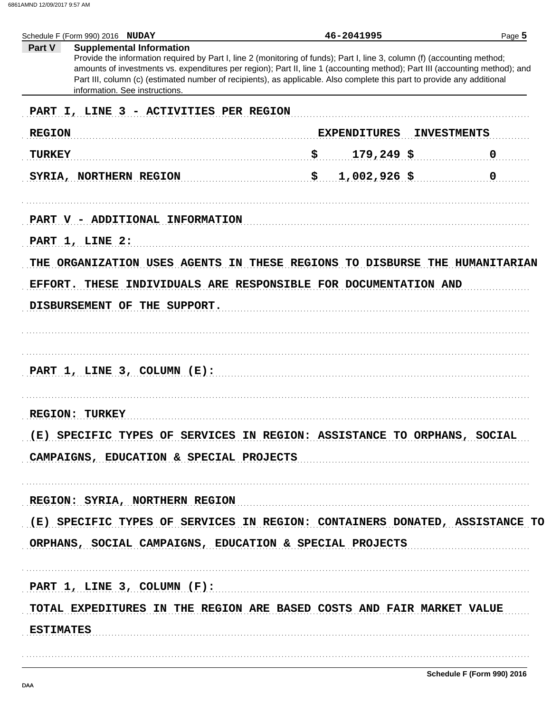|                  | Schedule F (Form 990) 2016 NUDAY                                  | 46-2041995                                                                                                                                                                                                                                                                                                                                                                         | Page 5      |  |  |  |
|------------------|-------------------------------------------------------------------|------------------------------------------------------------------------------------------------------------------------------------------------------------------------------------------------------------------------------------------------------------------------------------------------------------------------------------------------------------------------------------|-------------|--|--|--|
| Part V           | <b>Supplemental Information</b><br>information. See instructions. | Provide the information required by Part I, line 2 (monitoring of funds); Part I, line 3, column (f) (accounting method;<br>amounts of investments vs. expenditures per region); Part II, line 1 (accounting method); Part III (accounting method); and<br>Part III, column (c) (estimated number of recipients), as applicable. Also complete this part to provide any additional |             |  |  |  |
|                  | PART I, LINE 3 - ACTIVITIES PER REGION                            |                                                                                                                                                                                                                                                                                                                                                                                    |             |  |  |  |
| <b>REGION</b>    |                                                                   | <b>EXPENDITURES</b><br><b>INVESTMENTS</b>                                                                                                                                                                                                                                                                                                                                          |             |  |  |  |
| <b>TURKEY</b>    |                                                                   | …\$<br>$179,249$ \$                                                                                                                                                                                                                                                                                                                                                                | $\mathbf 0$ |  |  |  |
|                  | SYRIA, NORTHERN REGION                                            | $$1,002,926$ \$                                                                                                                                                                                                                                                                                                                                                                    | $\mathbf 0$ |  |  |  |
|                  | PART V - ADDITIONAL INFORMATION                                   |                                                                                                                                                                                                                                                                                                                                                                                    |             |  |  |  |
|                  | PART 1, LINE 2:                                                   |                                                                                                                                                                                                                                                                                                                                                                                    |             |  |  |  |
|                  |                                                                   | THE ORGANIZATION USES AGENTS IN THESE REGIONS TO DISBURSE THE HUMANITARIAN                                                                                                                                                                                                                                                                                                         |             |  |  |  |
|                  |                                                                   | EFFORT. THESE INDIVIDUALS ARE RESPONSIBLE FOR DOCUMENTATION AND                                                                                                                                                                                                                                                                                                                    |             |  |  |  |
|                  | DISBURSEMENT OF THE SUPPORT.                                      |                                                                                                                                                                                                                                                                                                                                                                                    |             |  |  |  |
|                  | PART 1, LINE 3, COLUMN (E):                                       |                                                                                                                                                                                                                                                                                                                                                                                    |             |  |  |  |
|                  |                                                                   |                                                                                                                                                                                                                                                                                                                                                                                    |             |  |  |  |
|                  | <b>REGION: TURKEY</b>                                             |                                                                                                                                                                                                                                                                                                                                                                                    |             |  |  |  |
|                  |                                                                   | (E) SPECIFIC TYPES OF SERVICES IN REGION: ASSISTANCE TO ORPHANS, SOCIAL                                                                                                                                                                                                                                                                                                            |             |  |  |  |
|                  | CAMPAIGNS, EDUCATION & SPECIAL PROJECTS                           |                                                                                                                                                                                                                                                                                                                                                                                    |             |  |  |  |
|                  | REGION: SYRIA, NORTHERN REGION                                    |                                                                                                                                                                                                                                                                                                                                                                                    |             |  |  |  |
|                  |                                                                   | (E) SPECIFIC TYPES OF SERVICES IN REGION: CONTAINERS DONATED, ASSISTANCE TO                                                                                                                                                                                                                                                                                                        |             |  |  |  |
|                  | ORPHANS, SOCIAL CAMPAIGNS, EDUCATION & SPECIAL PROJECTS           |                                                                                                                                                                                                                                                                                                                                                                                    |             |  |  |  |
|                  | PART 1, LINE 3, COLUMN (F):                                       |                                                                                                                                                                                                                                                                                                                                                                                    |             |  |  |  |
| <b>ESTIMATES</b> |                                                                   | TOTAL EXPEDITURES IN THE REGION ARE BASED COSTS AND FAIR MARKET VALUE                                                                                                                                                                                                                                                                                                              |             |  |  |  |
|                  |                                                                   |                                                                                                                                                                                                                                                                                                                                                                                    |             |  |  |  |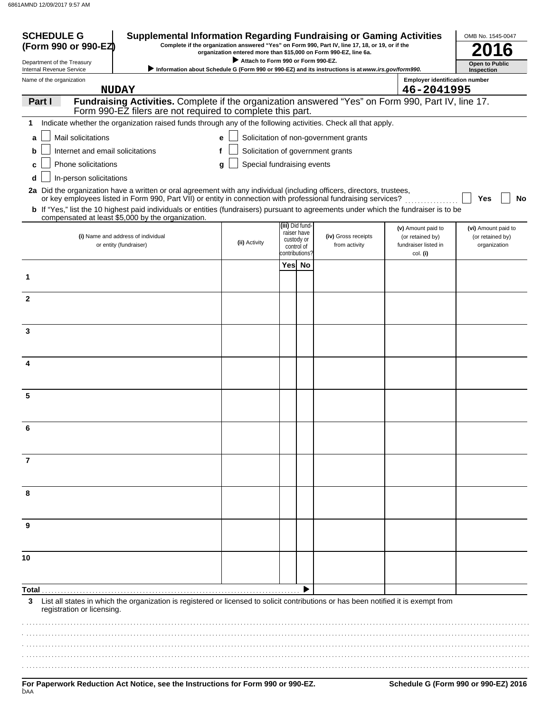| Complete if the organization answered "Yes" on Form 990, Part IV, line 17, 18, or 19, or if the<br>(Form 990 or 990-EZ)<br>2016<br>organization entered more than \$15,000 on Form 990-EZ, line 6a.<br>Attach to Form 990 or Form 990-EZ.<br>Department of the Treasury<br><b>Open to Public</b><br>> Information about Schedule G (Form 990 or 990-EZ) and its instructions is at www.irs.gov/form990.<br>Internal Revenue Service<br>Inspection<br><b>Employer identification number</b><br>Name of the organization<br>46-2041995<br><b>NUDAY</b><br>Fundraising Activities. Complete if the organization answered "Yes" on Form 990, Part IV, line 17.<br>Part I<br>Form 990-EZ filers are not required to complete this part.<br>Indicate whether the organization raised funds through any of the following activities. Check all that apply.<br>1<br>Mail solicitations<br>Solicitation of non-government grants<br>e<br>a<br>Internet and email solicitations<br>Solicitation of government grants<br>b<br>Phone solicitations<br>Special fundraising events<br>g<br>c<br>In-person solicitations<br>d<br>2a Did the organization have a written or oral agreement with any individual (including officers, directors, trustees,<br>or key employees listed in Form 990, Part VII) or entity in connection with professional fundraising services?<br>Yes<br><b>b</b> If "Yes," list the 10 highest paid individuals or entities (fundraisers) pursuant to agreements under which the fundraiser is to be<br>compensated at least \$5,000 by the organization.<br>(iii) Did fund-<br>(v) Amount paid to<br>(vi) Amount paid to<br>raiser have<br>(i) Name and address of individual<br>(iv) Gross receipts<br>(or retained by)<br>(or retained by)<br>custody or<br>(ii) Activity<br>or entity (fundraiser)<br>from activity<br>fundraiser listed in<br>organization<br>control of<br>contributions?<br>col. (i)<br>Yes No<br>1<br>$\mathbf{2}$<br>3<br>4<br>5<br>6<br>$\overline{7}$<br>8<br>9<br>10<br>Total .<br>List all states in which the organization is registered or licensed to solicit contributions or has been notified it is exempt from<br>3<br>registration or licensing. | <b>SCHEDULE G</b><br><b>Supplemental Information Regarding Fundraising or Gaming Activities</b> |  |  |  |  |  | OMB No. 1545-0047 |  |  |    |
|----------------------------------------------------------------------------------------------------------------------------------------------------------------------------------------------------------------------------------------------------------------------------------------------------------------------------------------------------------------------------------------------------------------------------------------------------------------------------------------------------------------------------------------------------------------------------------------------------------------------------------------------------------------------------------------------------------------------------------------------------------------------------------------------------------------------------------------------------------------------------------------------------------------------------------------------------------------------------------------------------------------------------------------------------------------------------------------------------------------------------------------------------------------------------------------------------------------------------------------------------------------------------------------------------------------------------------------------------------------------------------------------------------------------------------------------------------------------------------------------------------------------------------------------------------------------------------------------------------------------------------------------------------------------------------------------------------------------------------------------------------------------------------------------------------------------------------------------------------------------------------------------------------------------------------------------------------------------------------------------------------------------------------------------------------------------------------------------------------------------------------------------------------------------------------------------------|-------------------------------------------------------------------------------------------------|--|--|--|--|--|-------------------|--|--|----|
|                                                                                                                                                                                                                                                                                                                                                                                                                                                                                                                                                                                                                                                                                                                                                                                                                                                                                                                                                                                                                                                                                                                                                                                                                                                                                                                                                                                                                                                                                                                                                                                                                                                                                                                                                                                                                                                                                                                                                                                                                                                                                                                                                                                                    |                                                                                                 |  |  |  |  |  |                   |  |  |    |
|                                                                                                                                                                                                                                                                                                                                                                                                                                                                                                                                                                                                                                                                                                                                                                                                                                                                                                                                                                                                                                                                                                                                                                                                                                                                                                                                                                                                                                                                                                                                                                                                                                                                                                                                                                                                                                                                                                                                                                                                                                                                                                                                                                                                    |                                                                                                 |  |  |  |  |  |                   |  |  |    |
|                                                                                                                                                                                                                                                                                                                                                                                                                                                                                                                                                                                                                                                                                                                                                                                                                                                                                                                                                                                                                                                                                                                                                                                                                                                                                                                                                                                                                                                                                                                                                                                                                                                                                                                                                                                                                                                                                                                                                                                                                                                                                                                                                                                                    |                                                                                                 |  |  |  |  |  |                   |  |  |    |
|                                                                                                                                                                                                                                                                                                                                                                                                                                                                                                                                                                                                                                                                                                                                                                                                                                                                                                                                                                                                                                                                                                                                                                                                                                                                                                                                                                                                                                                                                                                                                                                                                                                                                                                                                                                                                                                                                                                                                                                                                                                                                                                                                                                                    |                                                                                                 |  |  |  |  |  |                   |  |  |    |
|                                                                                                                                                                                                                                                                                                                                                                                                                                                                                                                                                                                                                                                                                                                                                                                                                                                                                                                                                                                                                                                                                                                                                                                                                                                                                                                                                                                                                                                                                                                                                                                                                                                                                                                                                                                                                                                                                                                                                                                                                                                                                                                                                                                                    |                                                                                                 |  |  |  |  |  |                   |  |  |    |
|                                                                                                                                                                                                                                                                                                                                                                                                                                                                                                                                                                                                                                                                                                                                                                                                                                                                                                                                                                                                                                                                                                                                                                                                                                                                                                                                                                                                                                                                                                                                                                                                                                                                                                                                                                                                                                                                                                                                                                                                                                                                                                                                                                                                    |                                                                                                 |  |  |  |  |  |                   |  |  |    |
|                                                                                                                                                                                                                                                                                                                                                                                                                                                                                                                                                                                                                                                                                                                                                                                                                                                                                                                                                                                                                                                                                                                                                                                                                                                                                                                                                                                                                                                                                                                                                                                                                                                                                                                                                                                                                                                                                                                                                                                                                                                                                                                                                                                                    |                                                                                                 |  |  |  |  |  |                   |  |  |    |
|                                                                                                                                                                                                                                                                                                                                                                                                                                                                                                                                                                                                                                                                                                                                                                                                                                                                                                                                                                                                                                                                                                                                                                                                                                                                                                                                                                                                                                                                                                                                                                                                                                                                                                                                                                                                                                                                                                                                                                                                                                                                                                                                                                                                    |                                                                                                 |  |  |  |  |  |                   |  |  |    |
|                                                                                                                                                                                                                                                                                                                                                                                                                                                                                                                                                                                                                                                                                                                                                                                                                                                                                                                                                                                                                                                                                                                                                                                                                                                                                                                                                                                                                                                                                                                                                                                                                                                                                                                                                                                                                                                                                                                                                                                                                                                                                                                                                                                                    |                                                                                                 |  |  |  |  |  |                   |  |  |    |
|                                                                                                                                                                                                                                                                                                                                                                                                                                                                                                                                                                                                                                                                                                                                                                                                                                                                                                                                                                                                                                                                                                                                                                                                                                                                                                                                                                                                                                                                                                                                                                                                                                                                                                                                                                                                                                                                                                                                                                                                                                                                                                                                                                                                    |                                                                                                 |  |  |  |  |  |                   |  |  |    |
|                                                                                                                                                                                                                                                                                                                                                                                                                                                                                                                                                                                                                                                                                                                                                                                                                                                                                                                                                                                                                                                                                                                                                                                                                                                                                                                                                                                                                                                                                                                                                                                                                                                                                                                                                                                                                                                                                                                                                                                                                                                                                                                                                                                                    |                                                                                                 |  |  |  |  |  |                   |  |  | No |
|                                                                                                                                                                                                                                                                                                                                                                                                                                                                                                                                                                                                                                                                                                                                                                                                                                                                                                                                                                                                                                                                                                                                                                                                                                                                                                                                                                                                                                                                                                                                                                                                                                                                                                                                                                                                                                                                                                                                                                                                                                                                                                                                                                                                    |                                                                                                 |  |  |  |  |  |                   |  |  |    |
|                                                                                                                                                                                                                                                                                                                                                                                                                                                                                                                                                                                                                                                                                                                                                                                                                                                                                                                                                                                                                                                                                                                                                                                                                                                                                                                                                                                                                                                                                                                                                                                                                                                                                                                                                                                                                                                                                                                                                                                                                                                                                                                                                                                                    |                                                                                                 |  |  |  |  |  |                   |  |  |    |
|                                                                                                                                                                                                                                                                                                                                                                                                                                                                                                                                                                                                                                                                                                                                                                                                                                                                                                                                                                                                                                                                                                                                                                                                                                                                                                                                                                                                                                                                                                                                                                                                                                                                                                                                                                                                                                                                                                                                                                                                                                                                                                                                                                                                    |                                                                                                 |  |  |  |  |  |                   |  |  |    |
|                                                                                                                                                                                                                                                                                                                                                                                                                                                                                                                                                                                                                                                                                                                                                                                                                                                                                                                                                                                                                                                                                                                                                                                                                                                                                                                                                                                                                                                                                                                                                                                                                                                                                                                                                                                                                                                                                                                                                                                                                                                                                                                                                                                                    |                                                                                                 |  |  |  |  |  |                   |  |  |    |
|                                                                                                                                                                                                                                                                                                                                                                                                                                                                                                                                                                                                                                                                                                                                                                                                                                                                                                                                                                                                                                                                                                                                                                                                                                                                                                                                                                                                                                                                                                                                                                                                                                                                                                                                                                                                                                                                                                                                                                                                                                                                                                                                                                                                    |                                                                                                 |  |  |  |  |  |                   |  |  |    |
|                                                                                                                                                                                                                                                                                                                                                                                                                                                                                                                                                                                                                                                                                                                                                                                                                                                                                                                                                                                                                                                                                                                                                                                                                                                                                                                                                                                                                                                                                                                                                                                                                                                                                                                                                                                                                                                                                                                                                                                                                                                                                                                                                                                                    |                                                                                                 |  |  |  |  |  |                   |  |  |    |
|                                                                                                                                                                                                                                                                                                                                                                                                                                                                                                                                                                                                                                                                                                                                                                                                                                                                                                                                                                                                                                                                                                                                                                                                                                                                                                                                                                                                                                                                                                                                                                                                                                                                                                                                                                                                                                                                                                                                                                                                                                                                                                                                                                                                    |                                                                                                 |  |  |  |  |  |                   |  |  |    |
|                                                                                                                                                                                                                                                                                                                                                                                                                                                                                                                                                                                                                                                                                                                                                                                                                                                                                                                                                                                                                                                                                                                                                                                                                                                                                                                                                                                                                                                                                                                                                                                                                                                                                                                                                                                                                                                                                                                                                                                                                                                                                                                                                                                                    |                                                                                                 |  |  |  |  |  |                   |  |  |    |
|                                                                                                                                                                                                                                                                                                                                                                                                                                                                                                                                                                                                                                                                                                                                                                                                                                                                                                                                                                                                                                                                                                                                                                                                                                                                                                                                                                                                                                                                                                                                                                                                                                                                                                                                                                                                                                                                                                                                                                                                                                                                                                                                                                                                    |                                                                                                 |  |  |  |  |  |                   |  |  |    |
|                                                                                                                                                                                                                                                                                                                                                                                                                                                                                                                                                                                                                                                                                                                                                                                                                                                                                                                                                                                                                                                                                                                                                                                                                                                                                                                                                                                                                                                                                                                                                                                                                                                                                                                                                                                                                                                                                                                                                                                                                                                                                                                                                                                                    |                                                                                                 |  |  |  |  |  |                   |  |  |    |
|                                                                                                                                                                                                                                                                                                                                                                                                                                                                                                                                                                                                                                                                                                                                                                                                                                                                                                                                                                                                                                                                                                                                                                                                                                                                                                                                                                                                                                                                                                                                                                                                                                                                                                                                                                                                                                                                                                                                                                                                                                                                                                                                                                                                    |                                                                                                 |  |  |  |  |  |                   |  |  |    |
|                                                                                                                                                                                                                                                                                                                                                                                                                                                                                                                                                                                                                                                                                                                                                                                                                                                                                                                                                                                                                                                                                                                                                                                                                                                                                                                                                                                                                                                                                                                                                                                                                                                                                                                                                                                                                                                                                                                                                                                                                                                                                                                                                                                                    |                                                                                                 |  |  |  |  |  |                   |  |  |    |
|                                                                                                                                                                                                                                                                                                                                                                                                                                                                                                                                                                                                                                                                                                                                                                                                                                                                                                                                                                                                                                                                                                                                                                                                                                                                                                                                                                                                                                                                                                                                                                                                                                                                                                                                                                                                                                                                                                                                                                                                                                                                                                                                                                                                    |                                                                                                 |  |  |  |  |  |                   |  |  |    |
|                                                                                                                                                                                                                                                                                                                                                                                                                                                                                                                                                                                                                                                                                                                                                                                                                                                                                                                                                                                                                                                                                                                                                                                                                                                                                                                                                                                                                                                                                                                                                                                                                                                                                                                                                                                                                                                                                                                                                                                                                                                                                                                                                                                                    |                                                                                                 |  |  |  |  |  |                   |  |  |    |
|                                                                                                                                                                                                                                                                                                                                                                                                                                                                                                                                                                                                                                                                                                                                                                                                                                                                                                                                                                                                                                                                                                                                                                                                                                                                                                                                                                                                                                                                                                                                                                                                                                                                                                                                                                                                                                                                                                                                                                                                                                                                                                                                                                                                    |                                                                                                 |  |  |  |  |  |                   |  |  |    |
|                                                                                                                                                                                                                                                                                                                                                                                                                                                                                                                                                                                                                                                                                                                                                                                                                                                                                                                                                                                                                                                                                                                                                                                                                                                                                                                                                                                                                                                                                                                                                                                                                                                                                                                                                                                                                                                                                                                                                                                                                                                                                                                                                                                                    |                                                                                                 |  |  |  |  |  |                   |  |  |    |
|                                                                                                                                                                                                                                                                                                                                                                                                                                                                                                                                                                                                                                                                                                                                                                                                                                                                                                                                                                                                                                                                                                                                                                                                                                                                                                                                                                                                                                                                                                                                                                                                                                                                                                                                                                                                                                                                                                                                                                                                                                                                                                                                                                                                    |                                                                                                 |  |  |  |  |  |                   |  |  |    |
|                                                                                                                                                                                                                                                                                                                                                                                                                                                                                                                                                                                                                                                                                                                                                                                                                                                                                                                                                                                                                                                                                                                                                                                                                                                                                                                                                                                                                                                                                                                                                                                                                                                                                                                                                                                                                                                                                                                                                                                                                                                                                                                                                                                                    |                                                                                                 |  |  |  |  |  |                   |  |  |    |
|                                                                                                                                                                                                                                                                                                                                                                                                                                                                                                                                                                                                                                                                                                                                                                                                                                                                                                                                                                                                                                                                                                                                                                                                                                                                                                                                                                                                                                                                                                                                                                                                                                                                                                                                                                                                                                                                                                                                                                                                                                                                                                                                                                                                    |                                                                                                 |  |  |  |  |  |                   |  |  |    |
|                                                                                                                                                                                                                                                                                                                                                                                                                                                                                                                                                                                                                                                                                                                                                                                                                                                                                                                                                                                                                                                                                                                                                                                                                                                                                                                                                                                                                                                                                                                                                                                                                                                                                                                                                                                                                                                                                                                                                                                                                                                                                                                                                                                                    |                                                                                                 |  |  |  |  |  |                   |  |  |    |
|                                                                                                                                                                                                                                                                                                                                                                                                                                                                                                                                                                                                                                                                                                                                                                                                                                                                                                                                                                                                                                                                                                                                                                                                                                                                                                                                                                                                                                                                                                                                                                                                                                                                                                                                                                                                                                                                                                                                                                                                                                                                                                                                                                                                    |                                                                                                 |  |  |  |  |  |                   |  |  |    |
|                                                                                                                                                                                                                                                                                                                                                                                                                                                                                                                                                                                                                                                                                                                                                                                                                                                                                                                                                                                                                                                                                                                                                                                                                                                                                                                                                                                                                                                                                                                                                                                                                                                                                                                                                                                                                                                                                                                                                                                                                                                                                                                                                                                                    |                                                                                                 |  |  |  |  |  |                   |  |  |    |
|                                                                                                                                                                                                                                                                                                                                                                                                                                                                                                                                                                                                                                                                                                                                                                                                                                                                                                                                                                                                                                                                                                                                                                                                                                                                                                                                                                                                                                                                                                                                                                                                                                                                                                                                                                                                                                                                                                                                                                                                                                                                                                                                                                                                    |                                                                                                 |  |  |  |  |  |                   |  |  |    |
|                                                                                                                                                                                                                                                                                                                                                                                                                                                                                                                                                                                                                                                                                                                                                                                                                                                                                                                                                                                                                                                                                                                                                                                                                                                                                                                                                                                                                                                                                                                                                                                                                                                                                                                                                                                                                                                                                                                                                                                                                                                                                                                                                                                                    |                                                                                                 |  |  |  |  |  |                   |  |  |    |
|                                                                                                                                                                                                                                                                                                                                                                                                                                                                                                                                                                                                                                                                                                                                                                                                                                                                                                                                                                                                                                                                                                                                                                                                                                                                                                                                                                                                                                                                                                                                                                                                                                                                                                                                                                                                                                                                                                                                                                                                                                                                                                                                                                                                    |                                                                                                 |  |  |  |  |  |                   |  |  |    |
|                                                                                                                                                                                                                                                                                                                                                                                                                                                                                                                                                                                                                                                                                                                                                                                                                                                                                                                                                                                                                                                                                                                                                                                                                                                                                                                                                                                                                                                                                                                                                                                                                                                                                                                                                                                                                                                                                                                                                                                                                                                                                                                                                                                                    |                                                                                                 |  |  |  |  |  |                   |  |  |    |
|                                                                                                                                                                                                                                                                                                                                                                                                                                                                                                                                                                                                                                                                                                                                                                                                                                                                                                                                                                                                                                                                                                                                                                                                                                                                                                                                                                                                                                                                                                                                                                                                                                                                                                                                                                                                                                                                                                                                                                                                                                                                                                                                                                                                    |                                                                                                 |  |  |  |  |  |                   |  |  |    |
|                                                                                                                                                                                                                                                                                                                                                                                                                                                                                                                                                                                                                                                                                                                                                                                                                                                                                                                                                                                                                                                                                                                                                                                                                                                                                                                                                                                                                                                                                                                                                                                                                                                                                                                                                                                                                                                                                                                                                                                                                                                                                                                                                                                                    |                                                                                                 |  |  |  |  |  |                   |  |  |    |
|                                                                                                                                                                                                                                                                                                                                                                                                                                                                                                                                                                                                                                                                                                                                                                                                                                                                                                                                                                                                                                                                                                                                                                                                                                                                                                                                                                                                                                                                                                                                                                                                                                                                                                                                                                                                                                                                                                                                                                                                                                                                                                                                                                                                    |                                                                                                 |  |  |  |  |  |                   |  |  |    |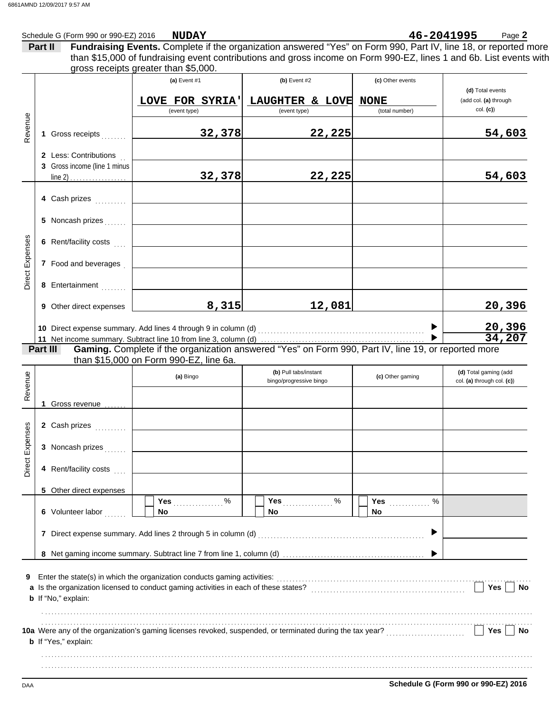|               | Schedule G (Form 990 or 990-EZ) 2016<br>Part II       | <b>NUDAY</b><br>Fundraising Events. Complete if the organization answered "Yes" on Form 990, Part IV, line 18, or reported more<br>than \$15,000 of fundraising event contributions and gross income on Form 990-EZ, lines 1 and 6b. List events with |                                                        |                                    | $46 - 2041995$ Page 2                                 |
|---------------|-------------------------------------------------------|-------------------------------------------------------------------------------------------------------------------------------------------------------------------------------------------------------------------------------------------------------|--------------------------------------------------------|------------------------------------|-------------------------------------------------------|
|               |                                                       | gross receipts greater than \$5,000.<br>(a) Event $#1$<br>LOVE FOR SYRIA'<br>(event type)                                                                                                                                                             | (b) Event $#2$<br>LAUGHTER & LOVE NONE<br>(event type) | (c) Other events<br>(total number) | (d) Total events<br>(add col. (a) through<br>col. (c) |
| Revenue       | 1 Gross receipts                                      | 32,378                                                                                                                                                                                                                                                | 22,225                                                 |                                    | 54,603                                                |
|               | 2 Less: Contributions<br>3 Gross income (line 1 minus | 32,378                                                                                                                                                                                                                                                | 22,225                                                 |                                    | 54,603                                                |
|               | 4 Cash prizes                                         |                                                                                                                                                                                                                                                       |                                                        |                                    |                                                       |
|               | 5 Noncash prizes                                      |                                                                                                                                                                                                                                                       |                                                        |                                    |                                                       |
| Expenses      | 6 Rent/facility costs                                 |                                                                                                                                                                                                                                                       |                                                        |                                    |                                                       |
|               | 7 Food and beverages                                  | the control of the control of the control of the control of the control of the control of the control of the control of the control of the control of the control of the control of the control of the control of the control                         |                                                        |                                    |                                                       |
| Direct I      | 8 Entertainment                                       |                                                                                                                                                                                                                                                       |                                                        |                                    |                                                       |
|               | 9 Other direct expenses                               | 8,315                                                                                                                                                                                                                                                 | 12,081                                                 |                                    | 20,396                                                |
|               | Part III                                              | Gaming. Complete if the organization answered "Yes" on Form 990, Part IV, line 19, or reported more                                                                                                                                                   |                                                        | ▶                                  | 20,396<br>34,207                                      |
|               |                                                       |                                                                                                                                                                                                                                                       |                                                        |                                    |                                                       |
|               |                                                       | than \$15,000 on Form 990-EZ, line 6a.<br>(a) Bingo                                                                                                                                                                                                   | (b) Pull tabs/instant<br>bingo/progressive bingo       | (c) Other gaming                   | (d) Total gaming (add<br>col. (a) through col. (c))   |
| Revenue       | 1 Gross revenue                                       |                                                                                                                                                                                                                                                       |                                                        |                                    |                                                       |
| ŝθ            | 2 Cash prizes                                         |                                                                                                                                                                                                                                                       |                                                        |                                    |                                                       |
|               | 3 Noncash prizes<br>a a a a                           |                                                                                                                                                                                                                                                       |                                                        |                                    |                                                       |
| Direct Expens | 4 Rent/facility costs                                 |                                                                                                                                                                                                                                                       |                                                        |                                    |                                                       |
|               | 5 Other direct expenses<br>6 Volunteer labor          | $\%$<br>Yes<br>No                                                                                                                                                                                                                                     | <b>Yes</b><br>%<br>No                                  | %<br><b>Yes</b><br>No              |                                                       |
|               |                                                       | 7 Direct expense summary. Add lines 2 through 5 in column (d) [11] content content content content content and material content and material content and material content and material content and material content and materi                        |                                                        |                                    |                                                       |
|               |                                                       |                                                                                                                                                                                                                                                       |                                                        |                                    |                                                       |
| 9             | b If "No," explain:                                   | Enter the state(s) in which the organization conducts gaming activities:<br>[[CONDITER STATE STATE STATE STATE STATE STATE STATE STATE STATE STATE STATE STATE STATE STATE STATE STATE ST                                                             |                                                        |                                    | Yes<br>No.                                            |
|               | b If "Yes," explain:                                  |                                                                                                                                                                                                                                                       |                                                        |                                    | Yes<br>No.                                            |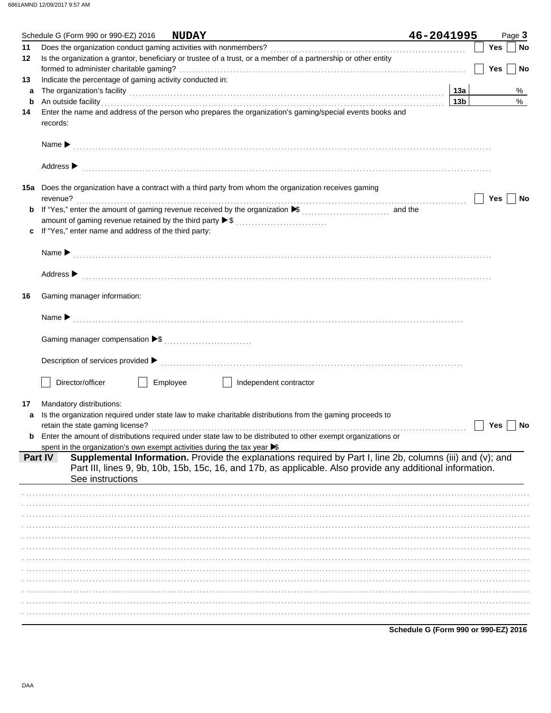|    | Schedule G (Form 990 or 990-EZ) 2016 NUDAY                                                                                                                                                                                                              | 46-2041995      | Page 3                               |
|----|---------------------------------------------------------------------------------------------------------------------------------------------------------------------------------------------------------------------------------------------------------|-----------------|--------------------------------------|
| 11 |                                                                                                                                                                                                                                                         |                 | Yes<br><b>No</b>                     |
| 12 | Is the organization a grantor, beneficiary or trustee of a trust, or a member of a partnership or other entity                                                                                                                                          |                 |                                      |
|    |                                                                                                                                                                                                                                                         |                 | <b>Yes</b><br>No                     |
| 13 | Indicate the percentage of gaming activity conducted in:                                                                                                                                                                                                |                 |                                      |
| a  | The organization's facility [1, 2003] The organization's facility [1, 2014] The organization's facility [1, 2014] The organization's facility [1, 2014] The organization's facility [1, 2014] The organization of the organiza                          | 13a             | %                                    |
| b  | An outside facility encourance and the contract of a contract of a contract of a contract of a contract of a contract of a contract of a contract of a contract of a contract of a contract of a contract of a contract of a c                          | 13 <sub>b</sub> | %                                    |
| 14 | Enter the name and address of the person who prepares the organization's gaming/special events books and<br>records:                                                                                                                                    |                 |                                      |
|    |                                                                                                                                                                                                                                                         |                 |                                      |
|    | Address $\blacktriangleright$                                                                                                                                                                                                                           |                 |                                      |
|    | 15a Does the organization have a contract with a third party from whom the organization receives gaming                                                                                                                                                 |                 | Yes<br>No                            |
| b  |                                                                                                                                                                                                                                                         |                 |                                      |
|    |                                                                                                                                                                                                                                                         |                 |                                      |
| c  | If "Yes," enter name and address of the third party:                                                                                                                                                                                                    |                 |                                      |
|    |                                                                                                                                                                                                                                                         |                 |                                      |
|    | Name <b>D</b>                                                                                                                                                                                                                                           |                 |                                      |
|    |                                                                                                                                                                                                                                                         |                 |                                      |
|    | Address $\blacktriangleright$                                                                                                                                                                                                                           |                 |                                      |
| 16 | Gaming manager information:                                                                                                                                                                                                                             |                 |                                      |
|    |                                                                                                                                                                                                                                                         |                 |                                      |
|    |                                                                                                                                                                                                                                                         |                 |                                      |
|    |                                                                                                                                                                                                                                                         |                 |                                      |
|    | Director/officer<br>Employee<br>Independent contractor<br>and the state of the state                                                                                                                                                                    |                 |                                      |
| 17 | Mandatory distributions:                                                                                                                                                                                                                                |                 |                                      |
| a  | Is the organization required under state law to make charitable distributions from the gaming proceeds to                                                                                                                                               |                 |                                      |
|    |                                                                                                                                                                                                                                                         |                 | Yes<br>No                            |
| b  | Enter the amount of distributions required under state law to be distributed to other exempt organizations or                                                                                                                                           |                 |                                      |
|    | spent in the organization's own exempt activities during the tax year S                                                                                                                                                                                 |                 |                                      |
|    | Supplemental Information. Provide the explanations required by Part I, line 2b, columns (iii) and (v); and<br>Part IV<br>Part III, lines 9, 9b, 10b, 15b, 15c, 16, and 17b, as applicable. Also provide any additional information.<br>See instructions |                 |                                      |
|    |                                                                                                                                                                                                                                                         |                 |                                      |
|    |                                                                                                                                                                                                                                                         |                 |                                      |
|    |                                                                                                                                                                                                                                                         |                 |                                      |
|    |                                                                                                                                                                                                                                                         |                 |                                      |
|    |                                                                                                                                                                                                                                                         |                 |                                      |
|    |                                                                                                                                                                                                                                                         |                 |                                      |
|    |                                                                                                                                                                                                                                                         |                 |                                      |
|    |                                                                                                                                                                                                                                                         |                 |                                      |
|    |                                                                                                                                                                                                                                                         |                 |                                      |
|    |                                                                                                                                                                                                                                                         |                 |                                      |
|    |                                                                                                                                                                                                                                                         |                 |                                      |
|    |                                                                                                                                                                                                                                                         |                 |                                      |
|    |                                                                                                                                                                                                                                                         |                 | Schedule G (Form 990 or 990-EZ) 2016 |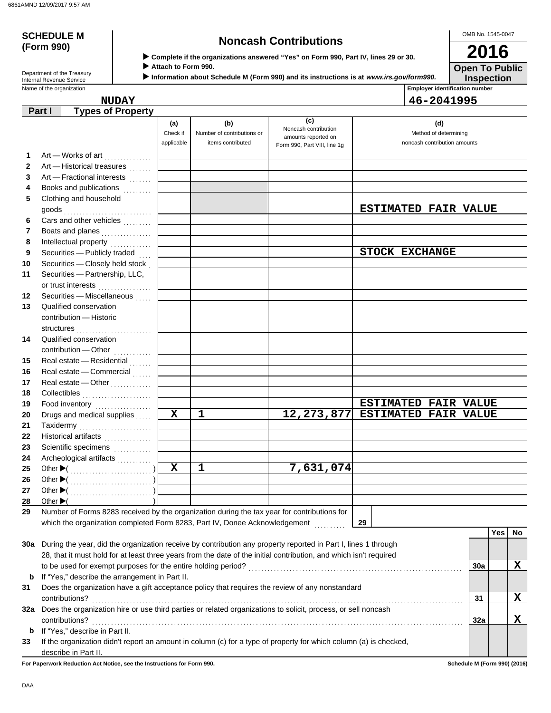# **(Form 990)**

Department of the Treasury<br>Internal Revenue Service

# **SCHEDULE M Noncash Contributions**

OMB No. 1545-0047

| ▶ Complete if the organizations answered "Yes" on Form 990, Part IV, lines 29 or 30. |  |  |
|--------------------------------------------------------------------------------------|--|--|
|--------------------------------------------------------------------------------------|--|--|

 **Attach to Form 990.**

 **Information about Schedule M (Form 990) and its instructions is at** *www.irs.gov/form990.*

**Inspection Open To Public**

**2016**

|              | Name of the organization                                                                                           |                               |                                                        |                                                                                    | <b>Employer identification number</b>                        |     |     |    |
|--------------|--------------------------------------------------------------------------------------------------------------------|-------------------------------|--------------------------------------------------------|------------------------------------------------------------------------------------|--------------------------------------------------------------|-----|-----|----|
|              | <b>NUDAY</b>                                                                                                       |                               |                                                        |                                                                                    | 46-2041995                                                   |     |     |    |
|              | <b>Types of Property</b><br>Part I                                                                                 | (a)<br>Check if<br>applicable | (b)<br>Number of contributions or<br>items contributed | (c)<br>Noncash contribution<br>amounts reported on<br>Form 990, Part VIII, line 1g | (d)<br>Method of determining<br>noncash contribution amounts |     |     |    |
| 1            | Art - Works of art<br>.                                                                                            |                               |                                                        |                                                                                    |                                                              |     |     |    |
| $\mathbf{2}$ | Art - Historical treasures                                                                                         |                               |                                                        |                                                                                    |                                                              |     |     |    |
| 3            | Art - Fractional interests                                                                                         |                               |                                                        |                                                                                    |                                                              |     |     |    |
| 4            | Books and publications                                                                                             |                               |                                                        |                                                                                    |                                                              |     |     |    |
| 5            | Clothing and household                                                                                             |                               |                                                        |                                                                                    |                                                              |     |     |    |
|              |                                                                                                                    |                               |                                                        |                                                                                    | <b>ESTIMATED FAIR VALUE</b>                                  |     |     |    |
| 6            | Cars and other vehicles                                                                                            |                               |                                                        |                                                                                    |                                                              |     |     |    |
| 7            | Boats and planes                                                                                                   |                               |                                                        |                                                                                    |                                                              |     |     |    |
| 8            | Intellectual property                                                                                              |                               |                                                        |                                                                                    |                                                              |     |     |    |
| 9            | Securities - Publicly traded                                                                                       |                               |                                                        |                                                                                    | STOCK EXCHANGE                                               |     |     |    |
| 10           | Securities - Closely held stock                                                                                    |                               |                                                        |                                                                                    |                                                              |     |     |    |
| 11           | Securities - Partnership, LLC,                                                                                     |                               |                                                        |                                                                                    |                                                              |     |     |    |
|              | or trust interests                                                                                                 |                               |                                                        |                                                                                    |                                                              |     |     |    |
| 12           | Securities - Miscellaneous                                                                                         |                               |                                                        |                                                                                    |                                                              |     |     |    |
| 13           | Qualified conservation                                                                                             |                               |                                                        |                                                                                    |                                                              |     |     |    |
|              | contribution - Historic                                                                                            |                               |                                                        |                                                                                    |                                                              |     |     |    |
|              | structures                                                                                                         |                               |                                                        |                                                                                    |                                                              |     |     |    |
| 14           | Qualified conservation                                                                                             |                               |                                                        |                                                                                    |                                                              |     |     |    |
|              | contribution - Other                                                                                               |                               |                                                        |                                                                                    |                                                              |     |     |    |
| 15           | Real estate - Residential                                                                                          |                               |                                                        |                                                                                    |                                                              |     |     |    |
| 16           | Real estate - Commercial                                                                                           |                               |                                                        |                                                                                    |                                                              |     |     |    |
| 17           | Real estate - Other                                                                                                |                               |                                                        |                                                                                    |                                                              |     |     |    |
| 18           | Collectibles <b>Collectibles</b>                                                                                   |                               |                                                        |                                                                                    |                                                              |     |     |    |
| 19           | Food inventory                                                                                                     |                               |                                                        |                                                                                    | <b>ESTIMATED FAIR VALUE</b>                                  |     |     |    |
| 20           | Drugs and medical supplies                                                                                         | X                             | $\mathbf{1}$                                           |                                                                                    | 12, 273, 877 ESTIMATED FAIR VALUE                            |     |     |    |
| 21           | Taxidermy                                                                                                          |                               |                                                        |                                                                                    |                                                              |     |     |    |
| 22           | Historical artifacts                                                                                               |                               |                                                        |                                                                                    |                                                              |     |     |    |
| 23           | Scientific specimens                                                                                               |                               |                                                        |                                                                                    |                                                              |     |     |    |
| 24           | Archeological artifacts                                                                                            |                               |                                                        |                                                                                    |                                                              |     |     |    |
| 25           |                                                                                                                    | $\mathbf X$                   | $\mathbf{1}$                                           | 7,631,074                                                                          |                                                              |     |     |    |
| 26           |                                                                                                                    |                               |                                                        |                                                                                    |                                                              |     |     |    |
| 27           |                                                                                                                    |                               |                                                        |                                                                                    |                                                              |     |     |    |
| 28           | Other $\blacktriangleright$ (                                                                                      |                               |                                                        |                                                                                    |                                                              |     |     |    |
| 29           | Number of Forms 8283 received by the organization during the tax year for contributions for                        |                               |                                                        |                                                                                    |                                                              |     |     |    |
|              | which the organization completed Form 8283, Part IV, Donee Acknowledgement                                         |                               |                                                        |                                                                                    | 29                                                           |     |     |    |
|              |                                                                                                                    |                               |                                                        |                                                                                    |                                                              |     | Yes | No |
| 30a          | During the year, did the organization receive by contribution any property reported in Part I, lines 1 through     |                               |                                                        |                                                                                    |                                                              |     |     |    |
|              | 28, that it must hold for at least three years from the date of the initial contribution, and which isn't required |                               |                                                        |                                                                                    |                                                              |     |     |    |
|              |                                                                                                                    |                               |                                                        |                                                                                    |                                                              | 30a |     | x  |
| b            | If "Yes," describe the arrangement in Part II.                                                                     |                               |                                                        |                                                                                    |                                                              |     |     |    |
| 31           | Does the organization have a gift acceptance policy that requires the review of any nonstandard                    |                               |                                                        |                                                                                    |                                                              |     |     |    |
|              | contributions?                                                                                                     |                               |                                                        |                                                                                    |                                                              | 31  |     | X  |
| 32a          | Does the organization hire or use third parties or related organizations to solicit, process, or sell noncash      |                               |                                                        |                                                                                    |                                                              |     |     | x  |
|              | contributions?                                                                                                     |                               |                                                        |                                                                                    |                                                              |     |     |    |
| b            | If "Yes," describe in Part II.                                                                                     |                               |                                                        |                                                                                    |                                                              |     |     |    |
| 33           | If the organization didn't report an amount in column (c) for a type of property for which column (a) is checked,  |                               |                                                        |                                                                                    |                                                              |     |     |    |
|              | describe in Part II.                                                                                               |                               |                                                        |                                                                                    |                                                              |     |     |    |

**For Paperwork Reduction Act Notice, see the Instructions for Form 990. Schedule M (Form 990) (2016)**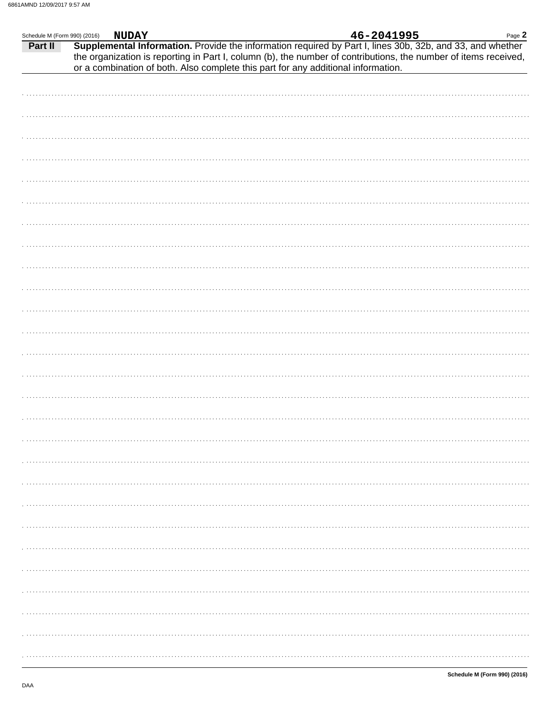| Schedule M (Form 990) (2016) | <b>NUDAY</b>                                                                                                                                                                                                                                                                                                      |  |  | 46-2041995 | Page 2 |
|------------------------------|-------------------------------------------------------------------------------------------------------------------------------------------------------------------------------------------------------------------------------------------------------------------------------------------------------------------|--|--|------------|--------|
| Part II                      | Supplemental Information. Provide the information required by Part I, lines 30b, 32b, and 33, and whether<br>the organization is reporting in Part I, column (b), the number of contributions, the number of items received,<br>or a combination of both. Also complete this part for any additional information. |  |  |            |        |
|                              |                                                                                                                                                                                                                                                                                                                   |  |  |            |        |
|                              |                                                                                                                                                                                                                                                                                                                   |  |  |            |        |
|                              |                                                                                                                                                                                                                                                                                                                   |  |  |            |        |
|                              |                                                                                                                                                                                                                                                                                                                   |  |  |            |        |
|                              |                                                                                                                                                                                                                                                                                                                   |  |  |            |        |
|                              |                                                                                                                                                                                                                                                                                                                   |  |  |            |        |
|                              |                                                                                                                                                                                                                                                                                                                   |  |  |            |        |
|                              |                                                                                                                                                                                                                                                                                                                   |  |  |            |        |
|                              |                                                                                                                                                                                                                                                                                                                   |  |  |            |        |
|                              |                                                                                                                                                                                                                                                                                                                   |  |  |            |        |
|                              |                                                                                                                                                                                                                                                                                                                   |  |  |            |        |
|                              |                                                                                                                                                                                                                                                                                                                   |  |  |            |        |
|                              |                                                                                                                                                                                                                                                                                                                   |  |  |            |        |
|                              |                                                                                                                                                                                                                                                                                                                   |  |  |            |        |
|                              |                                                                                                                                                                                                                                                                                                                   |  |  |            |        |
|                              |                                                                                                                                                                                                                                                                                                                   |  |  |            |        |
|                              |                                                                                                                                                                                                                                                                                                                   |  |  |            |        |
|                              |                                                                                                                                                                                                                                                                                                                   |  |  |            |        |
|                              |                                                                                                                                                                                                                                                                                                                   |  |  |            |        |
|                              |                                                                                                                                                                                                                                                                                                                   |  |  |            |        |
|                              |                                                                                                                                                                                                                                                                                                                   |  |  |            |        |
|                              |                                                                                                                                                                                                                                                                                                                   |  |  |            |        |
|                              |                                                                                                                                                                                                                                                                                                                   |  |  |            |        |
|                              |                                                                                                                                                                                                                                                                                                                   |  |  |            |        |
|                              |                                                                                                                                                                                                                                                                                                                   |  |  |            |        |
|                              |                                                                                                                                                                                                                                                                                                                   |  |  |            |        |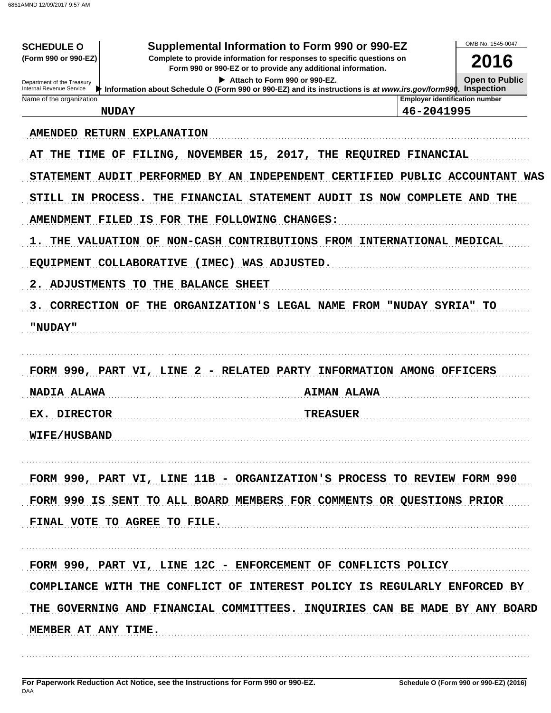6861AMND 12/09/2017 9:57 AM

| Supplemental Information to Form 990 or 990-EZ<br><b>SCHEDULE O</b>                                                                                                                                     | OMB No. 1545-0047                         |
|---------------------------------------------------------------------------------------------------------------------------------------------------------------------------------------------------------|-------------------------------------------|
| (Form 990 or 990-EZ)<br>Complete to provide information for responses to specific questions on<br>Form 990 or 990-EZ or to provide any additional information.                                          | 2016                                      |
| Attach to Form 990 or 990-EZ.<br>Department of the Treasury<br>Internal Revenue Service<br>Information about Schedule O (Form 990 or 990-EZ) and its instructions is at www.irs.gov/form990. Inspection | <b>Open to Public</b>                     |
| Name of the organization                                                                                                                                                                                | <b>Employer identification number</b>     |
| <b>NUDAY</b>                                                                                                                                                                                            | 46-2041995                                |
| AMENDED RETURN EXPLANATION<br>FILING, NOVEMBER 15, 2017, THE REQUIRED FINANCIAL<br>THE<br>TIME<br>AТ<br>OF                                                                                              |                                           |
| <b>STATEMENT</b><br>AUDIT PERFORMED BY AN<br><b>INDEPENDENT</b>                                                                                                                                         | PUBLIC ACCOUNTANT WAS<br><b>CERTIFIED</b> |
| THE FINANCIAL STATEMENT AUDIT IS NOW COMPLETE AND THE<br>STILL IN PROCESS.                                                                                                                              |                                           |
| FOR THE FOLLOWING CHANGES:<br>FILED<br>IS<br><b>AMENDMENT</b>                                                                                                                                           |                                           |
| THE VALUATION OF NON-CASH CONTRIBUTIONS FROM INTERNATIONAL MEDICAL<br>ı.                                                                                                                                |                                           |
| (IMEC)<br><b>EQUIPMENT</b><br><b>COLLABORATIVE</b><br>WAS ADJUSTED.                                                                                                                                     |                                           |
| <b>ADJUSTMENTS</b><br><b>BALANCE SHEET</b><br>2.<br>TO.<br>THE                                                                                                                                          |                                           |
| з.<br><b>CORRECTION OF</b><br>THE ORGANIZATION'S LEGAL NAME FROM "NUDAY SYRIA" TO                                                                                                                       |                                           |
| <b>"NUDAY"</b>                                                                                                                                                                                          |                                           |
| FORM 990, PART VI, LINE 2 - RELATED PARTY INFORMATION AMONG OFFICERS                                                                                                                                    |                                           |
| NADIA ALAWA<br><b>AIMAN ALAWA</b>                                                                                                                                                                       |                                           |
| <b>DIRECTOR</b><br><b>TREASUER</b><br>EX.                                                                                                                                                               |                                           |
| <b>WIFE/HUSBAND</b>                                                                                                                                                                                     |                                           |
| FORM 990, PART VI, LINE 11B - ORGANIZATION'S PROCESS TO REVIEW FORM 990                                                                                                                                 |                                           |
| FORM 990 IS SENT TO ALL BOARD MEMBERS FOR COMMENTS OR QUESTIONS PRIOR                                                                                                                                   |                                           |
| FINAL VOTE TO AGREE TO FILE.                                                                                                                                                                            |                                           |
| FORM 990, PART VI, LINE 12C - ENFORCEMENT OF CONFLICTS POLICY                                                                                                                                           |                                           |
| COMPLIANCE WITH THE CONFLICT OF INTEREST POLICY IS REGULARLY ENFORCED BY                                                                                                                                |                                           |
| THE GOVERNING AND FINANCIAL COMMITTEES. INQUIRIES CAN BE MADE BY ANY BOARD                                                                                                                              |                                           |
| MEMBER AT ANY TIME.                                                                                                                                                                                     |                                           |
|                                                                                                                                                                                                         |                                           |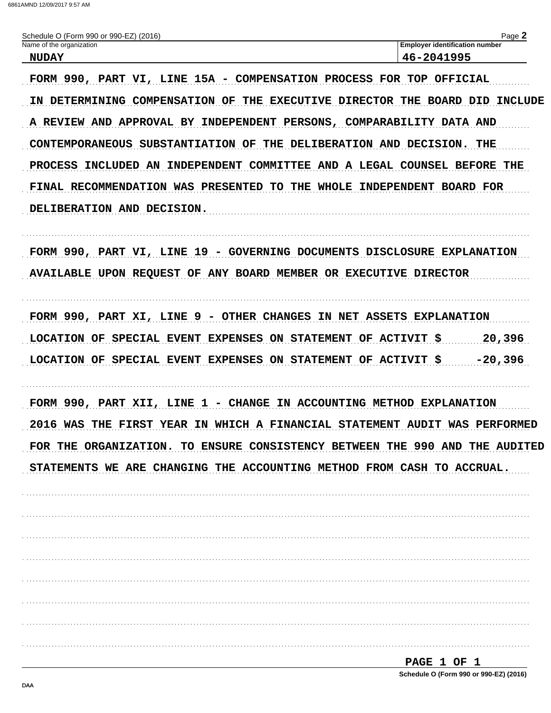|                                       | Page |
|---------------------------------------|------|
| <b>Employer identification number</b> |      |
| 46-2041995                            |      |
|                                       |      |

FORM 990, PART VI, LINE 15A - COMPENSATION PROCESS FOR TOP OFFICIAL IN DETERMINING COMPENSATION OF THE EXECUTIVE DIRECTOR THE BOARD DID INCLUDE A REVIEW AND APPROVAL BY INDEPENDENT PERSONS, COMPARABILITY DATA AND CONTEMPORANEOUS SUBSTANTIATION OF THE DELIBERATION AND DECISION. THE PROCESS INCLUDED AN INDEPENDENT COMMITTEE AND A LEGAL COUNSEL BEFORE THE FINAL RECOMMENDATION WAS PRESENTED TO THE WHOLE INDEPENDENT BOARD FOR DELIBERATION AND DECISION.

FORM 990, PART VI, LINE 19 - GOVERNING DOCUMENTS DISCLOSURE EXPLANATION AVAILABLE UPON REOUEST OF ANY BOARD MEMBER OR EXECUTIVE DIRECTOR

FORM 990, PART XI, LINE 9 - OTHER CHANGES IN NET ASSETS EXPLANATION LOCATION OF SPECIAL EVENT EXPENSES ON STATEMENT OF ACTIVIT \$ 20,396 LOCATION OF SPECIAL EVENT EXPENSES ON STATEMENT OF ACTIVIT  $\zeta = -20,396$ 

FORM 990, PART XII, LINE 1 - CHANGE IN ACCOUNTING METHOD EXPLANATION 2016 WAS THE FIRST YEAR IN WHICH A FINANCIAL STATEMENT AUDIT WAS PERFORMED FOR THE ORGANIZATION. TO ENSURE CONSISTENCY BETWEEN THE 990 AND THE AUDITED STATEMENTS WE ARE CHANGING THE ACCOUNTING METHOD FROM CASH TO ACCRUAL.

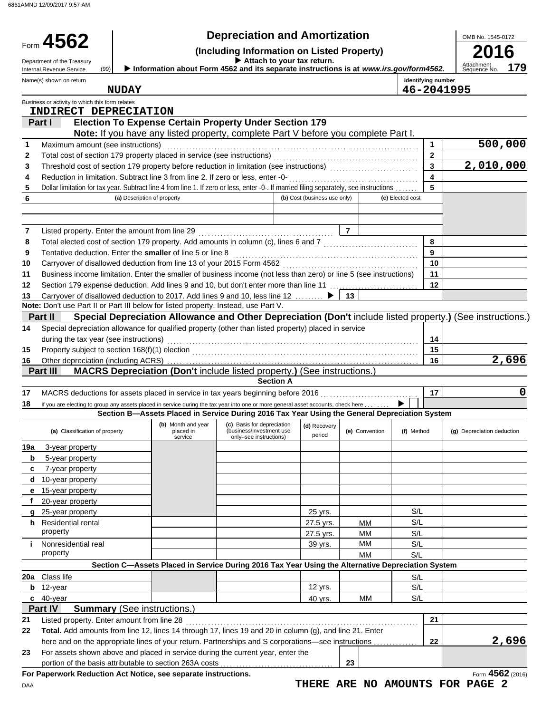Form 4562

### **Depreciation and Amortization**

|              | Form $4562$                                                                                                                                                                           |                                                                                       |                                                                                                   | <b>Depreciation and Amortization</b>               |                              |                |                  |                           | OMB No. 1545-0172                                                                                          |
|--------------|---------------------------------------------------------------------------------------------------------------------------------------------------------------------------------------|---------------------------------------------------------------------------------------|---------------------------------------------------------------------------------------------------|----------------------------------------------------|------------------------------|----------------|------------------|---------------------------|------------------------------------------------------------------------------------------------------------|
|              | (Including Information on Listed Property)<br>Attach to your tax return.                                                                                                              |                                                                                       |                                                                                                   |                                                    |                              |                |                  |                           | 2016                                                                                                       |
|              | Department of the Treasury<br>(99)<br>Internal Revenue Service                                                                                                                        | Information about Form 4562 and its separate instructions is at www.irs.gov/form4562. |                                                                                                   | Attachment<br>179<br>Sequence No.                  |                              |                |                  |                           |                                                                                                            |
|              | Name(s) shown on return                                                                                                                                                               |                                                                                       |                                                                                                   |                                                    |                              |                |                  | <b>Identifving number</b> |                                                                                                            |
|              |                                                                                                                                                                                       | <b>NUDAY</b>                                                                          |                                                                                                   |                                                    |                              |                |                  | 46-2041995                |                                                                                                            |
|              | Business or activity to which this form relates                                                                                                                                       |                                                                                       |                                                                                                   |                                                    |                              |                |                  |                           |                                                                                                            |
|              | INDIRECT DEPRECIATION                                                                                                                                                                 |                                                                                       |                                                                                                   |                                                    |                              |                |                  |                           |                                                                                                            |
|              | Part I                                                                                                                                                                                |                                                                                       | <b>Election To Expense Certain Property Under Section 179</b>                                     |                                                    |                              |                |                  |                           |                                                                                                            |
| 1            | Maximum amount (see instructions)                                                                                                                                                     |                                                                                       | Note: If you have any listed property, complete Part V before you complete Part I.                |                                                    |                              |                |                  | 1                         | 500,000                                                                                                    |
| $\mathbf{2}$ | Total cost of section 179 property placed in service (see instructions)                                                                                                               |                                                                                       |                                                                                                   |                                                    |                              |                |                  | $\mathbf{2}$              |                                                                                                            |
| 3            | Threshold cost of section 179 property before reduction in limitation (see instructions)                                                                                              |                                                                                       |                                                                                                   |                                                    |                              |                |                  | 3                         | 2,010,000                                                                                                  |
| 4            | Reduction in limitation. Subtract line 3 from line 2. If zero or less, enter -0-                                                                                                      |                                                                                       |                                                                                                   |                                                    |                              |                |                  | 4                         |                                                                                                            |
| 5            | Dollar limitation for tax year. Subtract line 4 from line 1. If zero or less, enter -0-. If married filing separately, see instructions                                               |                                                                                       |                                                                                                   |                                                    |                              |                |                  | 5                         |                                                                                                            |
| 6            |                                                                                                                                                                                       | (a) Description of property                                                           |                                                                                                   |                                                    | (b) Cost (business use only) |                | (c) Elected cost |                           |                                                                                                            |
|              |                                                                                                                                                                                       |                                                                                       |                                                                                                   |                                                    |                              |                |                  |                           |                                                                                                            |
|              |                                                                                                                                                                                       |                                                                                       |                                                                                                   |                                                    |                              |                |                  |                           |                                                                                                            |
| 7            | Listed property. Enter the amount from line 29                                                                                                                                        |                                                                                       |                                                                                                   |                                                    |                              | $\overline{7}$ |                  |                           |                                                                                                            |
| 8            | Total elected cost of section 179 property. Add amounts in column (c), lines 6 and 7                                                                                                  |                                                                                       |                                                                                                   |                                                    |                              |                |                  | 8                         |                                                                                                            |
| 9            | Tentative deduction. Enter the smaller of line 5 or line 8                                                                                                                            |                                                                                       |                                                                                                   |                                                    |                              |                |                  | 9                         |                                                                                                            |
| 10           | Carryover of disallowed deduction from line 13 of your 2015 Form 4562                                                                                                                 |                                                                                       |                                                                                                   |                                                    |                              |                |                  | 10                        |                                                                                                            |
| 11           | Business income limitation. Enter the smaller of business income (not less than zero) or line 5 (see instructions)                                                                    |                                                                                       |                                                                                                   |                                                    |                              |                |                  | 11                        |                                                                                                            |
| 12           | Section 179 expense deduction. Add lines 9 and 10, but don't enter more than line 11                                                                                                  |                                                                                       |                                                                                                   |                                                    |                              |                |                  | 12                        |                                                                                                            |
| 13           | Carryover of disallowed deduction to 2017. Add lines 9 and 10, less line 12                                                                                                           |                                                                                       |                                                                                                   |                                                    |                              | 13             |                  |                           |                                                                                                            |
|              | Note: Don't use Part II or Part III below for listed property. Instead, use Part V.                                                                                                   |                                                                                       |                                                                                                   |                                                    |                              |                |                  |                           |                                                                                                            |
|              | Part II                                                                                                                                                                               |                                                                                       |                                                                                                   |                                                    |                              |                |                  |                           | Special Depreciation Allowance and Other Depreciation (Don't include listed property.) (See instructions.) |
| 14           | Special depreciation allowance for qualified property (other than listed property) placed in service                                                                                  |                                                                                       |                                                                                                   |                                                    |                              |                |                  |                           |                                                                                                            |
|              | during the tax year (see instructions)                                                                                                                                                |                                                                                       |                                                                                                   |                                                    |                              |                |                  | 14                        |                                                                                                            |
| 15           |                                                                                                                                                                                       |                                                                                       |                                                                                                   |                                                    |                              |                |                  | 15                        |                                                                                                            |
| 16           |                                                                                                                                                                                       |                                                                                       |                                                                                                   |                                                    |                              |                |                  | 16                        | 2,696                                                                                                      |
|              | Part III                                                                                                                                                                              |                                                                                       | MACRS Depreciation (Don't include listed property.) (See instructions.)                           | <b>Section A</b>                                   |                              |                |                  |                           |                                                                                                            |
| 17           | MACRS deductions for assets placed in service in tax years beginning before 2016                                                                                                      |                                                                                       |                                                                                                   |                                                    |                              |                |                  | 17                        | 0                                                                                                          |
| 18           | If you are electing to group any assets placed in service during the tax year into one or more general asset accounts, check here                                                     |                                                                                       |                                                                                                   |                                                    |                              |                |                  |                           |                                                                                                            |
|              |                                                                                                                                                                                       |                                                                                       | Section B-Assets Placed in Service During 2016 Tax Year Using the General Depreciation System     |                                                    |                              |                |                  |                           |                                                                                                            |
|              |                                                                                                                                                                                       |                                                                                       | (b) Month and year                                                                                | (c) Basis for depreciation                         | (d) Recovery                 |                |                  |                           |                                                                                                            |
|              | (a) Classification of property                                                                                                                                                        |                                                                                       | placed in<br>service                                                                              | (business/investment use<br>only-see instructions) | period                       | (e) Convention | (f) Method       |                           | (g) Depreciation deduction                                                                                 |
| 19a          | 3-year property                                                                                                                                                                       |                                                                                       |                                                                                                   |                                                    |                              |                |                  |                           |                                                                                                            |
| b            | 5-year property                                                                                                                                                                       |                                                                                       |                                                                                                   |                                                    |                              |                |                  |                           |                                                                                                            |
| c            | 7-year property                                                                                                                                                                       |                                                                                       |                                                                                                   |                                                    |                              |                |                  |                           |                                                                                                            |
| d            | 10-year property                                                                                                                                                                      |                                                                                       |                                                                                                   |                                                    |                              |                |                  |                           |                                                                                                            |
| е            | 15-year property                                                                                                                                                                      |                                                                                       |                                                                                                   |                                                    |                              |                |                  |                           |                                                                                                            |
| f            | 20-year property                                                                                                                                                                      |                                                                                       |                                                                                                   |                                                    |                              |                |                  |                           |                                                                                                            |
| a            | 25-year property                                                                                                                                                                      |                                                                                       |                                                                                                   |                                                    | 25 yrs.                      |                | S/L              |                           |                                                                                                            |
|              | h Residential rental                                                                                                                                                                  |                                                                                       |                                                                                                   |                                                    | 27.5 yrs.                    | MM             | S/L              |                           |                                                                                                            |
|              | property                                                                                                                                                                              |                                                                                       |                                                                                                   |                                                    | 27.5 yrs.                    | ΜМ             | S/L              |                           |                                                                                                            |
| i.           | Nonresidential real                                                                                                                                                                   |                                                                                       |                                                                                                   |                                                    | 39 yrs.                      | MM             | S/L              |                           |                                                                                                            |
|              | property                                                                                                                                                                              |                                                                                       |                                                                                                   |                                                    |                              | <b>MM</b>      | S/L              |                           |                                                                                                            |
|              |                                                                                                                                                                                       |                                                                                       | Section C-Assets Placed in Service During 2016 Tax Year Using the Alternative Depreciation System |                                                    |                              |                |                  |                           |                                                                                                            |
|              | 20a Class life                                                                                                                                                                        |                                                                                       |                                                                                                   |                                                    |                              |                | S/L              |                           |                                                                                                            |
|              | $b$ 12-year                                                                                                                                                                           |                                                                                       |                                                                                                   |                                                    | 12 yrs.                      |                | S/L              |                           |                                                                                                            |
|              | c 40-year                                                                                                                                                                             |                                                                                       |                                                                                                   |                                                    | 40 yrs.                      | ΜМ             | S/L              |                           |                                                                                                            |
|              | Part IV                                                                                                                                                                               |                                                                                       | <b>Summary (See instructions.)</b>                                                                |                                                    |                              |                |                  |                           |                                                                                                            |
| 21           | Listed property. Enter amount from line 28                                                                                                                                            |                                                                                       |                                                                                                   |                                                    |                              |                |                  | 21                        |                                                                                                            |
| 22           | Total. Add amounts from line 12, lines 14 through 17, lines 19 and 20 in column (g), and line 21. Enter                                                                               |                                                                                       |                                                                                                   |                                                    |                              |                |                  |                           | 2,696                                                                                                      |
| 23           | here and on the appropriate lines of your return. Partnerships and S corporations—see instructions<br>For assets shown above and placed in service during the current year, enter the |                                                                                       |                                                                                                   |                                                    |                              |                |                  | 22                        |                                                                                                            |
|              |                                                                                                                                                                                       |                                                                                       |                                                                                                   |                                                    |                              |                |                  |                           |                                                                                                            |

portion of the basis attributable to section 263A costs

**For Paperwork Reduction Act Notice, see separate instructions.**

**THERE ARE NO AMOUNTS FOR PAGE 2**

**23**

Form **4562** (2016)